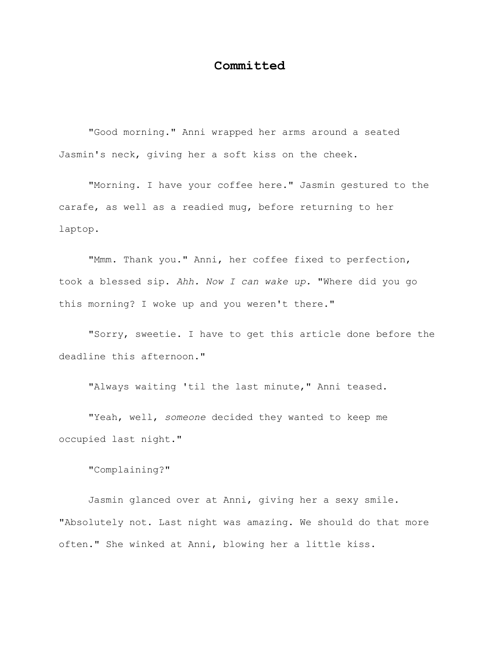## **Committed**

"Good morning." Anni wrapped her arms around a seated Jasmin's neck, giving her a soft kiss on the cheek.

"Morning. I have your coffee here." Jasmin gestured to the carafe, as well as a readied mug, before returning to her laptop.

"Mmm. Thank you." Anni, her coffee fixed to perfection, took a blessed sip. *Ahh. Now I can wake up.* "Where did you go this morning? I woke up and you weren't there."

"Sorry, sweetie. I have to get this article done before the deadline this afternoon."

"Always waiting 'til the last minute," Anni teased.

"Yeah, well, *someone* decided they wanted to keep me occupied last night."

"Complaining?"

Jasmin glanced over at Anni, giving her a sexy smile. "Absolutely not. Last night was amazing. We should do that more often." She winked at Anni, blowing her a little kiss.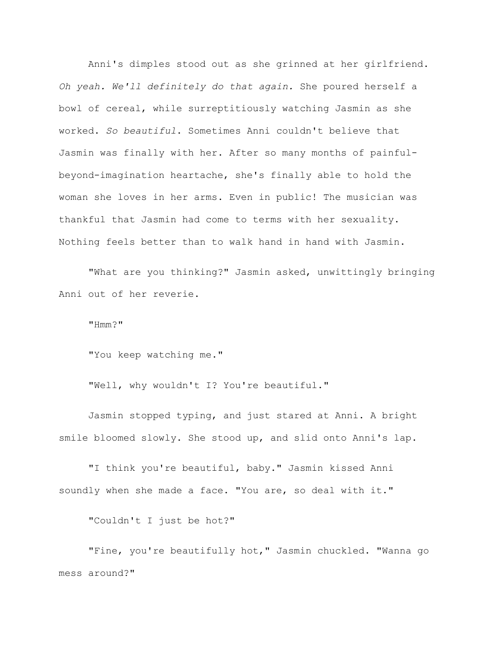Anni's dimples stood out as she grinned at her girlfriend. *Oh yeah. We'll definitely do that again.* She poured herself a bowl of cereal, while surreptitiously watching Jasmin as she worked. *So beautiful*. Sometimes Anni couldn't believe that Jasmin was finally with her. After so many months of painfulbeyond-imagination heartache, she's finally able to hold the woman she loves in her arms. Even in public! The musician was thankful that Jasmin had come to terms with her sexuality. Nothing feels better than to walk hand in hand with Jasmin.

"What are you thinking?" Jasmin asked, unwittingly bringing Anni out of her reverie.

"Hmm?"

"You keep watching me."

"Well, why wouldn't I? You're beautiful."

Jasmin stopped typing, and just stared at Anni. A bright smile bloomed slowly. She stood up, and slid onto Anni's lap.

"I think you're beautiful, baby." Jasmin kissed Anni soundly when she made a face. "You are, so deal with it."

"Couldn't I just be hot?"

"Fine, you're beautifully hot," Jasmin chuckled. "Wanna go mess around?"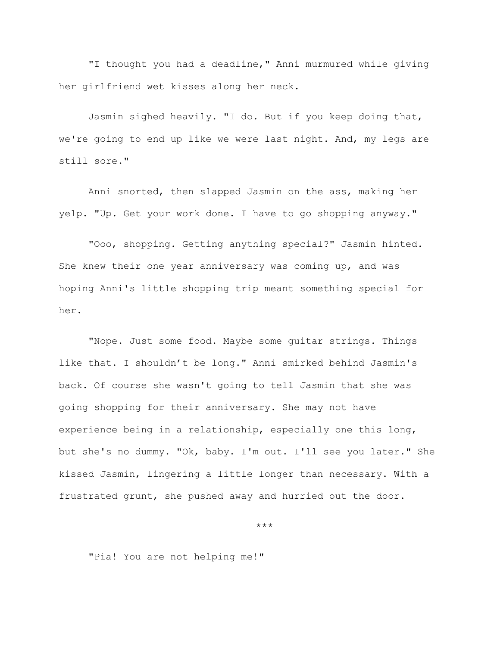"I thought you had a deadline," Anni murmured while giving her girlfriend wet kisses along her neck.

Jasmin sighed heavily. "I do. But if you keep doing that, we're going to end up like we were last night. And, my legs are still sore."

Anni snorted, then slapped Jasmin on the ass, making her yelp. "Up. Get your work done. I have to go shopping anyway."

"Ooo, shopping. Getting anything special?" Jasmin hinted. She knew their one year anniversary was coming up, and was hoping Anni's little shopping trip meant something special for her.

"Nope. Just some food. Maybe some guitar strings. Things like that. I shouldn't be long." Anni smirked behind Jasmin's back. Of course she wasn't going to tell Jasmin that she was going shopping for their anniversary. She may not have experience being in a relationship, especially one this long, but she's no dummy. "Ok, baby. I'm out. I'll see you later." She kissed Jasmin, lingering a little longer than necessary. With a frustrated grunt, she pushed away and hurried out the door.

\*\*\*

"Pia! You are not helping me!"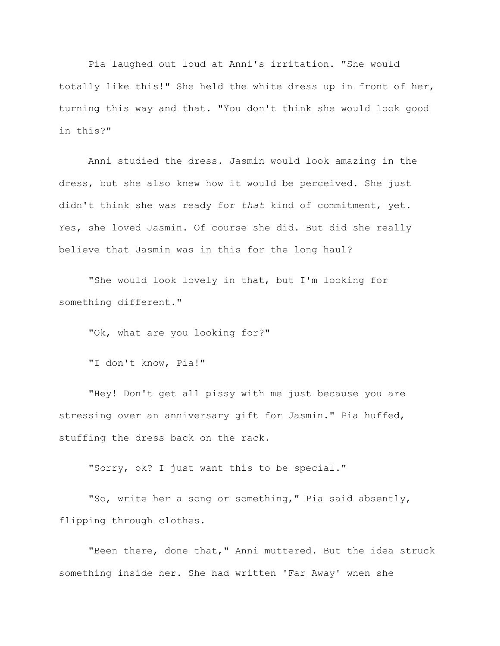Pia laughed out loud at Anni's irritation. "She would totally like this!" She held the white dress up in front of her, turning this way and that. "You don't think she would look good in this?"

Anni studied the dress. Jasmin would look amazing in the dress, but she also knew how it would be perceived. She just didn't think she was ready for *that* kind of commitment, yet. Yes, she loved Jasmin. Of course she did. But did she really believe that Jasmin was in this for the long haul?

"She would look lovely in that, but I'm looking for something different."

"Ok, what are you looking for?"

"I don't know, Pia!"

"Hey! Don't get all pissy with me just because you are stressing over an anniversary gift for Jasmin." Pia huffed, stuffing the dress back on the rack.

"Sorry, ok? I just want this to be special."

"So, write her a song or something," Pia said absently, flipping through clothes.

"Been there, done that," Anni muttered. But the idea struck something inside her. She had written 'Far Away' when she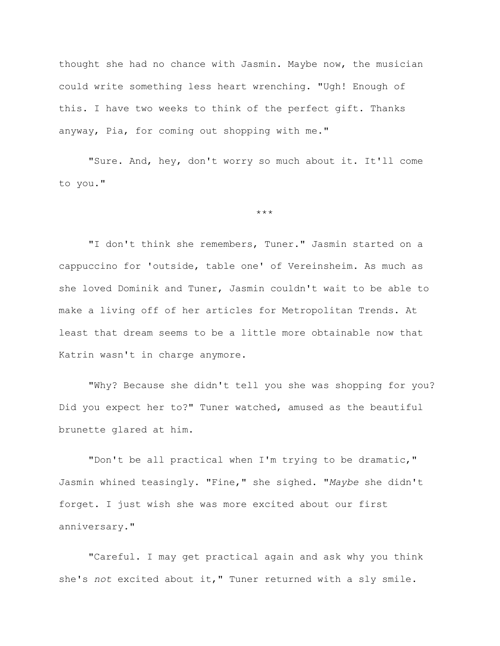thought she had no chance with Jasmin. Maybe now, the musician could write something less heart wrenching. "Ugh! Enough of this. I have two weeks to think of the perfect gift. Thanks anyway, Pia, for coming out shopping with me."

"Sure. And, hey, don't worry so much about it. It'll come to you."

\*\*\*

"I don't think she remembers, Tuner." Jasmin started on a cappuccino for 'outside, table one' of Vereinsheim. As much as she loved Dominik and Tuner, Jasmin couldn't wait to be able to make a living off of her articles for Metropolitan Trends. At least that dream seems to be a little more obtainable now that Katrin wasn't in charge anymore.

"Why? Because she didn't tell you she was shopping for you? Did you expect her to?" Tuner watched, amused as the beautiful brunette glared at him.

"Don't be all practical when I'm trying to be dramatic," Jasmin whined teasingly. "Fine," she sighed. "*Maybe* she didn't forget. I just wish she was more excited about our first anniversary."

"Careful. I may get practical again and ask why you think she's *not* excited about it," Tuner returned with a sly smile.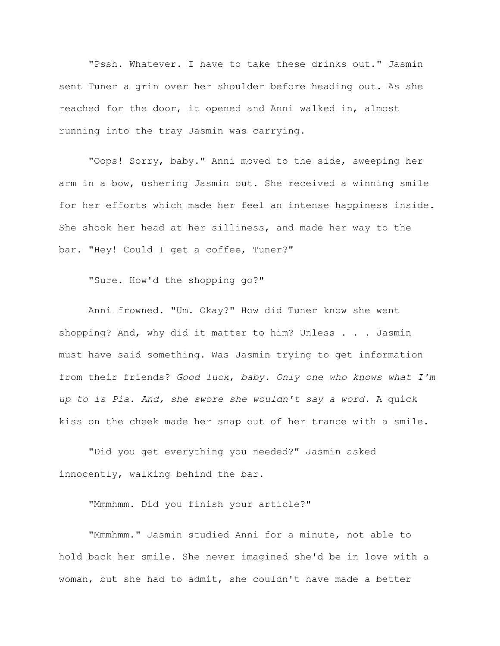"Pssh. Whatever. I have to take these drinks out." Jasmin sent Tuner a grin over her shoulder before heading out. As she reached for the door, it opened and Anni walked in, almost running into the tray Jasmin was carrying.

"Oops! Sorry, baby." Anni moved to the side, sweeping her arm in a bow, ushering Jasmin out. She received a winning smile for her efforts which made her feel an intense happiness inside. She shook her head at her silliness, and made her way to the bar. "Hey! Could I get a coffee, Tuner?"

"Sure. How'd the shopping go?"

Anni frowned. "Um. Okay?" How did Tuner know she went shopping? And, why did it matter to him? Unless . . . Jasmin must have said something. Was Jasmin trying to get information from their friends? *Good luck*, *baby. Only one who knows what I'm up to is Pia. And, she swore she wouldn't say a word.* A quick kiss on the cheek made her snap out of her trance with a smile.

"Did you get everything you needed?" Jasmin asked innocently, walking behind the bar.

"Mmmhmm. Did you finish your article?"

"Mmmhmm." Jasmin studied Anni for a minute, not able to hold back her smile. She never imagined she'd be in love with a woman, but she had to admit, she couldn't have made a better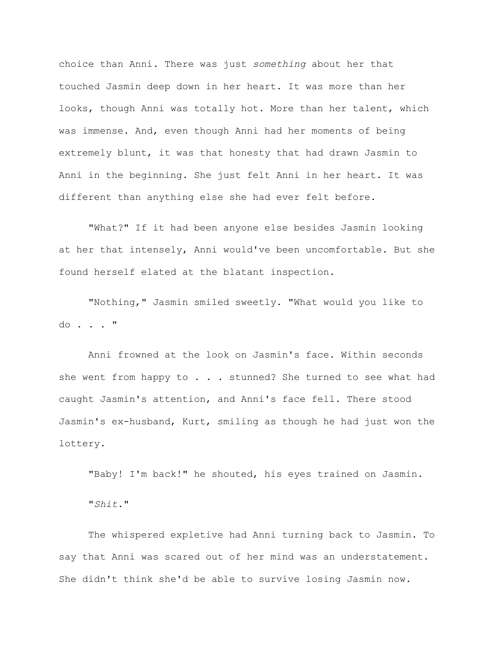choice than Anni. There was just *something* about her that touched Jasmin deep down in her heart. It was more than her looks, though Anni was totally hot. More than her talent, which was immense. And, even though Anni had her moments of being extremely blunt, it was that honesty that had drawn Jasmin to Anni in the beginning. She just felt Anni in her heart. It was different than anything else she had ever felt before.

"What?" If it had been anyone else besides Jasmin looking at her that intensely, Anni would've been uncomfortable. But she found herself elated at the blatant inspection.

"Nothing," Jasmin smiled sweetly. "What would you like to do . . . "

Anni frowned at the look on Jasmin's face. Within seconds she went from happy to  $\ldots$  . stunned? She turned to see what had caught Jasmin's attention, and Anni's face fell. There stood Jasmin's ex-husband, Kurt, smiling as though he had just won the lottery.

"Baby! I'm back!" he shouted, his eyes trained on Jasmin.

"*Shit*."

The whispered expletive had Anni turning back to Jasmin. To say that Anni was scared out of her mind was an understatement. She didn't think she'd be able to survive losing Jasmin now.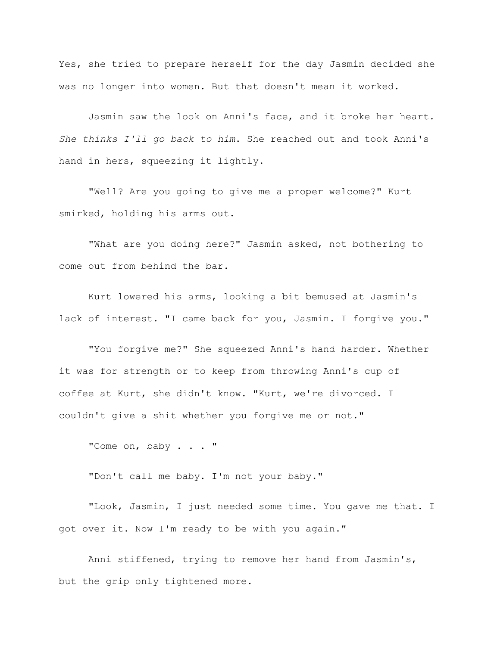Yes, she tried to prepare herself for the day Jasmin decided she was no longer into women. But that doesn't mean it worked.

Jasmin saw the look on Anni's face, and it broke her heart. *She thinks I'll go back to him*. She reached out and took Anni's hand in hers, squeezing it lightly.

"Well? Are you going to give me a proper welcome?" Kurt smirked, holding his arms out.

"What are you doing here?" Jasmin asked, not bothering to come out from behind the bar.

Kurt lowered his arms, looking a bit bemused at Jasmin's lack of interest. "I came back for you, Jasmin. I forgive you."

"You forgive me?" She squeezed Anni's hand harder. Whether it was for strength or to keep from throwing Anni's cup of coffee at Kurt, she didn't know. "Kurt, we're divorced. I couldn't give a shit whether you forgive me or not."

"Come on, baby . . . "

"Don't call me baby. I'm not your baby."

"Look, Jasmin, I just needed some time. You gave me that. I got over it. Now I'm ready to be with you again."

Anni stiffened, trying to remove her hand from Jasmin's, but the grip only tightened more.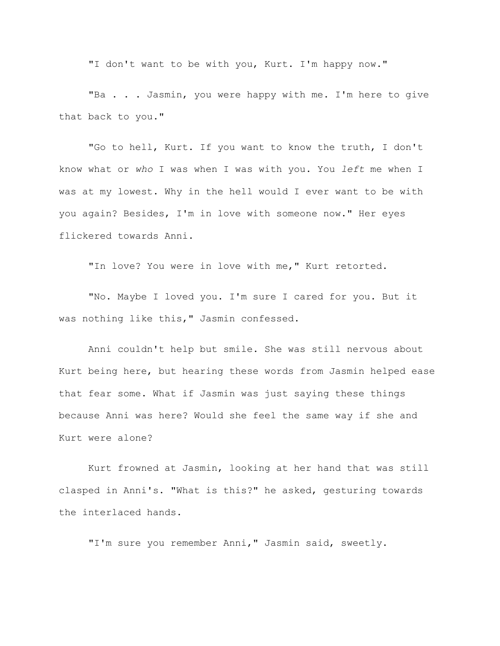"I don't want to be with you, Kurt. I'm happy now."

"Ba . . . Jasmin, you were happy with me. I'm here to give that back to you."

"Go to hell, Kurt. If you want to know the truth, I don't know what or *who* I was when I was with you. You *left* me when I was at my lowest. Why in the hell would I ever want to be with you again? Besides, I'm in love with someone now." Her eyes flickered towards Anni.

"In love? You were in love with me," Kurt retorted.

"No. Maybe I loved you. I'm sure I cared for you. But it was nothing like this," Jasmin confessed.

Anni couldn't help but smile. She was still nervous about Kurt being here, but hearing these words from Jasmin helped ease that fear some. What if Jasmin was just saying these things because Anni was here? Would she feel the same way if she and Kurt were alone?

Kurt frowned at Jasmin, looking at her hand that was still clasped in Anni's. "What is this?" he asked, gesturing towards the interlaced hands.

"I'm sure you remember Anni," Jasmin said, sweetly.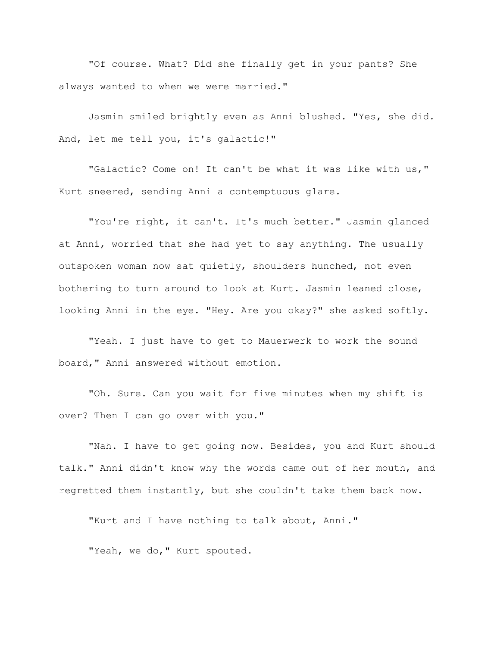"Of course. What? Did she finally get in your pants? She always wanted to when we were married."

Jasmin smiled brightly even as Anni blushed. "Yes, she did. And, let me tell you, it's galactic!"

"Galactic? Come on! It can't be what it was like with us," Kurt sneered, sending Anni a contemptuous glare.

"You're right, it can't. It's much better." Jasmin glanced at Anni, worried that she had yet to say anything. The usually outspoken woman now sat quietly, shoulders hunched, not even bothering to turn around to look at Kurt. Jasmin leaned close, looking Anni in the eye. "Hey. Are you okay?" she asked softly.

"Yeah. I just have to get to Mauerwerk to work the sound board," Anni answered without emotion.

"Oh. Sure. Can you wait for five minutes when my shift is over? Then I can go over with you."

"Nah. I have to get going now. Besides, you and Kurt should talk." Anni didn't know why the words came out of her mouth, and regretted them instantly, but she couldn't take them back now.

"Kurt and I have nothing to talk about, Anni."

"Yeah, we do, " Kurt spouted.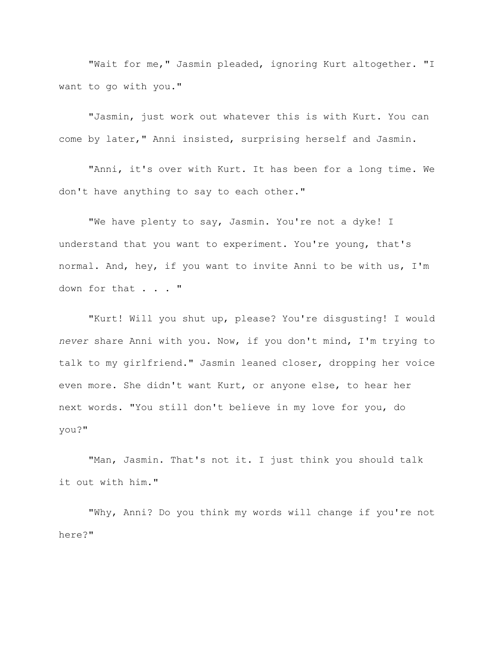"Wait for me," Jasmin pleaded, ignoring Kurt altogether. "I want to go with you."

"Jasmin, just work out whatever this is with Kurt. You can come by later," Anni insisted, surprising herself and Jasmin.

"Anni, it's over with Kurt. It has been for a long time. We don't have anything to say to each other."

"We have plenty to say, Jasmin. You're not a dyke! I understand that you want to experiment. You're young, that's normal. And, hey, if you want to invite Anni to be with us, I'm down for that . . . "

"Kurt! Will you shut up, please? You're disgusting! I would *never* share Anni with you. Now, if you don't mind, I'm trying to talk to my girlfriend." Jasmin leaned closer, dropping her voice even more. She didn't want Kurt, or anyone else, to hear her next words. "You still don't believe in my love for you, do you?"

"Man, Jasmin. That's not it. I just think you should talk it out with him."

"Why, Anni? Do you think my words will change if you're not here?"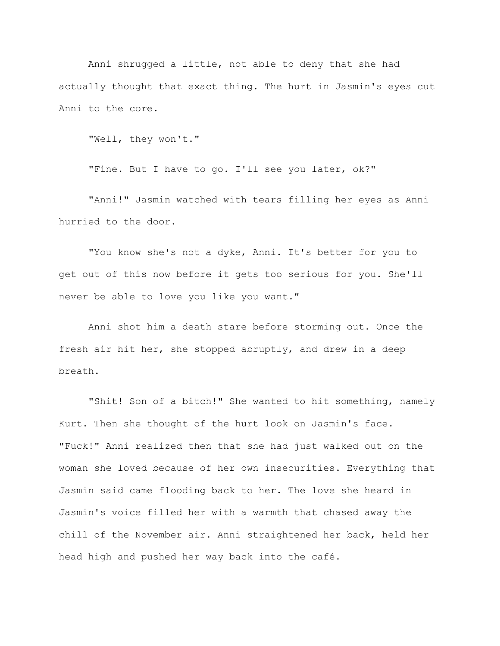Anni shrugged a little, not able to deny that she had actually thought that exact thing. The hurt in Jasmin's eyes cut Anni to the core.

"Well, they won't."

"Fine. But I have to go. I'll see you later, ok?"

"Anni!" Jasmin watched with tears filling her eyes as Anni hurried to the door.

"You know she's not a dyke, Anni. It's better for you to get out of this now before it gets too serious for you. She'll never be able to love you like you want."

Anni shot him a death stare before storming out. Once the fresh air hit her, she stopped abruptly, and drew in a deep breath.

"Shit! Son of a bitch!" She wanted to hit something, namely Kurt. Then she thought of the hurt look on Jasmin's face. "Fuck!" Anni realized then that she had just walked out on the woman she loved because of her own insecurities. Everything that Jasmin said came flooding back to her. The love she heard in Jasmin's voice filled her with a warmth that chased away the chill of the November air. Anni straightened her back, held her head high and pushed her way back into the café.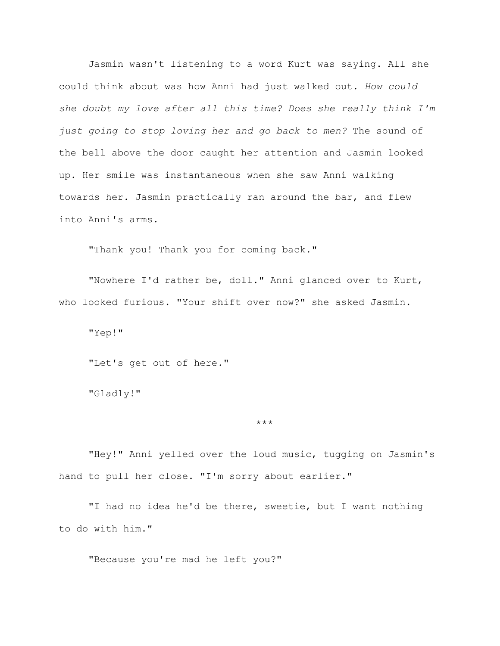Jasmin wasn't listening to a word Kurt was saying. All she could think about was how Anni had just walked out. *How could she doubt my love after all this time? Does she really think I'm just going to stop loving her and go back to men?* The sound of the bell above the door caught her attention and Jasmin looked up. Her smile was instantaneous when she saw Anni walking towards her. Jasmin practically ran around the bar, and flew into Anni's arms.

"Thank you! Thank you for coming back."

"Nowhere I'd rather be, doll." Anni glanced over to Kurt, who looked furious. "Your shift over now?" she asked Jasmin.

"Yep!"

"Let's get out of here."

"Gladly!"

## \*\*\*

"Hey!" Anni yelled over the loud music, tugging on Jasmin's hand to pull her close. "I'm sorry about earlier."

"I had no idea he'd be there, sweetie, but I want nothing to do with him."

"Because you're mad he left you?"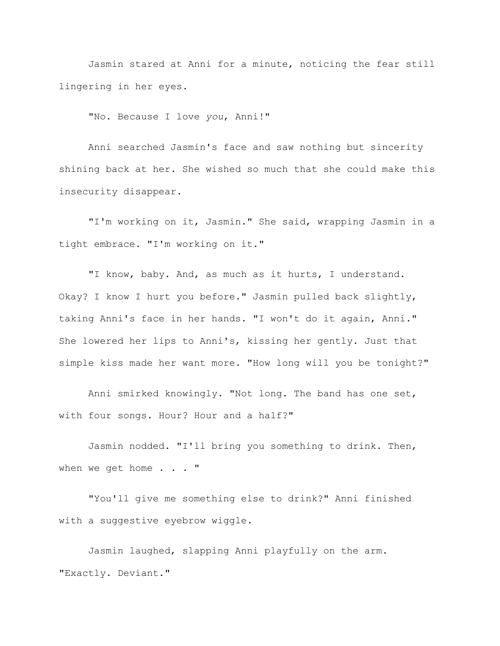Jasmin stared at Anni for a minute, noticing the fear still lingering in her eyes.

"No. Because I love *you*, Anni!"

Anni searched Jasmin's face and saw nothing but sincerity shining back at her. She wished so much that she could make this insecurity disappear.

"I'm working on it, Jasmin." She said, wrapping Jasmin in a tight embrace. "I'm working on it."

"I know, baby. And, as much as it hurts, I understand. Okay? I know I hurt you before." Jasmin pulled back slightly, taking Anni's face in her hands. "I won't do it again, Anni." She lowered her lips to Anni's, kissing her gently. Just that simple kiss made her want more. "How long will you be tonight?"

Anni smirked knowingly. "Not long. The band has one set, with four songs. Hour? Hour and a half?"

Jasmin nodded. "I'll bring you something to drink. Then, when we get home . . . "

"You'll give me something else to drink?" Anni finished with a suggestive eyebrow wiggle.

Jasmin laughed, slapping Anni playfully on the arm. "Exactly. Deviant."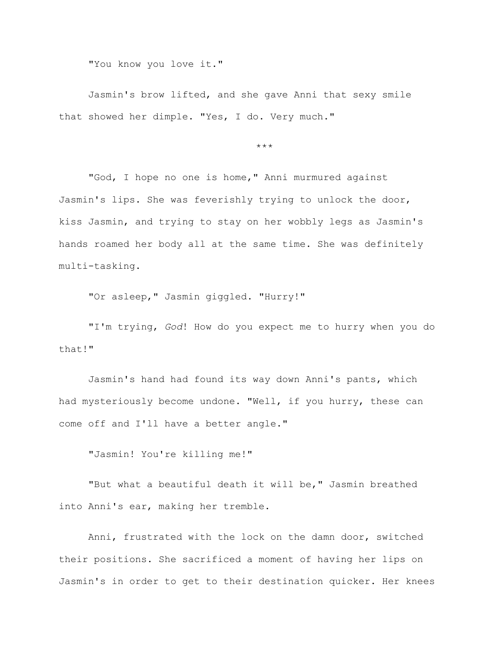"You know you love it."

Jasmin's brow lifted, and she gave Anni that sexy smile that showed her dimple. "Yes, I do. Very much."

\*\*\*

"God, I hope no one is home," Anni murmured against Jasmin's lips. She was feverishly trying to unlock the door, kiss Jasmin, and trying to stay on her wobbly legs as Jasmin's hands roamed her body all at the same time. She was definitely multi-tasking.

"Or asleep," Jasmin giggled. "Hurry!"

"I'm trying, *God*! How do you expect me to hurry when you do that!"

Jasmin's hand had found its way down Anni's pants, which had mysteriously become undone. "Well, if you hurry, these can come off and I'll have a better angle."

"Jasmin! You're killing me!"

"But what a beautiful death it will be," Jasmin breathed into Anni's ear, making her tremble.

Anni, frustrated with the lock on the damn door, switched their positions. She sacrificed a moment of having her lips on Jasmin's in order to get to their destination quicker. Her knees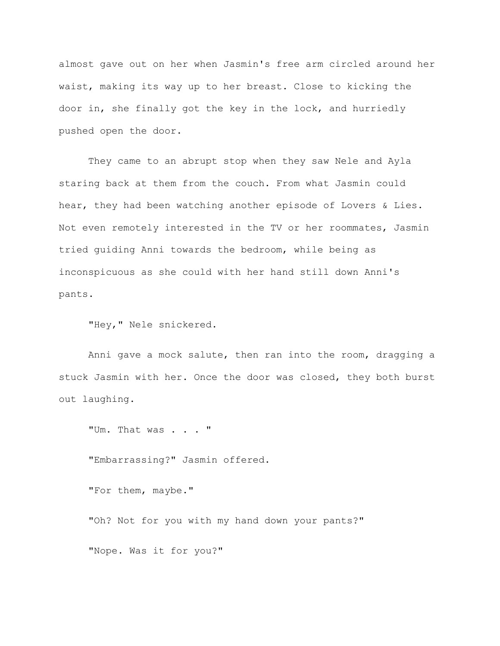almost gave out on her when Jasmin's free arm circled around her waist, making its way up to her breast. Close to kicking the door in, she finally got the key in the lock, and hurriedly pushed open the door.

They came to an abrupt stop when they saw Nele and Ayla staring back at them from the couch. From what Jasmin could hear, they had been watching another episode of Lovers & Lies. Not even remotely interested in the TV or her roommates, Jasmin tried guiding Anni towards the bedroom, while being as inconspicuous as she could with her hand still down Anni's pants.

"Hey," Nele snickered.

Anni gave a mock salute, then ran into the room, dragging a stuck Jasmin with her. Once the door was closed, they both burst out laughing.

"Um. That was . . . "

"Embarrassing?" Jasmin offered.

"For them, maybe."

"Oh? Not for you with my hand down your pants?"

"Nope. Was it for you?"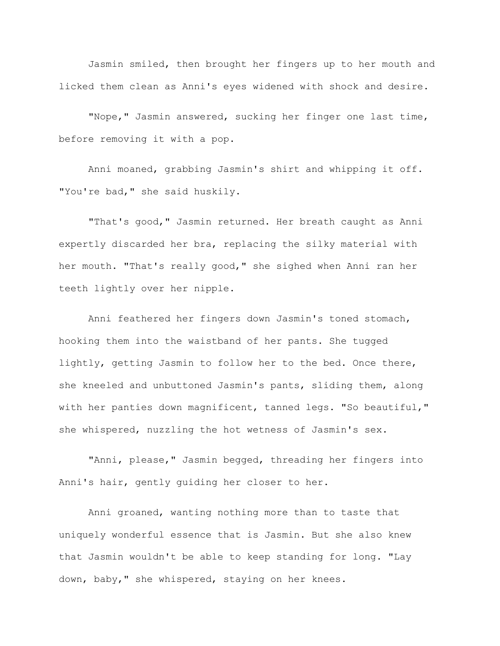Jasmin smiled, then brought her fingers up to her mouth and licked them clean as Anni's eyes widened with shock and desire.

"Nope," Jasmin answered, sucking her finger one last time, before removing it with a pop.

Anni moaned, grabbing Jasmin's shirt and whipping it off. "You're bad," she said huskily.

"That's good," Jasmin returned. Her breath caught as Anni expertly discarded her bra, replacing the silky material with her mouth. "That's really good," she sighed when Anni ran her teeth lightly over her nipple.

Anni feathered her fingers down Jasmin's toned stomach, hooking them into the waistband of her pants. She tugged lightly, getting Jasmin to follow her to the bed. Once there, she kneeled and unbuttoned Jasmin's pants, sliding them, along with her panties down magnificent, tanned legs. "So beautiful," she whispered, nuzzling the hot wetness of Jasmin's sex.

"Anni, please," Jasmin begged, threading her fingers into Anni's hair, gently guiding her closer to her.

Anni groaned, wanting nothing more than to taste that uniquely wonderful essence that is Jasmin. But she also knew that Jasmin wouldn't be able to keep standing for long. "Lay down, baby," she whispered, staying on her knees.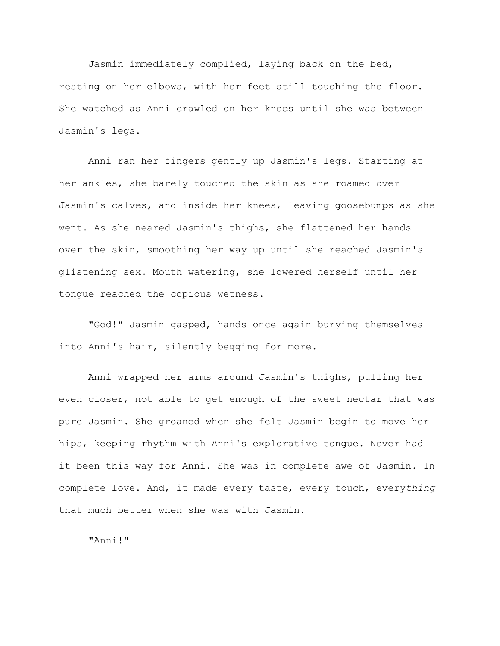Jasmin immediately complied, laying back on the bed, resting on her elbows, with her feet still touching the floor. She watched as Anni crawled on her knees until she was between Jasmin's legs.

Anni ran her fingers gently up Jasmin's legs. Starting at her ankles, she barely touched the skin as she roamed over Jasmin's calves, and inside her knees, leaving goosebumps as she went. As she neared Jasmin's thighs, she flattened her hands over the skin, smoothing her way up until she reached Jasmin's glistening sex. Mouth watering, she lowered herself until her tongue reached the copious wetness.

"God!" Jasmin gasped, hands once again burying themselves into Anni's hair, silently begging for more.

Anni wrapped her arms around Jasmin's thighs, pulling her even closer, not able to get enough of the sweet nectar that was pure Jasmin. She groaned when she felt Jasmin begin to move her hips, keeping rhythm with Anni's explorative tongue. Never had it been this way for Anni. She was in complete awe of Jasmin. In complete love. And, it made every taste, every touch, every*thing* that much better when she was with Jasmin.

"Anni!"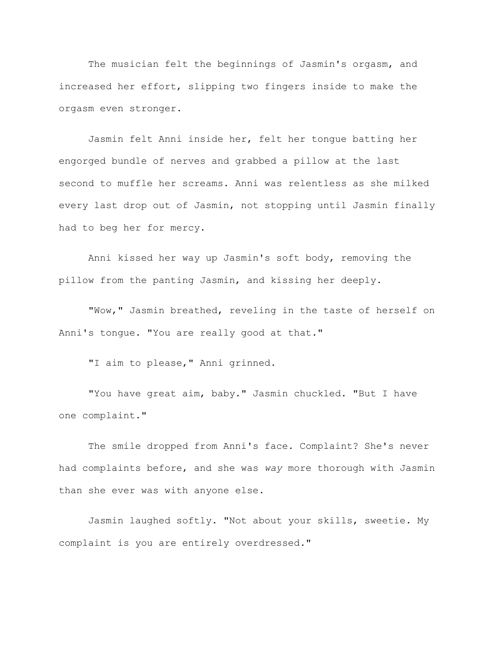The musician felt the beginnings of Jasmin's orgasm, and increased her effort, slipping two fingers inside to make the orgasm even stronger.

Jasmin felt Anni inside her, felt her tongue batting her engorged bundle of nerves and grabbed a pillow at the last second to muffle her screams. Anni was relentless as she milked every last drop out of Jasmin, not stopping until Jasmin finally had to beg her for mercy.

Anni kissed her way up Jasmin's soft body, removing the pillow from the panting Jasmin, and kissing her deeply.

"Wow," Jasmin breathed, reveling in the taste of herself on Anni's tongue. "You are really good at that."

"I aim to please," Anni grinned.

"You have great aim, baby." Jasmin chuckled. "But I have one complaint."

The smile dropped from Anni's face. Complaint? She's never had complaints before, and she was *way* more thorough with Jasmin than she ever was with anyone else.

Jasmin laughed softly. "Not about your skills, sweetie. My complaint is you are entirely overdressed."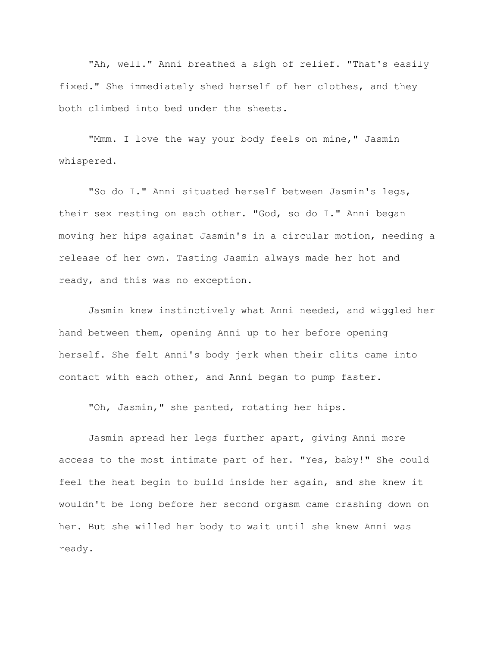"Ah, well." Anni breathed a sigh of relief. "That's easily fixed." She immediately shed herself of her clothes, and they both climbed into bed under the sheets.

"Mmm. I love the way your body feels on mine," Jasmin whispered.

"So do I." Anni situated herself between Jasmin's legs, their sex resting on each other. "God, so do I." Anni began moving her hips against Jasmin's in a circular motion, needing a release of her own. Tasting Jasmin always made her hot and ready, and this was no exception.

Jasmin knew instinctively what Anni needed, and wiggled her hand between them, opening Anni up to her before opening herself. She felt Anni's body jerk when their clits came into contact with each other, and Anni began to pump faster.

"Oh, Jasmin," she panted, rotating her hips.

Jasmin spread her legs further apart, giving Anni more access to the most intimate part of her. "Yes, baby!" She could feel the heat begin to build inside her again, and she knew it wouldn't be long before her second orgasm came crashing down on her. But she willed her body to wait until she knew Anni was ready.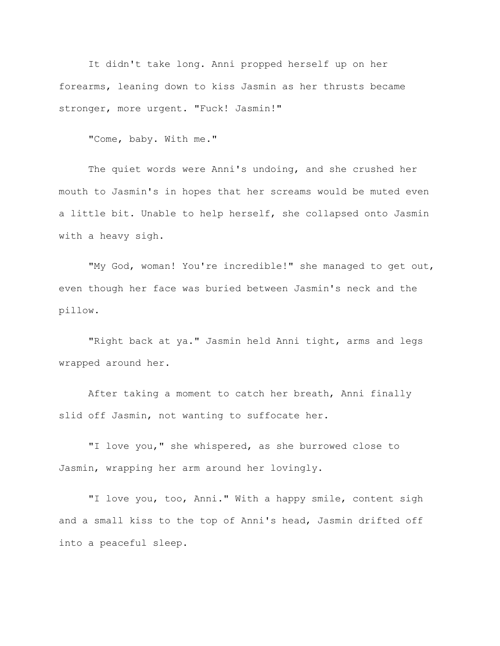It didn't take long. Anni propped herself up on her forearms, leaning down to kiss Jasmin as her thrusts became stronger, more urgent. "Fuck! Jasmin!"

"Come, baby. With me."

The quiet words were Anni's undoing, and she crushed her mouth to Jasmin's in hopes that her screams would be muted even a little bit. Unable to help herself, she collapsed onto Jasmin with a heavy sigh.

"My God, woman! You're incredible!" she managed to get out, even though her face was buried between Jasmin's neck and the pillow.

"Right back at ya." Jasmin held Anni tight, arms and legs wrapped around her.

After taking a moment to catch her breath, Anni finally slid off Jasmin, not wanting to suffocate her.

"I love you," she whispered, as she burrowed close to Jasmin, wrapping her arm around her lovingly.

"I love you, too, Anni." With a happy smile, content sigh and a small kiss to the top of Anni's head, Jasmin drifted off into a peaceful sleep.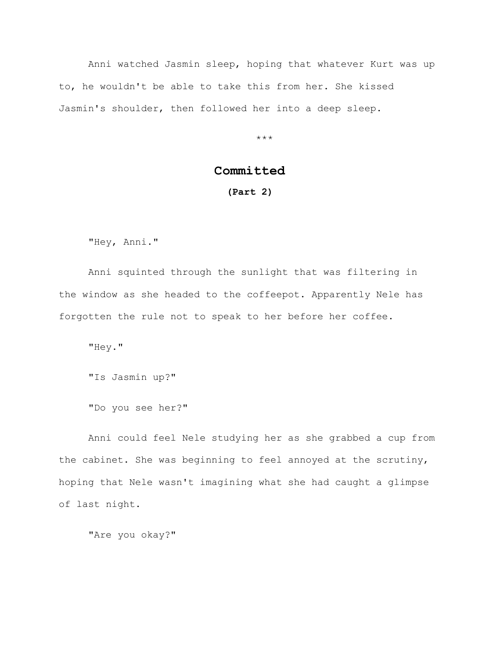Anni watched Jasmin sleep, hoping that whatever Kurt was up to, he wouldn't be able to take this from her. She kissed Jasmin's shoulder, then followed her into a deep sleep.

\*\*\*

## **Committed**

## **(Part 2)**

"Hey, Anni."

Anni squinted through the sunlight that was filtering in the window as she headed to the coffeepot. Apparently Nele has forgotten the rule not to speak to her before her coffee.

"Hey."

"Is Jasmin up?"

"Do you see her?"

Anni could feel Nele studying her as she grabbed a cup from the cabinet. She was beginning to feel annoyed at the scrutiny, hoping that Nele wasn't imagining what she had caught a glimpse of last night.

"Are you okay?"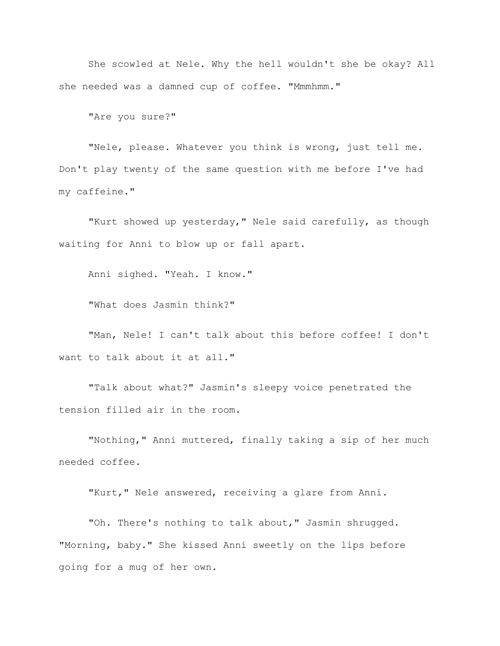She scowled at Nele. Why the hell wouldn't she be okay? All she needed was a damned cup of coffee. "Mmmhmm."

"Are you sure?"

"Nele, please. Whatever you think is wrong, just tell me. Don't play twenty of the same question with me before I've had my caffeine."

"Kurt showed up yesterday," Nele said carefully, as though waiting for Anni to blow up or fall apart.

Anni sighed. "Yeah. I know."

"What does Jasmin think?"

"Man, Nele! I can't talk about this before coffee! I don't want to talk about it at all."

"Talk about what?" Jasmin's sleepy voice penetrated the tension filled air in the room.

"Nothing," Anni muttered, finally taking a sip of her much needed coffee.

"Kurt," Nele answered, receiving a glare from Anni.

"Oh. There's nothing to talk about," Jasmin shrugged. "Morning, baby." She kissed Anni sweetly on the lips before going for a mug of her own.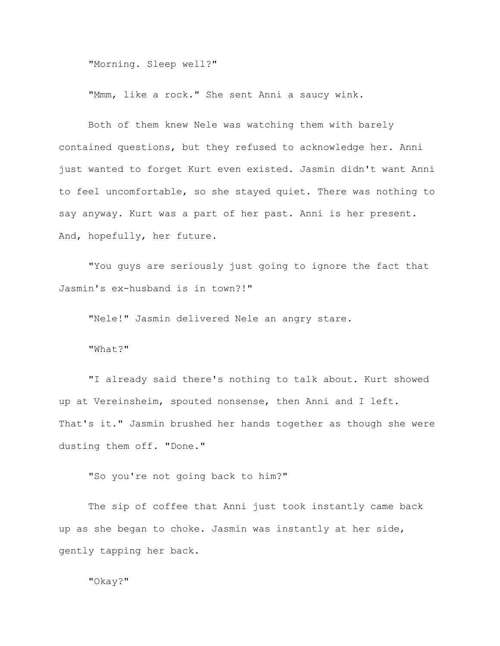"Morning. Sleep well?"

"Mmm, like a rock." She sent Anni a saucy wink.

Both of them knew Nele was watching them with barely contained questions, but they refused to acknowledge her. Anni just wanted to forget Kurt even existed. Jasmin didn't want Anni to feel uncomfortable, so she stayed quiet. There was nothing to say anyway. Kurt was a part of her past. Anni is her present. And, hopefully, her future.

"You guys are seriously just going to ignore the fact that Jasmin's ex-husband is in town?!"

"Nele!" Jasmin delivered Nele an angry stare.

"What?"

"I already said there's nothing to talk about. Kurt showed up at Vereinsheim, spouted nonsense, then Anni and I left. That's it." Jasmin brushed her hands together as though she were dusting them off. "Done."

"So you're not going back to him?"

The sip of coffee that Anni just took instantly came back up as she began to choke. Jasmin was instantly at her side, gently tapping her back.

"Okay?"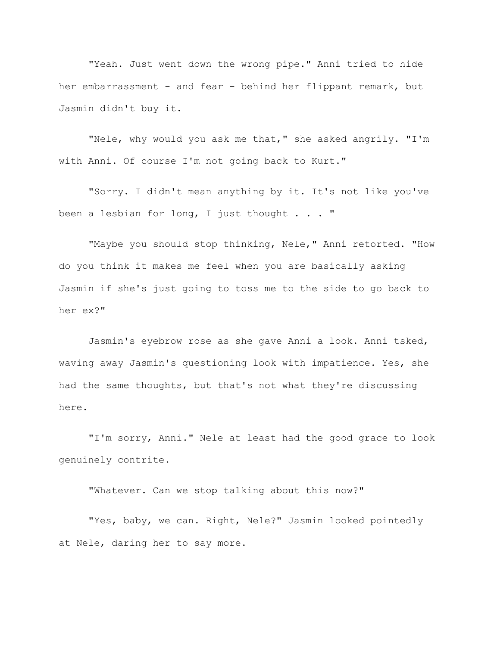"Yeah. Just went down the wrong pipe." Anni tried to hide her embarrassment - and fear - behind her flippant remark, but Jasmin didn't buy it.

"Nele, why would you ask me that," she asked angrily. "I'm with Anni. Of course I'm not going back to Kurt."

"Sorry. I didn't mean anything by it. It's not like you've been a lesbian for long, I just thought . . . "

"Maybe you should stop thinking, Nele," Anni retorted. "How do you think it makes me feel when you are basically asking Jasmin if she's just going to toss me to the side to go back to her ex?"

Jasmin's eyebrow rose as she gave Anni a look. Anni tsked, waving away Jasmin's questioning look with impatience. Yes, she had the same thoughts, but that's not what they're discussing here.

"I'm sorry, Anni." Nele at least had the good grace to look genuinely contrite.

"Whatever. Can we stop talking about this now?"

"Yes, baby, we can. Right, Nele?" Jasmin looked pointedly at Nele, daring her to say more.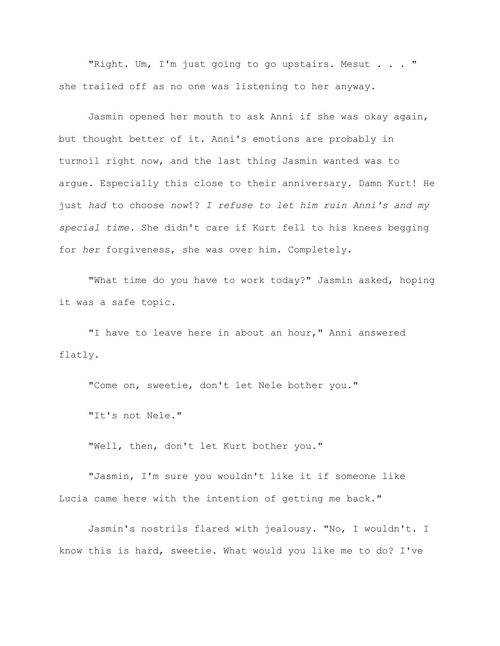"Right. Um, I'm just going to go upstairs. Mesut . . . " she trailed off as no one was listening to her anyway.

Jasmin opened her mouth to ask Anni if she was okay again, but thought better of it. Anni's emotions are probably in turmoil right now, and the last thing Jasmin wanted was to argue. Especially this close to their anniversary. Damn Kurt! He just *had* to choose *now*!? *I refuse to let him ruin Anni's and my special time.* She didn't care if Kurt fell to his knees begging for *her* forgiveness, she was over him. Completely.

"What time do you have to work today?" Jasmin asked, hoping it was a safe topic.

"I have to leave here in about an hour," Anni answered flatly.

"Come on, sweetie, don't let Nele bother you."

"It's not Nele."

"Well, then, don't let Kurt bother you."

"Jasmin, I'm sure you wouldn't like it if someone like Lucia came here with the intention of getting me back."

Jasmin's nostrils flared with jealousy. "No, I wouldn't. I know this is hard, sweetie. What would you like me to do? I've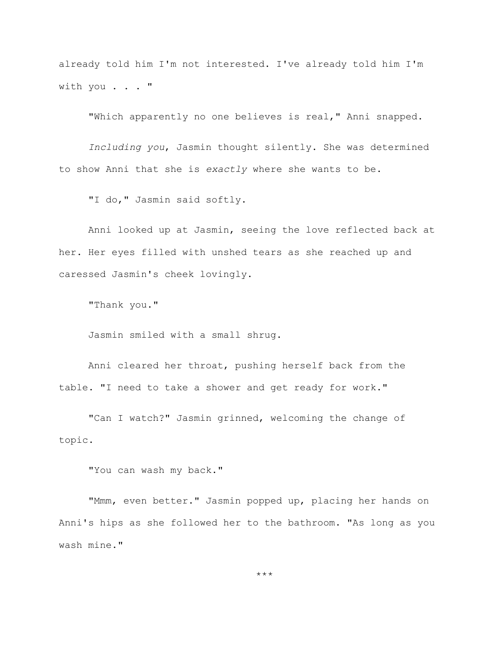already told him I'm not interested. I've already told him I'm with you . . . "

"Which apparently no one believes is real," Anni snapped.

*Including you*, Jasmin thought silently. She was determined to show Anni that she is *exactly* where she wants to be.

"I do," Jasmin said softly.

Anni looked up at Jasmin, seeing the love reflected back at her. Her eyes filled with unshed tears as she reached up and caressed Jasmin's cheek lovingly.

"Thank you."

Jasmin smiled with a small shrug.

Anni cleared her throat, pushing herself back from the table. "I need to take a shower and get ready for work."

"Can I watch?" Jasmin grinned, welcoming the change of topic.

"You can wash my back."

"Mmm, even better." Jasmin popped up, placing her hands on Anni's hips as she followed her to the bathroom. "As long as you wash mine."

\*\*\*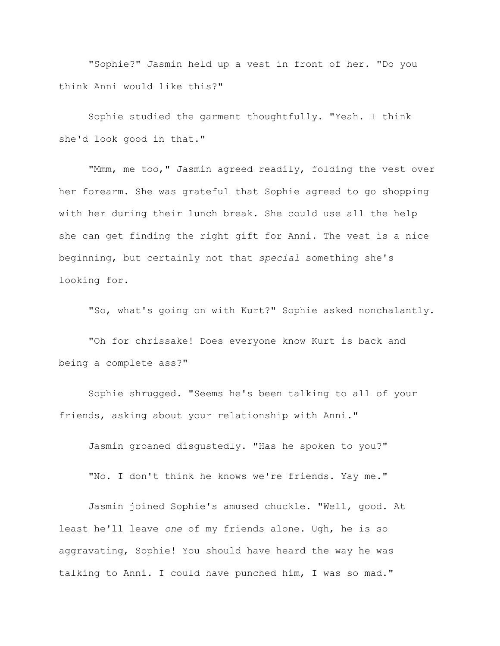"Sophie?" Jasmin held up a vest in front of her. "Do you think Anni would like this?"

Sophie studied the garment thoughtfully. "Yeah. I think she'd look good in that."

"Mmm, me too," Jasmin agreed readily, folding the vest over her forearm. She was grateful that Sophie agreed to go shopping with her during their lunch break. She could use all the help she can get finding the right gift for Anni. The vest is a nice beginning, but certainly not that *special* something she's looking for.

"So, what's going on with Kurt?" Sophie asked nonchalantly.

"Oh for chrissake! Does everyone know Kurt is back and being a complete ass?"

Sophie shrugged. "Seems he's been talking to all of your friends, asking about your relationship with Anni."

Jasmin groaned disgustedly. "Has he spoken to you?"

"No. I don't think he knows we're friends. Yay me."

Jasmin joined Sophie's amused chuckle. "Well, good. At least he'll leave *one* of my friends alone. Ugh, he is so aggravating, Sophie! You should have heard the way he was talking to Anni. I could have punched him, I was so mad."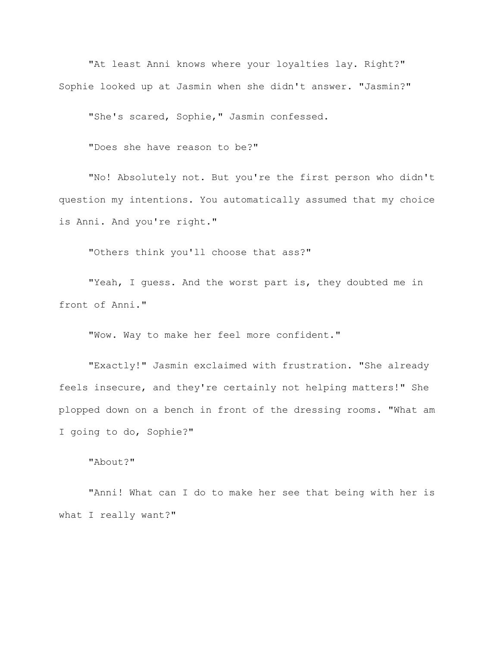"At least Anni knows where your loyalties lay. Right?" Sophie looked up at Jasmin when she didn't answer. "Jasmin?"

"She's scared, Sophie," Jasmin confessed.

"Does she have reason to be?"

"No! Absolutely not. But you're the first person who didn't question my intentions. You automatically assumed that my choice is Anni. And you're right."

"Others think you'll choose that ass?"

"Yeah, I guess. And the worst part is, they doubted me in front of Anni."

"Wow. Way to make her feel more confident."

"Exactly!" Jasmin exclaimed with frustration. "She already feels insecure, and they're certainly not helping matters!" She plopped down on a bench in front of the dressing rooms. "What am I going to do, Sophie?"

"About?"

"Anni! What can I do to make her see that being with her is what I really want?"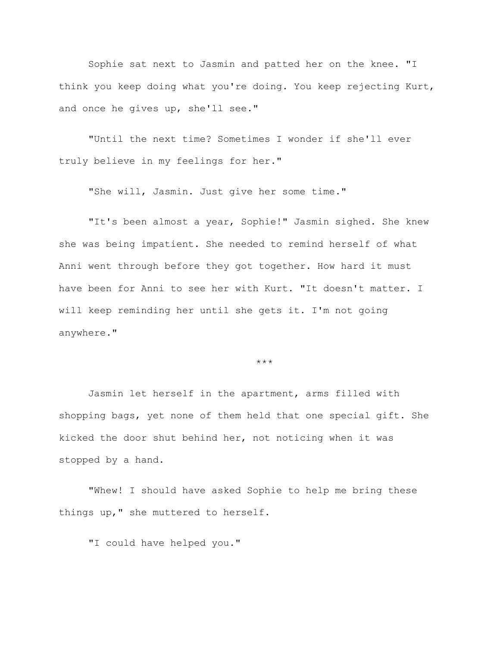Sophie sat next to Jasmin and patted her on the knee. "I think you keep doing what you're doing. You keep rejecting Kurt, and once he gives up, she'll see."

"Until the next time? Sometimes I wonder if she'll ever truly believe in my feelings for her."

"She will, Jasmin. Just give her some time."

"It's been almost a year, Sophie!" Jasmin sighed. She knew she was being impatient. She needed to remind herself of what Anni went through before they got together. How hard it must have been for Anni to see her with Kurt. "It doesn't matter. I will keep reminding her until she gets it. I'm not going anywhere."

\*\*\*

Jasmin let herself in the apartment, arms filled with shopping bags, yet none of them held that one special gift. She kicked the door shut behind her, not noticing when it was stopped by a hand.

"Whew! I should have asked Sophie to help me bring these things up," she muttered to herself.

"I could have helped you."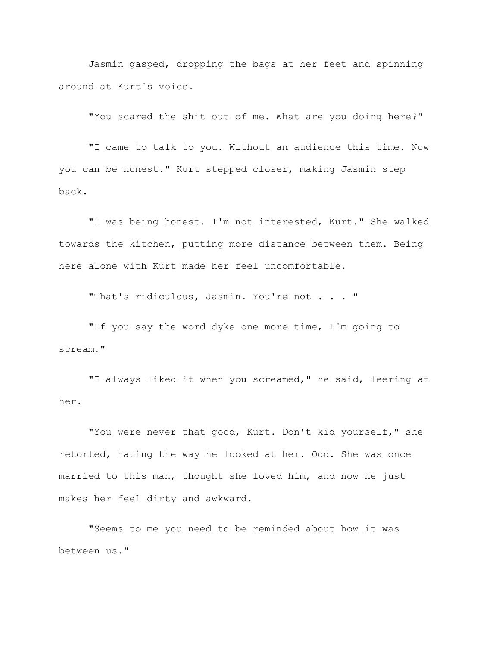Jasmin gasped, dropping the bags at her feet and spinning around at Kurt's voice.

"You scared the shit out of me. What are you doing here?"

"I came to talk to you. Without an audience this time. Now you can be honest." Kurt stepped closer, making Jasmin step back.

"I was being honest. I'm not interested, Kurt." She walked towards the kitchen, putting more distance between them. Being here alone with Kurt made her feel uncomfortable.

"That's ridiculous, Jasmin. You're not . . . "

"If you say the word dyke one more time, I'm going to scream."

"I always liked it when you screamed," he said, leering at her.

"You were never that good, Kurt. Don't kid yourself," she retorted, hating the way he looked at her. Odd. She was once married to this man, thought she loved him, and now he just makes her feel dirty and awkward.

"Seems to me you need to be reminded about how it was between us."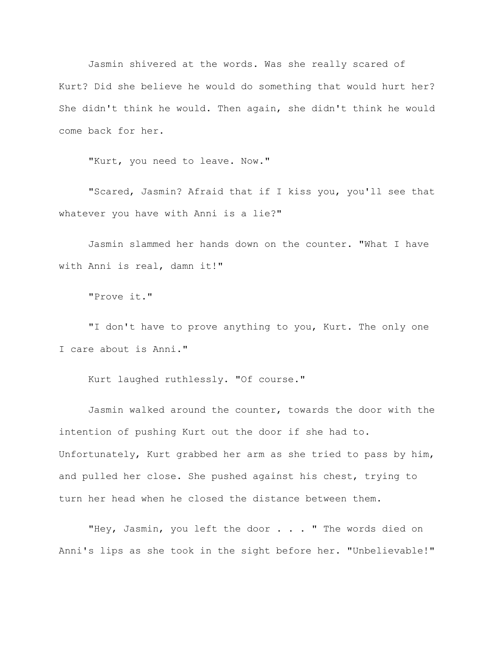Jasmin shivered at the words. Was she really scared of Kurt? Did she believe he would do something that would hurt her? She didn't think he would. Then again, she didn't think he would come back for her.

"Kurt, you need to leave. Now."

"Scared, Jasmin? Afraid that if I kiss you, you'll see that whatever you have with Anni is a lie?"

Jasmin slammed her hands down on the counter. "What I have with Anni is real, damn it!"

"Prove it."

"I don't have to prove anything to you, Kurt. The only one I care about is Anni."

Kurt laughed ruthlessly. "Of course."

Jasmin walked around the counter, towards the door with the intention of pushing Kurt out the door if she had to. Unfortunately, Kurt grabbed her arm as she tried to pass by him, and pulled her close. She pushed against his chest, trying to turn her head when he closed the distance between them.

"Hey, Jasmin, you left the door . . . " The words died on Anni's lips as she took in the sight before her. "Unbelievable!"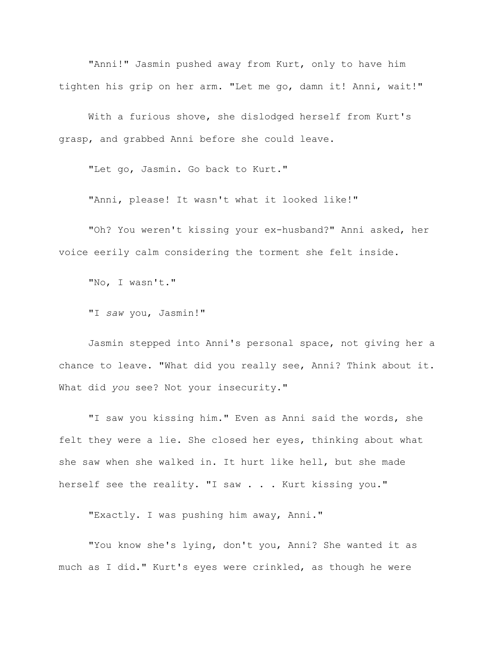"Anni!" Jasmin pushed away from Kurt, only to have him tighten his grip on her arm. "Let me go, damn it! Anni, wait!"

With a furious shove, she dislodged herself from Kurt's grasp, and grabbed Anni before she could leave.

"Let go, Jasmin. Go back to Kurt."

"Anni, please! It wasn't what it looked like!"

"Oh? You weren't kissing your ex-husband?" Anni asked, her voice eerily calm considering the torment she felt inside.

"No, I wasn't."

"I *saw* you, Jasmin!"

Jasmin stepped into Anni's personal space, not giving her a chance to leave. "What did you really see, Anni? Think about it. What did *you* see? Not your insecurity."

"I saw you kissing him." Even as Anni said the words, she felt they were a lie. She closed her eyes, thinking about what she saw when she walked in. It hurt like hell, but she made herself see the reality. "I saw . . . Kurt kissing you."

"Exactly. I was pushing him away, Anni."

"You know she's lying, don't you, Anni? She wanted it as much as I did." Kurt's eyes were crinkled, as though he were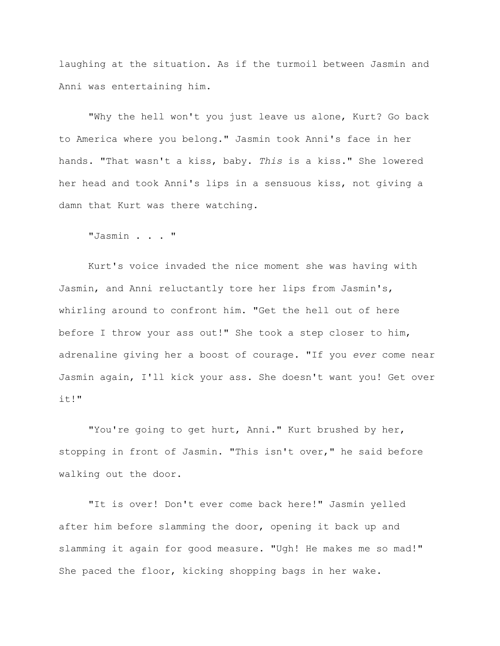laughing at the situation. As if the turmoil between Jasmin and Anni was entertaining him.

"Why the hell won't you just leave us alone, Kurt? Go back to America where you belong." Jasmin took Anni's face in her hands. "That wasn't a kiss, baby. *This* is a kiss." She lowered her head and took Anni's lips in a sensuous kiss, not giving a damn that Kurt was there watching.

"Jasmin . . . "

Kurt's voice invaded the nice moment she was having with Jasmin, and Anni reluctantly tore her lips from Jasmin's, whirling around to confront him. "Get the hell out of here before I throw your ass out!" She took a step closer to him, adrenaline giving her a boost of courage. "If you *ever* come near Jasmin again, I'll kick your ass. She doesn't want you! Get over it!"

"You're going to get hurt, Anni." Kurt brushed by her, stopping in front of Jasmin. "This isn't over," he said before walking out the door.

"It is over! Don't ever come back here!" Jasmin yelled after him before slamming the door, opening it back up and slamming it again for good measure. "Ugh! He makes me so mad!" She paced the floor, kicking shopping bags in her wake.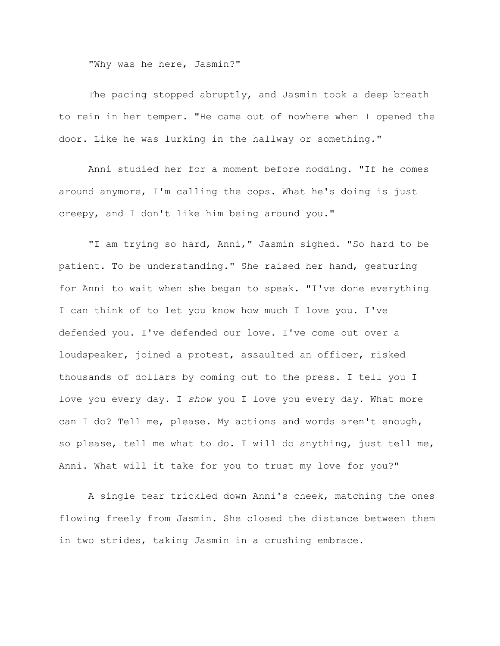"Why was he here, Jasmin?"

The pacing stopped abruptly, and Jasmin took a deep breath to rein in her temper. "He came out of nowhere when I opened the door. Like he was lurking in the hallway or something."

Anni studied her for a moment before nodding. "If he comes around anymore, I'm calling the cops. What he's doing is just creepy, and I don't like him being around you."

"I am trying so hard, Anni," Jasmin sighed. "So hard to be patient. To be understanding." She raised her hand, gesturing for Anni to wait when she began to speak. "I've done everything I can think of to let you know how much I love you. I've defended you. I've defended our love. I've come out over a loudspeaker, joined a protest, assaulted an officer, risked thousands of dollars by coming out to the press. I tell you I love you every day. I *show* you I love you every day. What more can I do? Tell me, please. My actions and words aren't enough, so please, tell me what to do. I will do anything, just tell me, Anni. What will it take for you to trust my love for you?"

A single tear trickled down Anni's cheek, matching the ones flowing freely from Jasmin. She closed the distance between them in two strides, taking Jasmin in a crushing embrace.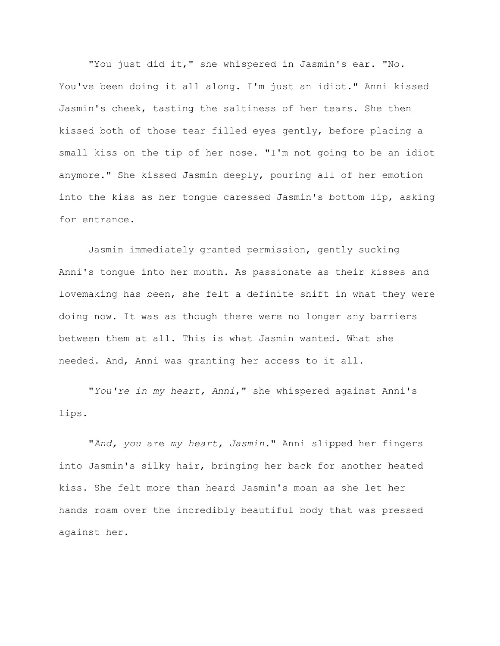"You just did it," she whispered in Jasmin's ear. "No. You've been doing it all along. I'm just an idiot." Anni kissed Jasmin's cheek, tasting the saltiness of her tears. She then kissed both of those tear filled eyes gently, before placing a small kiss on the tip of her nose. "I'm not going to be an idiot anymore." She kissed Jasmin deeply, pouring all of her emotion into the kiss as her tongue caressed Jasmin's bottom lip, asking for entrance.

Jasmin immediately granted permission, gently sucking Anni's tongue into her mouth. As passionate as their kisses and lovemaking has been, she felt a definite shift in what they were doing now. It was as though there were no longer any barriers between them at all. This is what Jasmin wanted. What she needed. And, Anni was granting her access to it all.

"*You're in my heart, Anni*," she whispered against Anni's lips.

"*And, you* are *my heart, Jasmin.*" Anni slipped her fingers into Jasmin's silky hair, bringing her back for another heated kiss. She felt more than heard Jasmin's moan as she let her hands roam over the incredibly beautiful body that was pressed against her.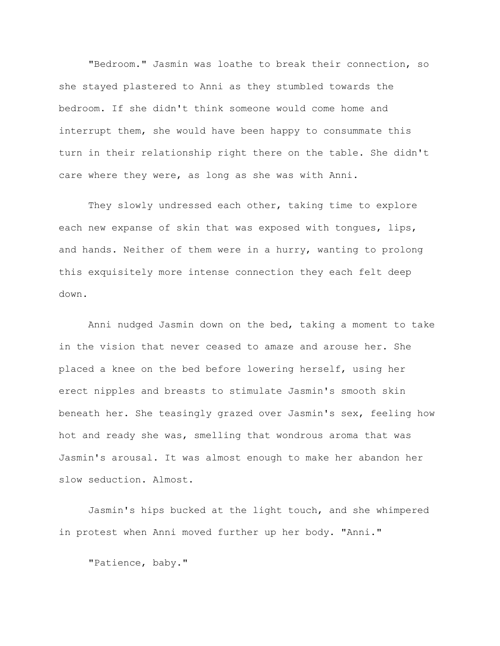"Bedroom." Jasmin was loathe to break their connection, so she stayed plastered to Anni as they stumbled towards the bedroom. If she didn't think someone would come home and interrupt them, she would have been happy to consummate this turn in their relationship right there on the table. She didn't care where they were, as long as she was with Anni.

They slowly undressed each other, taking time to explore each new expanse of skin that was exposed with tongues, lips, and hands. Neither of them were in a hurry, wanting to prolong this exquisitely more intense connection they each felt deep down.

Anni nudged Jasmin down on the bed, taking a moment to take in the vision that never ceased to amaze and arouse her. She placed a knee on the bed before lowering herself, using her erect nipples and breasts to stimulate Jasmin's smooth skin beneath her. She teasingly grazed over Jasmin's sex, feeling how hot and ready she was, smelling that wondrous aroma that was Jasmin's arousal. It was almost enough to make her abandon her slow seduction. Almost.

Jasmin's hips bucked at the light touch, and she whimpered in protest when Anni moved further up her body. "Anni."

"Patience, baby."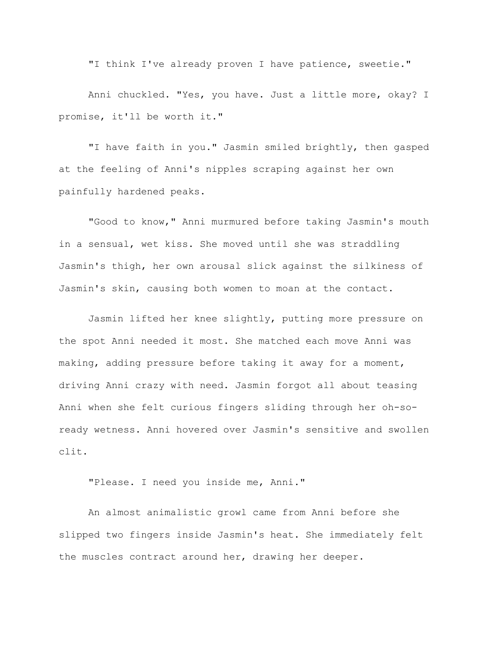"I think I've already proven I have patience, sweetie."

Anni chuckled. "Yes, you have. Just a little more, okay? I promise, it'll be worth it."

"I have faith in you." Jasmin smiled brightly, then gasped at the feeling of Anni's nipples scraping against her own painfully hardened peaks.

"Good to know," Anni murmured before taking Jasmin's mouth in a sensual, wet kiss. She moved until she was straddling Jasmin's thigh, her own arousal slick against the silkiness of Jasmin's skin, causing both women to moan at the contact.

Jasmin lifted her knee slightly, putting more pressure on the spot Anni needed it most. She matched each move Anni was making, adding pressure before taking it away for a moment, driving Anni crazy with need. Jasmin forgot all about teasing Anni when she felt curious fingers sliding through her oh-soready wetness. Anni hovered over Jasmin's sensitive and swollen clit.

"Please. I need you inside me, Anni."

An almost animalistic growl came from Anni before she slipped two fingers inside Jasmin's heat. She immediately felt the muscles contract around her, drawing her deeper.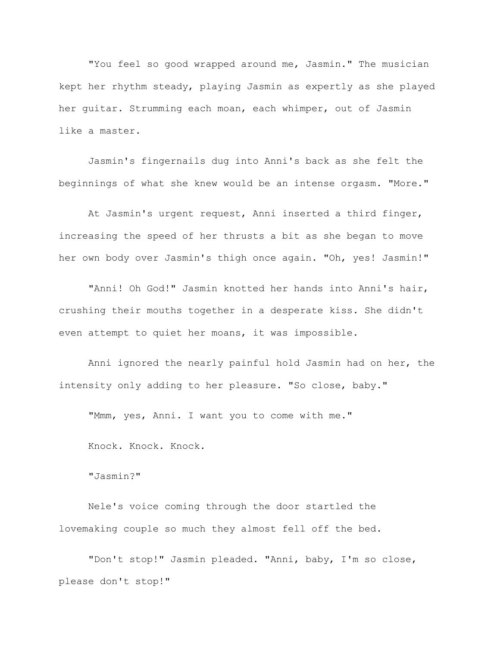"You feel so good wrapped around me, Jasmin." The musician kept her rhythm steady, playing Jasmin as expertly as she played her guitar. Strumming each moan, each whimper, out of Jasmin like a master.

Jasmin's fingernails dug into Anni's back as she felt the beginnings of what she knew would be an intense orgasm. "More."

At Jasmin's urgent request, Anni inserted a third finger, increasing the speed of her thrusts a bit as she began to move her own body over Jasmin's thigh once again. "Oh, yes! Jasmin!"

"Anni! Oh God!" Jasmin knotted her hands into Anni's hair, crushing their mouths together in a desperate kiss. She didn't even attempt to quiet her moans, it was impossible.

Anni ignored the nearly painful hold Jasmin had on her, the intensity only adding to her pleasure. "So close, baby."

"Mmm, yes, Anni. I want you to come with me."

Knock. Knock. Knock.

"Jasmin?"

Nele's voice coming through the door startled the lovemaking couple so much they almost fell off the bed.

"Don't stop!" Jasmin pleaded. "Anni, baby, I'm so close, please don't stop!"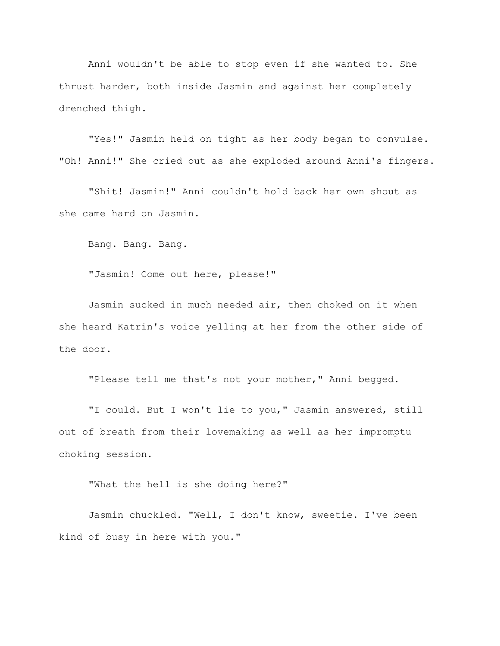Anni wouldn't be able to stop even if she wanted to. She thrust harder, both inside Jasmin and against her completely drenched thigh.

"Yes!" Jasmin held on tight as her body began to convulse. "Oh! Anni!" She cried out as she exploded around Anni's fingers.

"Shit! Jasmin!" Anni couldn't hold back her own shout as she came hard on Jasmin.

Bang. Bang. Bang.

"Jasmin! Come out here, please!"

Jasmin sucked in much needed air, then choked on it when she heard Katrin's voice yelling at her from the other side of the door.

"Please tell me that's not your mother," Anni begged.

"I could. But I won't lie to you," Jasmin answered, still out of breath from their lovemaking as well as her impromptu choking session.

"What the hell is she doing here?"

Jasmin chuckled. "Well, I don't know, sweetie. I've been kind of busy in here with you."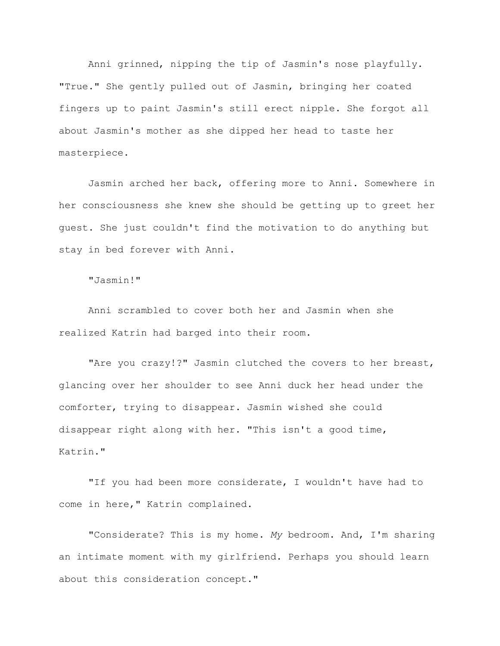Anni grinned, nipping the tip of Jasmin's nose playfully. "True." She gently pulled out of Jasmin, bringing her coated fingers up to paint Jasmin's still erect nipple. She forgot all about Jasmin's mother as she dipped her head to taste her masterpiece.

Jasmin arched her back, offering more to Anni. Somewhere in her consciousness she knew she should be getting up to greet her guest. She just couldn't find the motivation to do anything but stay in bed forever with Anni.

"Jasmin!"

Anni scrambled to cover both her and Jasmin when she realized Katrin had barged into their room.

"Are you crazy!?" Jasmin clutched the covers to her breast, glancing over her shoulder to see Anni duck her head under the comforter, trying to disappear. Jasmin wished she could disappear right along with her. "This isn't a good time, Katrin."

"If you had been more considerate, I wouldn't have had to come in here," Katrin complained.

"Considerate? This is my home. *My* bedroom. And, I'm sharing an intimate moment with my girlfriend. Perhaps you should learn about this consideration concept."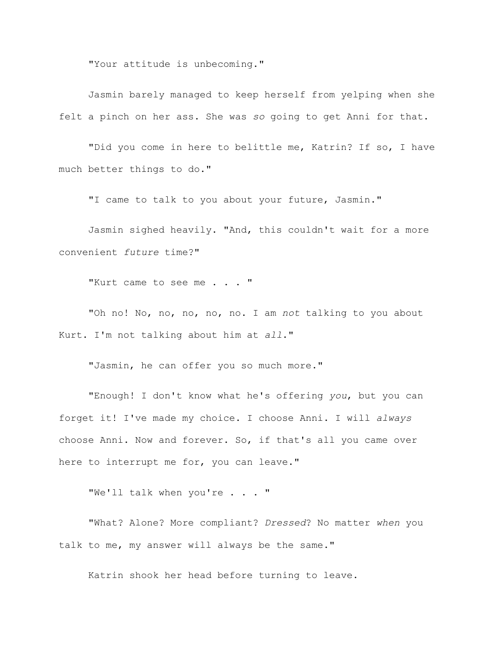"Your attitude is unbecoming."

Jasmin barely managed to keep herself from yelping when she felt a pinch on her ass. She was *so* going to get Anni for that.

"Did you come in here to belittle me, Katrin? If so, I have much better things to do."

"I came to talk to you about your future, Jasmin."

Jasmin sighed heavily. "And, this couldn't wait for a more convenient *future* time?"

"Kurt came to see me . . . "

"Oh no! No, no, no, no, no. I am *not* talking to you about Kurt. I'm not talking about him at *all*."

"Jasmin, he can offer you so much more."

"Enough! I don't know what he's offering *you*, but you can forget it! I've made my choice. I choose Anni. I will *always* choose Anni. Now and forever. So, if that's all you came over here to interrupt me for, you can leave."

"We'll talk when you're . . . "

"What? Alone? More compliant? *Dressed*? No matter *when* you talk to me, my answer will always be the same."

Katrin shook her head before turning to leave.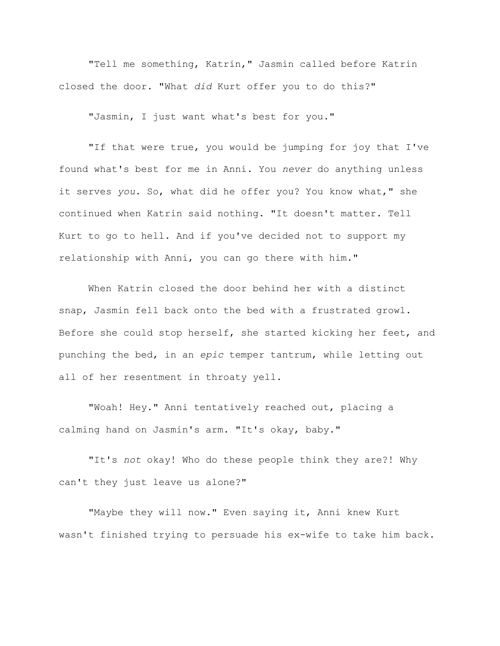"Tell me something, Katrin," Jasmin called before Katrin closed the door. "What *did* Kurt offer you to do this?"

"Jasmin, I just want what's best for you."

"If that were true, you would be jumping for joy that I've found what's best for me in Anni. You *never* do anything unless it serves *you*. So, what did he offer you? You know what," she continued when Katrin said nothing. "It doesn't matter. Tell Kurt to go to hell. And if you've decided not to support my relationship with Anni, you can go there with him."

When Katrin closed the door behind her with a distinct snap, Jasmin fell back onto the bed with a frustrated growl. Before she could stop herself, she started kicking her feet, and punching the bed, in an *epic* temper tantrum, while letting out all of her resentment in throaty yell.

"Woah! Hey." Anni tentatively reached out, placing a calming hand on Jasmin's arm. "It's okay, baby."

"It's *not* okay! Who do these people think they are?! Why can't they just leave us alone?"

"Maybe they will now." Even saying it, Anni knew Kurt wasn't finished trying to persuade his ex-wife to take him back.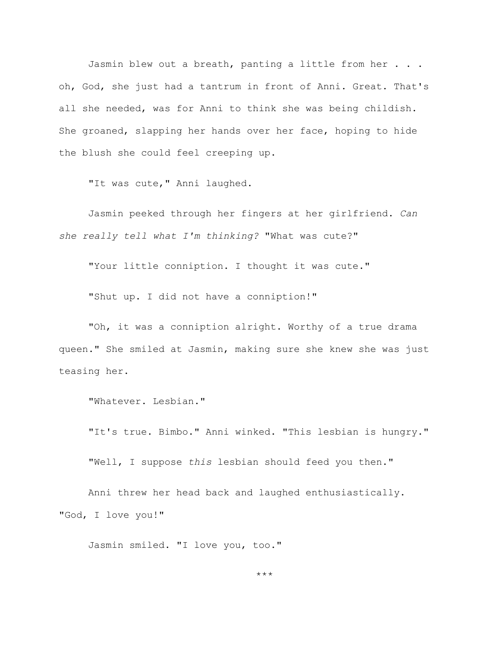Jasmin blew out a breath, panting a little from her . . . oh, God, she just had a tantrum in front of Anni. Great. That's all she needed, was for Anni to think she was being childish. She groaned, slapping her hands over her face, hoping to hide the blush she could feel creeping up.

"It was cute, " Anni laughed.

Jasmin peeked through her fingers at her girlfriend. *Can she really tell what I'm thinking?* "What was cute?"

"Your little conniption. I thought it was cute."

"Shut up. I did not have a conniption!"

"Oh, it was a conniption alright. Worthy of a true drama queen." She smiled at Jasmin, making sure she knew she was just teasing her.

"Whatever. Lesbian."

"It's true. Bimbo." Anni winked. "This lesbian is hungry."

"Well, I suppose *this* lesbian should feed you then."

Anni threw her head back and laughed enthusiastically. "God, I love you!"

Jasmin smiled. "I love you, too."

\*\*\*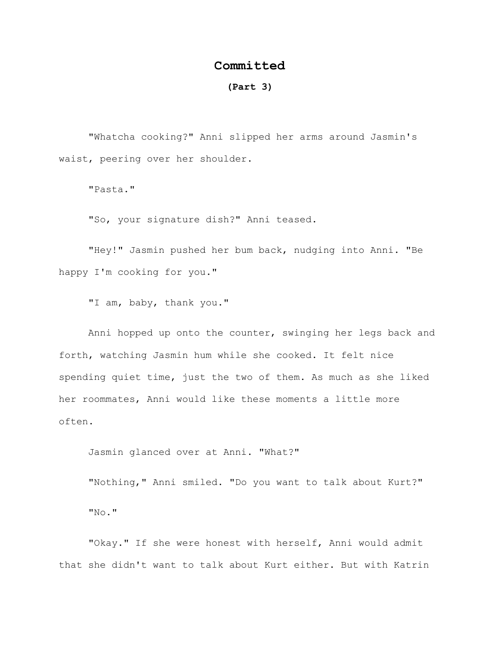## **Committed**

## **(Part 3)**

"Whatcha cooking?" Anni slipped her arms around Jasmin's waist, peering over her shoulder.

"Pasta."

"So, your signature dish?" Anni teased.

"Hey!" Jasmin pushed her bum back, nudging into Anni. "Be happy I'm cooking for you."

"I am, baby, thank you."

Anni hopped up onto the counter, swinging her legs back and forth, watching Jasmin hum while she cooked. It felt nice spending quiet time, just the two of them. As much as she liked her roommates, Anni would like these moments a little more often.

Jasmin glanced over at Anni. "What?"

"Nothing," Anni smiled. "Do you want to talk about Kurt?" "No."

"Okay." If she were honest with herself, Anni would admit that she didn't want to talk about Kurt either. But with Katrin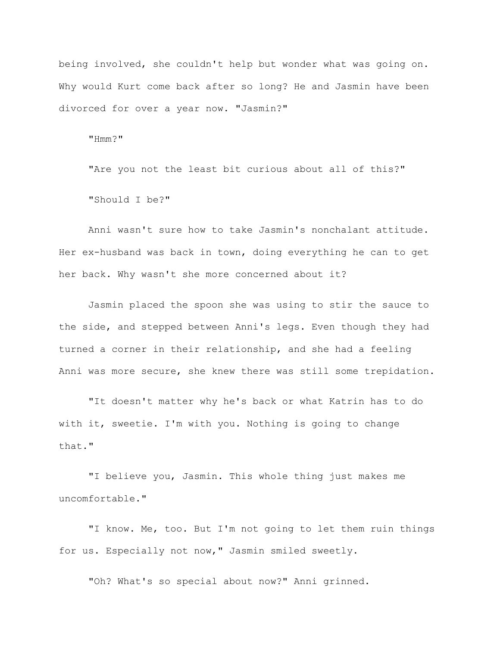being involved, she couldn't help but wonder what was going on. Why would Kurt come back after so long? He and Jasmin have been divorced for over a year now. "Jasmin?"

"Hmm?"

"Are you not the least bit curious about all of this?"

"Should I be?"

Anni wasn't sure how to take Jasmin's nonchalant attitude. Her ex-husband was back in town, doing everything he can to get her back. Why wasn't she more concerned about it?

Jasmin placed the spoon she was using to stir the sauce to the side, and stepped between Anni's legs. Even though they had turned a corner in their relationship, and she had a feeling Anni was more secure, she knew there was still some trepidation.

"It doesn't matter why he's back or what Katrin has to do with it, sweetie. I'm with you. Nothing is going to change that."

"I believe you, Jasmin. This whole thing just makes me uncomfortable."

"I know. Me, too. But I'm not going to let them ruin things for us. Especially not now," Jasmin smiled sweetly.

"Oh? What's so special about now?" Anni grinned.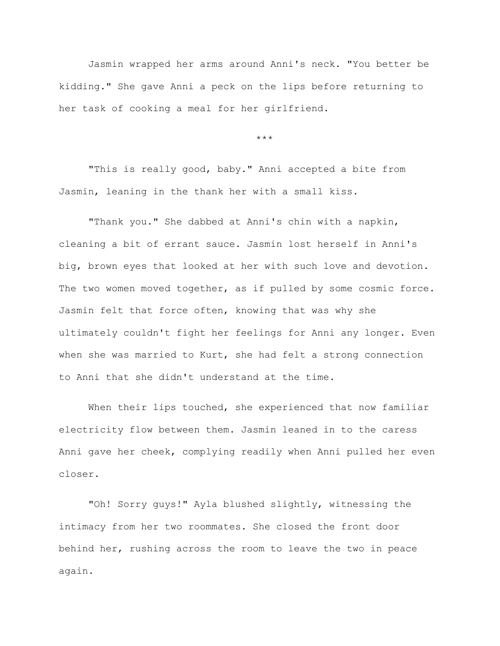Jasmin wrapped her arms around Anni's neck. "You better be kidding." She gave Anni a peck on the lips before returning to her task of cooking a meal for her girlfriend.

\*\*\*

"This is really good, baby." Anni accepted a bite from Jasmin, leaning in the thank her with a small kiss.

"Thank you." She dabbed at Anni's chin with a napkin, cleaning a bit of errant sauce. Jasmin lost herself in Anni's big, brown eyes that looked at her with such love and devotion. The two women moved together, as if pulled by some cosmic force. Jasmin felt that force often, knowing that was why she ultimately couldn't fight her feelings for Anni any longer. Even when she was married to Kurt, she had felt a strong connection to Anni that she didn't understand at the time.

When their lips touched, she experienced that now familiar electricity flow between them. Jasmin leaned in to the caress Anni gave her cheek, complying readily when Anni pulled her even closer.

"Oh! Sorry guys!" Ayla blushed slightly, witnessing the intimacy from her two roommates. She closed the front door behind her, rushing across the room to leave the two in peace again.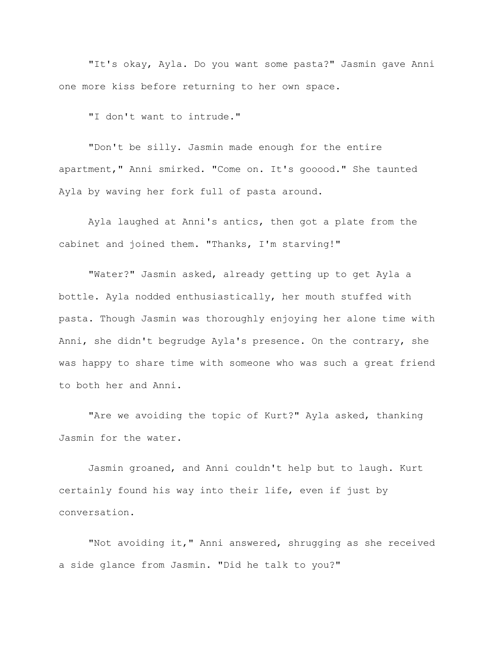"It's okay, Ayla. Do you want some pasta?" Jasmin gave Anni one more kiss before returning to her own space.

"I don't want to intrude."

"Don't be silly. Jasmin made enough for the entire apartment," Anni smirked. "Come on. It's gooood." She taunted Ayla by waving her fork full of pasta around.

Ayla laughed at Anni's antics, then got a plate from the cabinet and joined them. "Thanks, I'm starving!"

"Water?" Jasmin asked, already getting up to get Ayla a bottle. Ayla nodded enthusiastically, her mouth stuffed with pasta. Though Jasmin was thoroughly enjoying her alone time with Anni, she didn't begrudge Ayla's presence. On the contrary, she was happy to share time with someone who was such a great friend to both her and Anni.

"Are we avoiding the topic of Kurt?" Ayla asked, thanking Jasmin for the water.

Jasmin groaned, and Anni couldn't help but to laugh. Kurt certainly found his way into their life, even if just by conversation.

"Not avoiding it," Anni answered, shrugging as she received a side glance from Jasmin. "Did he talk to you?"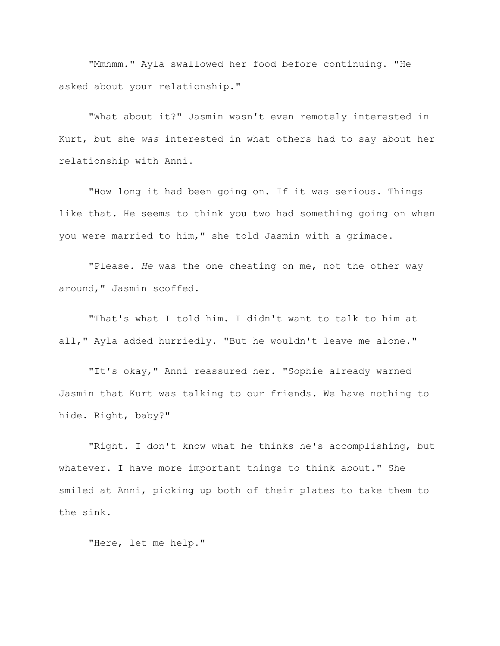"Mmhmm." Ayla swallowed her food before continuing. "He asked about your relationship."

"What about it?" Jasmin wasn't even remotely interested in Kurt, but she *was* interested in what others had to say about her relationship with Anni.

"How long it had been going on. If it was serious. Things like that. He seems to think you two had something going on when you were married to him," she told Jasmin with a grimace.

"Please. *He* was the one cheating on me, not the other way around," Jasmin scoffed.

"That's what I told him. I didn't want to talk to him at all," Ayla added hurriedly. "But he wouldn't leave me alone."

"It's okay," Anni reassured her. "Sophie already warned Jasmin that Kurt was talking to our friends. We have nothing to hide. Right, baby?"

"Right. I don't know what he thinks he's accomplishing, but whatever. I have more important things to think about." She smiled at Anni, picking up both of their plates to take them to the sink.

"Here, let me help."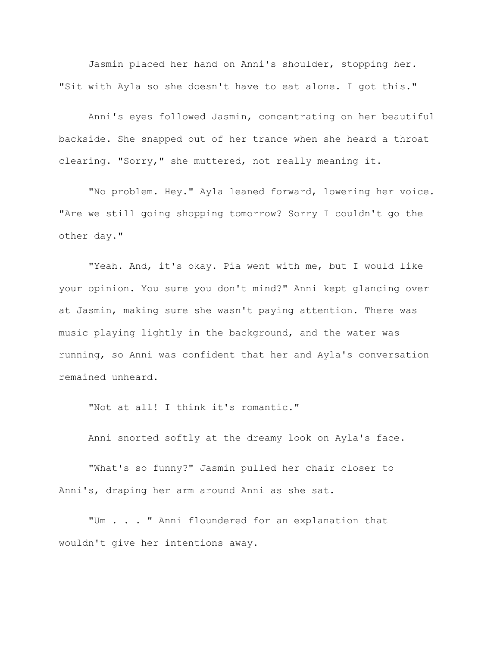Jasmin placed her hand on Anni's shoulder, stopping her. "Sit with Ayla so she doesn't have to eat alone. I got this."

Anni's eyes followed Jasmin, concentrating on her beautiful backside. She snapped out of her trance when she heard a throat clearing. "Sorry," she muttered, not really meaning it.

"No problem. Hey." Ayla leaned forward, lowering her voice. "Are we still going shopping tomorrow? Sorry I couldn't go the other day."

"Yeah. And, it's okay. Pia went with me, but I would like your opinion. You sure you don't mind?" Anni kept glancing over at Jasmin, making sure she wasn't paying attention. There was music playing lightly in the background, and the water was running, so Anni was confident that her and Ayla's conversation remained unheard.

"Not at all! I think it's romantic."

Anni snorted softly at the dreamy look on Ayla's face.

"What's so funny?" Jasmin pulled her chair closer to Anni's, draping her arm around Anni as she sat.

"Um . . . " Anni floundered for an explanation that wouldn't give her intentions away.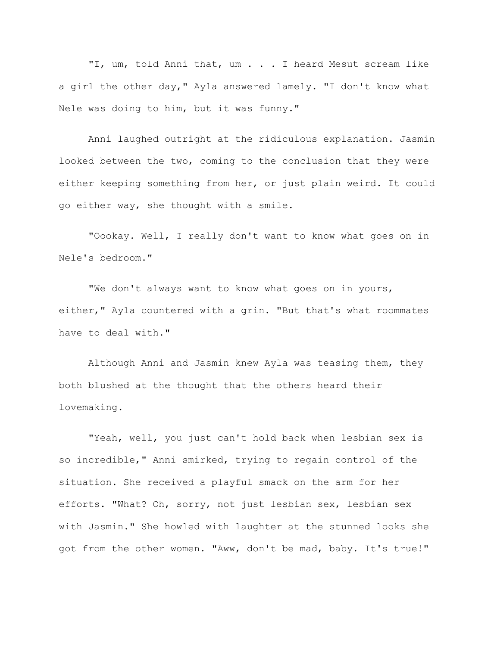"I, um, told Anni that, um . . . I heard Mesut scream like a girl the other day," Ayla answered lamely. "I don't know what Nele was doing to him, but it was funny."

Anni laughed outright at the ridiculous explanation. Jasmin looked between the two, coming to the conclusion that they were either keeping something from her, or just plain weird. It could go either way, she thought with a smile.

"Oookay. Well, I really don't want to know what goes on in Nele's bedroom."

"We don't always want to know what goes on in yours, either," Ayla countered with a grin. "But that's what roommates have to deal with."

Although Anni and Jasmin knew Ayla was teasing them, they both blushed at the thought that the others heard their lovemaking.

"Yeah, well, you just can't hold back when lesbian sex is so incredible," Anni smirked, trying to regain control of the situation. She received a playful smack on the arm for her efforts. "What? Oh, sorry, not just lesbian sex, lesbian sex with Jasmin." She howled with laughter at the stunned looks she got from the other women. "Aww, don't be mad, baby. It's true!"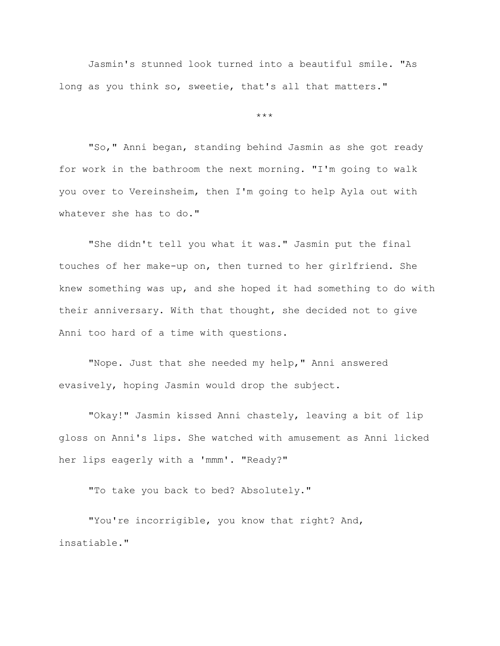Jasmin's stunned look turned into a beautiful smile. "As long as you think so, sweetie, that's all that matters."

\*\*\*

"So," Anni began, standing behind Jasmin as she got ready for work in the bathroom the next morning. "I'm going to walk you over to Vereinsheim, then I'm going to help Ayla out with whatever she has to do."

"She didn't tell you what it was." Jasmin put the final touches of her make-up on, then turned to her girlfriend. She knew something was up, and she hoped it had something to do with their anniversary. With that thought, she decided not to give Anni too hard of a time with questions.

"Nope. Just that she needed my help," Anni answered evasively, hoping Jasmin would drop the subject.

"Okay!" Jasmin kissed Anni chastely, leaving a bit of lip gloss on Anni's lips. She watched with amusement as Anni licked her lips eagerly with a 'mmm'. "Ready?"

"To take you back to bed? Absolutely."

"You're incorrigible, you know that right? And, insatiable."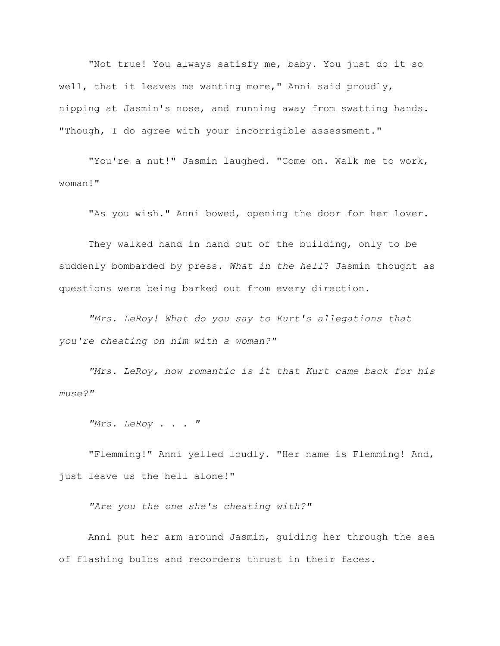"Not true! You always satisfy me, baby. You just do it so well, that it leaves me wanting more," Anni said proudly, nipping at Jasmin's nose, and running away from swatting hands. "Though, I do agree with your incorrigible assessment."

"You're a nut!" Jasmin laughed. "Come on. Walk me to work, woman!"

"As you wish." Anni bowed, opening the door for her lover.

They walked hand in hand out of the building, only to be suddenly bombarded by press. *What in the hell*? Jasmin thought as questions were being barked out from every direction.

*"Mrs. LeRoy! What do you say to Kurt's allegations that you're cheating on him with a woman?"*

*"Mrs. LeRoy, how romantic is it that Kurt came back for his muse?"*

*"Mrs. LeRoy . . . "*

"Flemming!" Anni yelled loudly. "Her name is Flemming! And, just leave us the hell alone!"

*"Are you the one she's cheating with?"*

Anni put her arm around Jasmin, guiding her through the sea of flashing bulbs and recorders thrust in their faces.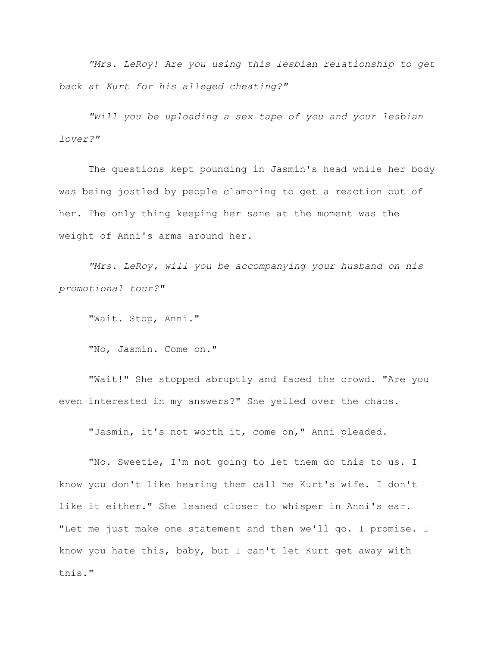*"Mrs. LeRoy! Are you using this lesbian relationship to get back at Kurt for his alleged cheating?"*

*"Will you be uploading a sex tape of you and your lesbian lover?"*

The questions kept pounding in Jasmin's head while her body was being jostled by people clamoring to get a reaction out of her. The only thing keeping her sane at the moment was the weight of Anni's arms around her.

*"Mrs. LeRoy, will you be accompanying your husband on his promotional tour?"*

"Wait. Stop, Anni."

"No, Jasmin. Come on."

"Wait!" She stopped abruptly and faced the crowd. "Are you even interested in my answers?" She yelled over the chaos.

"Jasmin, it's not worth it, come on," Anni pleaded.

"No. Sweetie, I'm not going to let them do this to us. I know you don't like hearing them call me Kurt's wife. I don't like it either." She leaned closer to whisper in Anni's ear. "Let me just make one statement and then we'll go. I promise. I know you hate this, baby, but I can't let Kurt get away with this."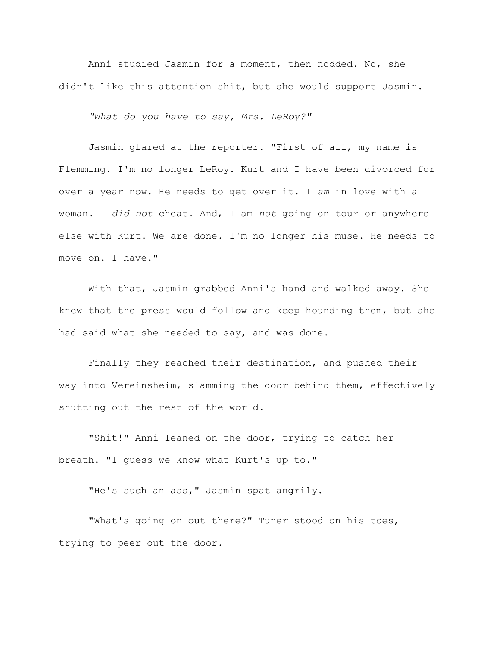Anni studied Jasmin for a moment, then nodded. No, she didn't like this attention shit, but she would support Jasmin.

*"What do you have to say, Mrs. LeRoy?"*

Jasmin glared at the reporter. "First of all, my name is Flemming. I'm no longer LeRoy. Kurt and I have been divorced for over a year now. He needs to get over it. I *am* in love with a woman. I *did not* cheat. And, I am *not* going on tour or anywhere else with Kurt. We are done. I'm no longer his muse. He needs to move on. I have."

With that, Jasmin grabbed Anni's hand and walked away. She knew that the press would follow and keep hounding them, but she had said what she needed to say, and was done.

Finally they reached their destination, and pushed their way into Vereinsheim, slamming the door behind them, effectively shutting out the rest of the world.

"Shit!" Anni leaned on the door, trying to catch her breath. "I guess we know what Kurt's up to."

"He's such an ass, " Jasmin spat angrily.

"What's going on out there?" Tuner stood on his toes, trying to peer out the door.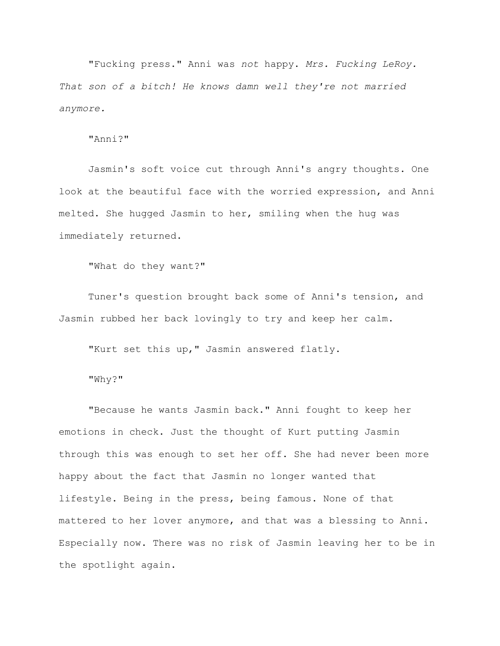"Fucking press." Anni was *not* happy. *Mrs. Fucking LeRoy. That son of a bitch! He knows damn well they're not married anymore.*

"Anni?"

Jasmin's soft voice cut through Anni's angry thoughts. One look at the beautiful face with the worried expression, and Anni melted. She hugged Jasmin to her, smiling when the hug was immediately returned.

"What do they want?"

Tuner's question brought back some of Anni's tension, and Jasmin rubbed her back lovingly to try and keep her calm.

"Kurt set this up," Jasmin answered flatly.

"Why?"

"Because he wants Jasmin back." Anni fought to keep her emotions in check. Just the thought of Kurt putting Jasmin through this was enough to set her off. She had never been more happy about the fact that Jasmin no longer wanted that lifestyle. Being in the press, being famous. None of that mattered to her lover anymore, and that was a blessing to Anni. Especially now. There was no risk of Jasmin leaving her to be in the spotlight again.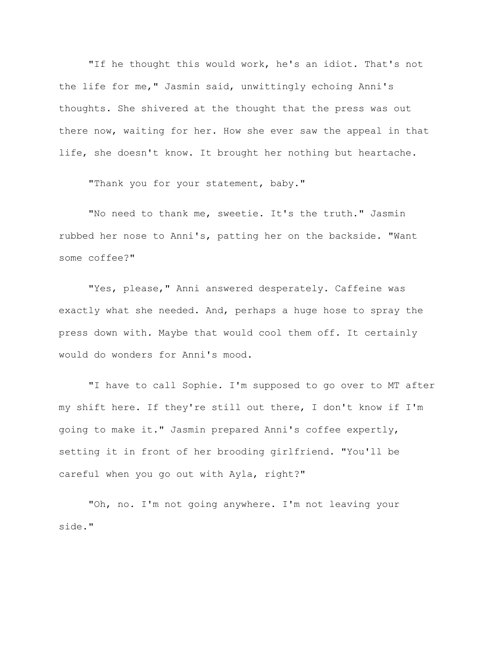"If he thought this would work, he's an idiot. That's not the life for me," Jasmin said, unwittingly echoing Anni's thoughts. She shivered at the thought that the press was out there now, waiting for her. How she ever saw the appeal in that life, she doesn't know. It brought her nothing but heartache.

"Thank you for your statement, baby."

"No need to thank me, sweetie. It's the truth." Jasmin rubbed her nose to Anni's, patting her on the backside. "Want some coffee?"

"Yes, please," Anni answered desperately. Caffeine was exactly what she needed. And, perhaps a huge hose to spray the press down with. Maybe that would cool them off. It certainly would do wonders for Anni's mood.

"I have to call Sophie. I'm supposed to go over to MT after my shift here. If they're still out there, I don't know if I'm going to make it." Jasmin prepared Anni's coffee expertly, setting it in front of her brooding girlfriend. "You'll be careful when you go out with Ayla, right?"

"Oh, no. I'm not going anywhere. I'm not leaving your side."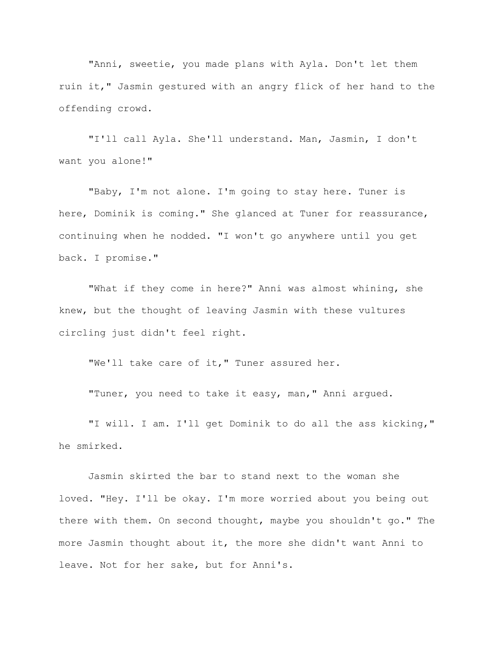"Anni, sweetie, you made plans with Ayla. Don't let them ruin it," Jasmin gestured with an angry flick of her hand to the offending crowd.

"I'll call Ayla. She'll understand. Man, Jasmin, I don't want you alone!"

"Baby, I'm not alone. I'm going to stay here. Tuner is here, Dominik is coming." She glanced at Tuner for reassurance, continuing when he nodded. "I won't go anywhere until you get back. I promise."

"What if they come in here?" Anni was almost whining, she knew, but the thought of leaving Jasmin with these vultures circling just didn't feel right.

"We'll take care of it," Tuner assured her.

"Tuner, you need to take it easy, man," Anni argued.

"I will. I am. I'll get Dominik to do all the ass kicking," he smirked.

Jasmin skirted the bar to stand next to the woman she loved. "Hey. I'll be okay. I'm more worried about you being out there with them. On second thought, maybe you shouldn't go." The more Jasmin thought about it, the more she didn't want Anni to leave. Not for her sake, but for Anni's.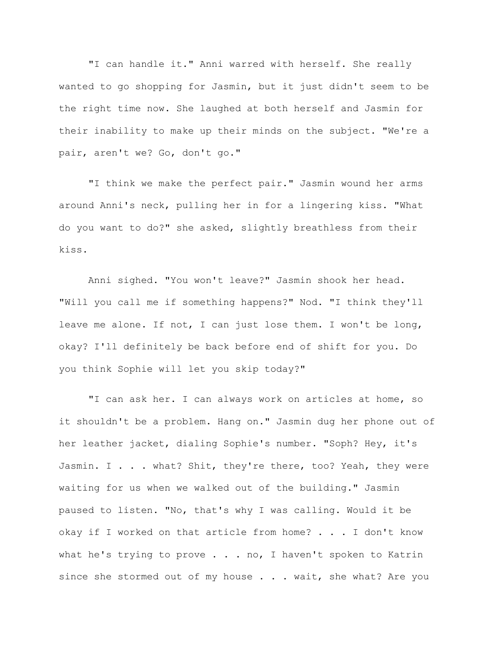"I can handle it." Anni warred with herself. She really wanted to go shopping for Jasmin, but it just didn't seem to be the right time now. She laughed at both herself and Jasmin for their inability to make up their minds on the subject. "We're a pair, aren't we? Go, don't go."

"I think we make the perfect pair." Jasmin wound her arms around Anni's neck, pulling her in for a lingering kiss. "What do you want to do?" she asked, slightly breathless from their kiss.

Anni sighed. "You won't leave?" Jasmin shook her head. "Will you call me if something happens?" Nod. "I think they'll leave me alone. If not, I can just lose them. I won't be long, okay? I'll definitely be back before end of shift for you. Do you think Sophie will let you skip today?"

"I can ask her. I can always work on articles at home, so it shouldn't be a problem. Hang on." Jasmin dug her phone out of her leather jacket, dialing Sophie's number. "Soph? Hey, it's Jasmin. I . . . what? Shit, they're there, too? Yeah, they were waiting for us when we walked out of the building." Jasmin paused to listen. "No, that's why I was calling. Would it be okay if I worked on that article from home? . . . I don't know what he's trying to prove  $\ldots$  . no, I haven't spoken to Katrin since she stormed out of my house . . . wait, she what? Are you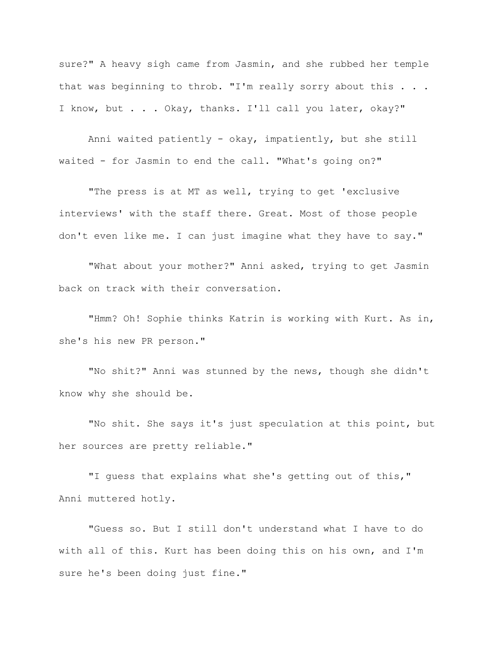sure?" A heavy sigh came from Jasmin, and she rubbed her temple that was beginning to throb. "I'm really sorry about this . . . I know, but . . . Okay, thanks. I'll call you later, okay?"

Anni waited patiently - okay, impatiently, but she still waited - for Jasmin to end the call. "What's going on?"

"The press is at MT as well, trying to get 'exclusive interviews' with the staff there. Great. Most of those people don't even like me. I can just imagine what they have to say."

"What about your mother?" Anni asked, trying to get Jasmin back on track with their conversation.

"Hmm? Oh! Sophie thinks Katrin is working with Kurt. As in, she's his new PR person."

"No shit?" Anni was stunned by the news, though she didn't know why she should be.

"No shit. She says it's just speculation at this point, but her sources are pretty reliable."

"I guess that explains what she's getting out of this," Anni muttered hotly.

"Guess so. But I still don't understand what I have to do with all of this. Kurt has been doing this on his own, and I'm sure he's been doing just fine."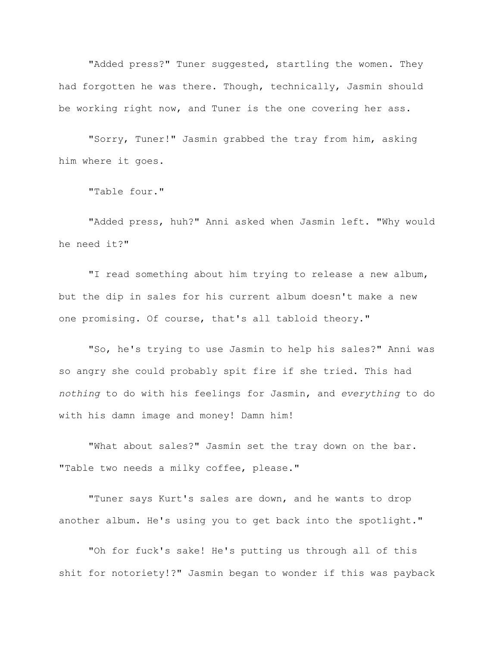"Added press?" Tuner suggested, startling the women. They had forgotten he was there. Though, technically, Jasmin should be working right now, and Tuner is the one covering her ass.

"Sorry, Tuner!" Jasmin grabbed the tray from him, asking him where it goes.

"Table four."

"Added press, huh?" Anni asked when Jasmin left. "Why would he need it?"

"I read something about him trying to release a new album, but the dip in sales for his current album doesn't make a new one promising. Of course, that's all tabloid theory."

"So, he's trying to use Jasmin to help his sales?" Anni was so angry she could probably spit fire if she tried. This had *nothing* to do with his feelings for Jasmin, and *everything* to do with his damn image and money! Damn him!

"What about sales?" Jasmin set the tray down on the bar. "Table two needs a milky coffee, please."

"Tuner says Kurt's sales are down, and he wants to drop another album. He's using you to get back into the spotlight."

"Oh for fuck's sake! He's putting us through all of this shit for notoriety!?" Jasmin began to wonder if this was payback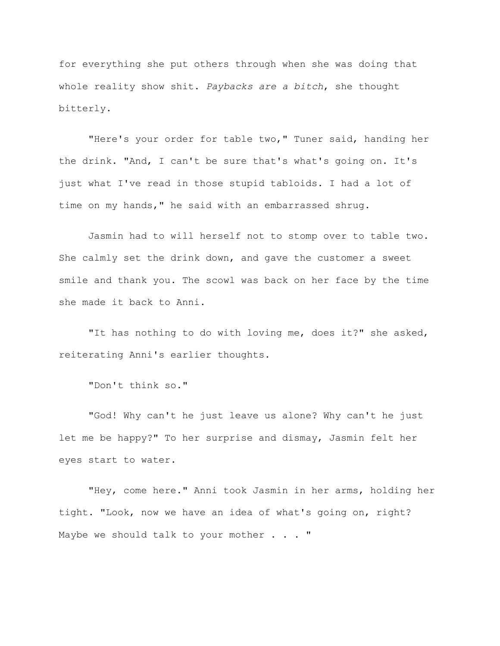for everything she put others through when she was doing that whole reality show shit. *Paybacks are a bitch*, she thought bitterly.

"Here's your order for table two," Tuner said, handing her the drink. "And, I can't be sure that's what's going on. It's just what I've read in those stupid tabloids. I had a lot of time on my hands," he said with an embarrassed shrug.

Jasmin had to will herself not to stomp over to table two. She calmly set the drink down, and gave the customer a sweet smile and thank you. The scowl was back on her face by the time she made it back to Anni.

"It has nothing to do with loving me, does it?" she asked, reiterating Anni's earlier thoughts.

"Don't think so."

"God! Why can't he just leave us alone? Why can't he just let me be happy?" To her surprise and dismay, Jasmin felt her eyes start to water.

"Hey, come here." Anni took Jasmin in her arms, holding her tight. "Look, now we have an idea of what's going on, right? Maybe we should talk to your mother . . . "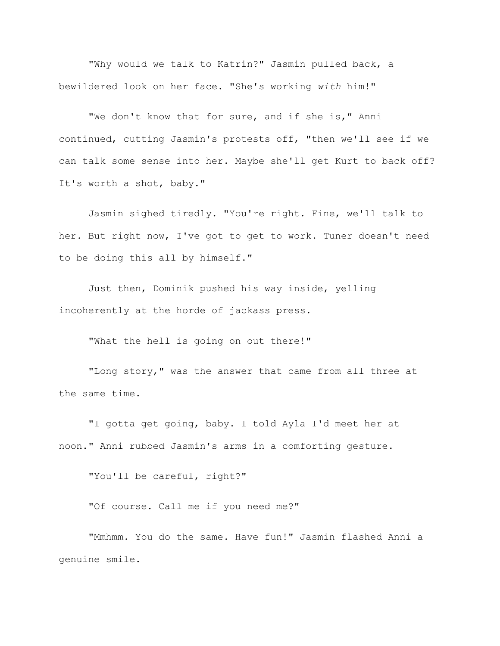"Why would we talk to Katrin?" Jasmin pulled back, a bewildered look on her face. "She's working *with* him!"

"We don't know that for sure, and if she is," Anni continued, cutting Jasmin's protests off, "then we'll see if we can talk some sense into her. Maybe she'll get Kurt to back off? It's worth a shot, baby."

Jasmin sighed tiredly. "You're right. Fine, we'll talk to her. But right now, I've got to get to work. Tuner doesn't need to be doing this all by himself."

Just then, Dominik pushed his way inside, yelling incoherently at the horde of jackass press.

"What the hell is going on out there!"

"Long story," was the answer that came from all three at the same time.

"I gotta get going, baby. I told Ayla I'd meet her at noon." Anni rubbed Jasmin's arms in a comforting gesture.

"You'll be careful, right?"

"Of course. Call me if you need me?"

"Mmhmm. You do the same. Have fun!" Jasmin flashed Anni a genuine smile.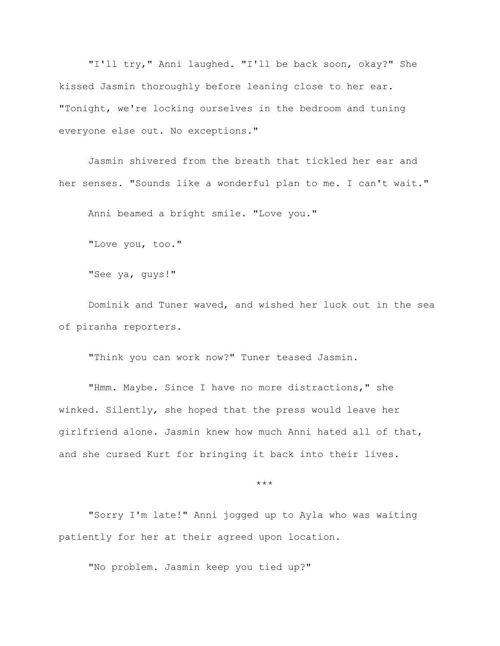"I'll try," Anni laughed. "I'll be back soon, okay?" She kissed Jasmin thoroughly before leaning close to her ear. "Tonight, we're locking ourselves in the bedroom and tuning everyone else out. No exceptions."

Jasmin shivered from the breath that tickled her ear and her senses. "Sounds like a wonderful plan to me. I can't wait."

Anni beamed a bright smile. "Love you."

"Love you, too."

"See ya, guys!"

Dominik and Tuner waved, and wished her luck out in the sea of piranha reporters.

"Think you can work now?" Tuner teased Jasmin.

"Hmm. Maybe. Since I have no more distractions," she winked. Silently, she hoped that the press would leave her girlfriend alone. Jasmin knew how much Anni hated all of that, and she cursed Kurt for bringing it back into their lives.

\*\*\*

"Sorry I'm late!" Anni jogged up to Ayla who was waiting patiently for her at their agreed upon location.

"No problem. Jasmin keep you tied up?"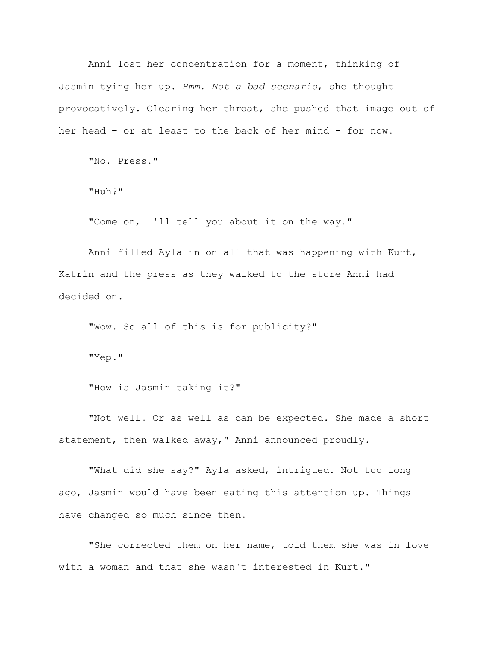Anni lost her concentration for a moment, thinking of Jasmin tying her up. *Hmm. Not a bad scenario*, she thought provocatively. Clearing her throat, she pushed that image out of her head - or at least to the back of her mind - for now.

"No. Press."

"Huh?"

"Come on, I'll tell you about it on the way."

Anni filled Ayla in on all that was happening with Kurt, Katrin and the press as they walked to the store Anni had decided on.

"Wow. So all of this is for publicity?"

"Yep."

"How is Jasmin taking it?"

"Not well. Or as well as can be expected. She made a short statement, then walked away," Anni announced proudly.

"What did she say?" Ayla asked, intrigued. Not too long ago, Jasmin would have been eating this attention up. Things have changed so much since then.

"She corrected them on her name, told them she was in love with a woman and that she wasn't interested in Kurt."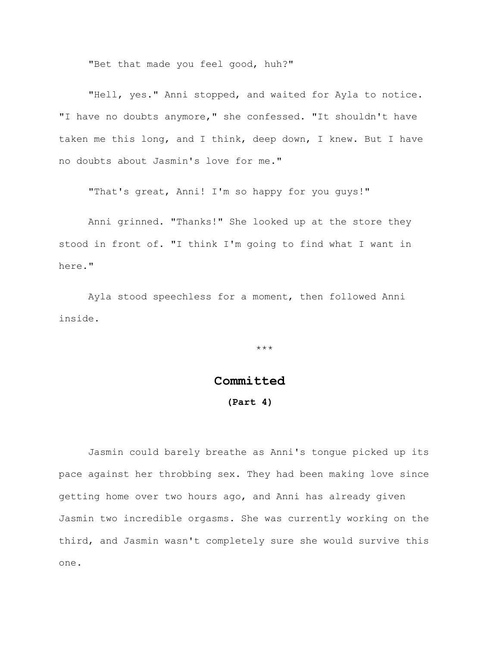"Bet that made you feel good, huh?"

"Hell, yes." Anni stopped, and waited for Ayla to notice. "I have no doubts anymore," she confessed. "It shouldn't have taken me this long, and I think, deep down, I knew. But I have no doubts about Jasmin's love for me."

"That's great, Anni! I'm so happy for you guys!"

Anni grinned. "Thanks!" She looked up at the store they stood in front of. "I think I'm going to find what I want in here."

Ayla stood speechless for a moment, then followed Anni inside.

\*\*\*

## **Committed**

## **(Part 4)**

Jasmin could barely breathe as Anni's tongue picked up its pace against her throbbing sex. They had been making love since getting home over two hours ago, and Anni has already given Jasmin two incredible orgasms. She was currently working on the third, and Jasmin wasn't completely sure she would survive this one.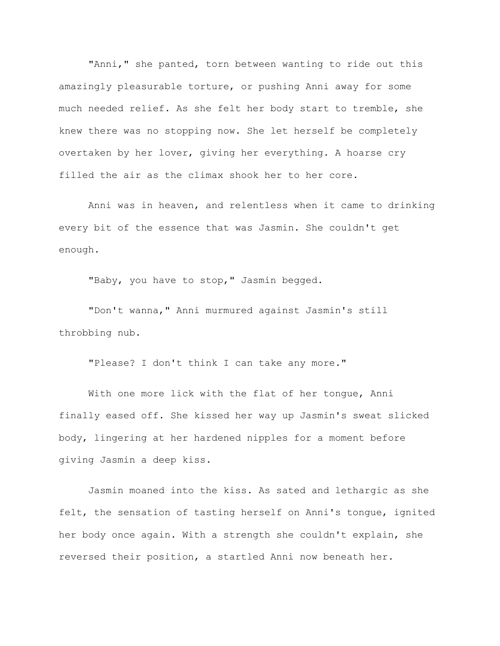"Anni," she panted, torn between wanting to ride out this amazingly pleasurable torture, or pushing Anni away for some much needed relief. As she felt her body start to tremble, she knew there was no stopping now. She let herself be completely overtaken by her lover, giving her everything. A hoarse cry filled the air as the climax shook her to her core.

Anni was in heaven, and relentless when it came to drinking every bit of the essence that was Jasmin. She couldn't get enough.

"Baby, you have to stop," Jasmin begged.

"Don't wanna," Anni murmured against Jasmin's still throbbing nub.

"Please? I don't think I can take any more."

With one more lick with the flat of her tongue, Anni finally eased off. She kissed her way up Jasmin's sweat slicked body, lingering at her hardened nipples for a moment before giving Jasmin a deep kiss.

Jasmin moaned into the kiss. As sated and lethargic as she felt, the sensation of tasting herself on Anni's tongue, ignited her body once again. With a strength she couldn't explain, she reversed their position, a startled Anni now beneath her.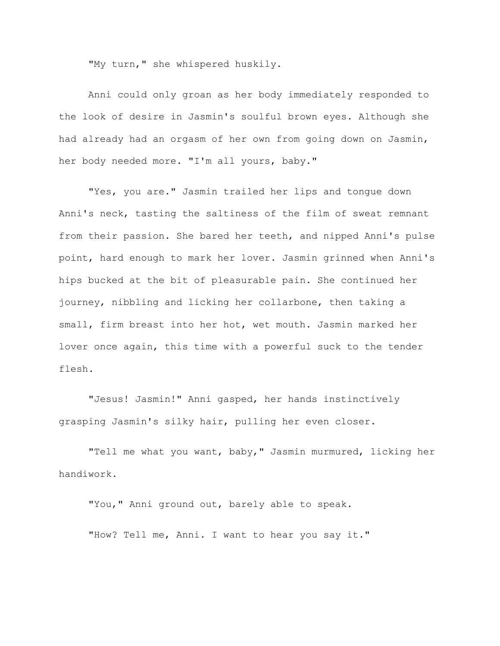"My turn," she whispered huskily.

Anni could only groan as her body immediately responded to the look of desire in Jasmin's soulful brown eyes. Although she had already had an orgasm of her own from going down on Jasmin, her body needed more. "I'm all yours, baby."

"Yes, you are." Jasmin trailed her lips and tongue down Anni's neck, tasting the saltiness of the film of sweat remnant from their passion. She bared her teeth, and nipped Anni's pulse point, hard enough to mark her lover. Jasmin grinned when Anni's hips bucked at the bit of pleasurable pain. She continued her journey, nibbling and licking her collarbone, then taking a small, firm breast into her hot, wet mouth. Jasmin marked her lover once again, this time with a powerful suck to the tender flesh.

"Jesus! Jasmin!" Anni gasped, her hands instinctively grasping Jasmin's silky hair, pulling her even closer.

"Tell me what you want, baby," Jasmin murmured, licking her handiwork.

"You," Anni ground out, barely able to speak. "How? Tell me, Anni. I want to hear you say it."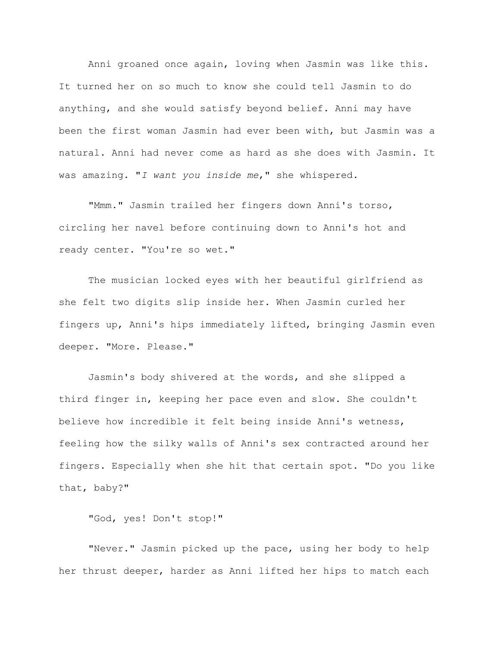Anni groaned once again, loving when Jasmin was like this. It turned her on so much to know she could tell Jasmin to do anything, and she would satisfy beyond belief. Anni may have been the first woman Jasmin had ever been with, but Jasmin was a natural. Anni had never come as hard as she does with Jasmin. It was amazing. "*I want you inside me*," she whispered.

"Mmm." Jasmin trailed her fingers down Anni's torso, circling her navel before continuing down to Anni's hot and ready center. "You're so wet."

The musician locked eyes with her beautiful girlfriend as she felt two digits slip inside her. When Jasmin curled her fingers up, Anni's hips immediately lifted, bringing Jasmin even deeper. "More. Please."

Jasmin's body shivered at the words, and she slipped a third finger in, keeping her pace even and slow. She couldn't believe how incredible it felt being inside Anni's wetness, feeling how the silky walls of Anni's sex contracted around her fingers. Especially when she hit that certain spot. "Do you like that, baby?"

"God, yes! Don't stop!"

"Never." Jasmin picked up the pace, using her body to help her thrust deeper, harder as Anni lifted her hips to match each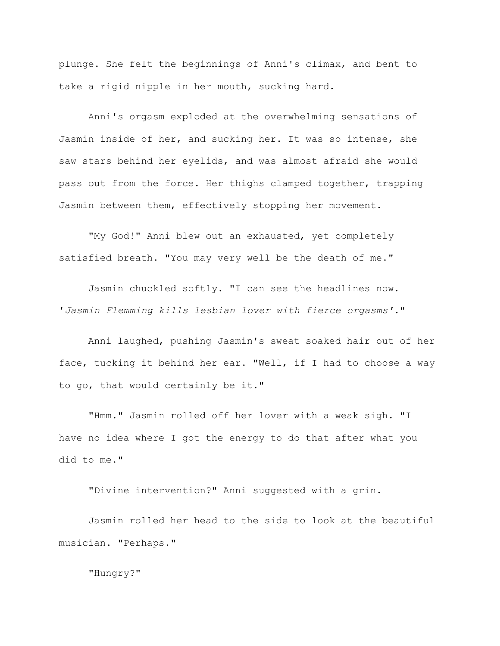plunge. She felt the beginnings of Anni's climax, and bent to take a rigid nipple in her mouth, sucking hard.

Anni's orgasm exploded at the overwhelming sensations of Jasmin inside of her, and sucking her. It was so intense, she saw stars behind her eyelids, and was almost afraid she would pass out from the force. Her thighs clamped together, trapping Jasmin between them, effectively stopping her movement.

"My God!" Anni blew out an exhausted, yet completely satisfied breath. "You may very well be the death of me."

Jasmin chuckled softly. "I can see the headlines now. '*Jasmin Flemming kills lesbian lover with fierce orgasms'*."

Anni laughed, pushing Jasmin's sweat soaked hair out of her face, tucking it behind her ear. "Well, if I had to choose a way to go, that would certainly be it."

"Hmm." Jasmin rolled off her lover with a weak sigh. "I have no idea where I got the energy to do that after what you did to me."

"Divine intervention?" Anni suggested with a grin.

Jasmin rolled her head to the side to look at the beautiful musician. "Perhaps."

"Hungry?"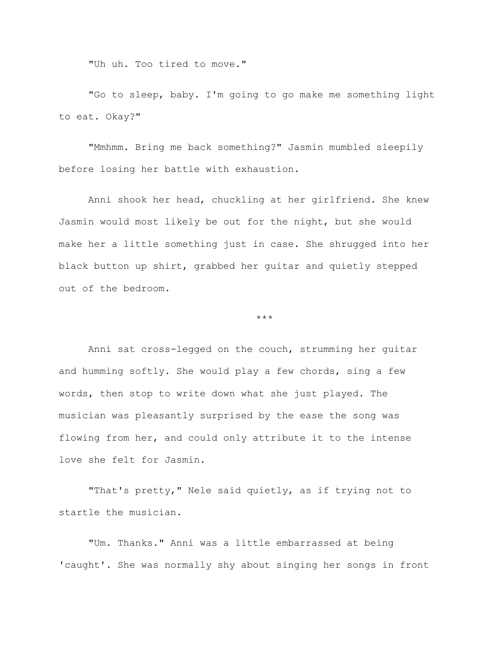"Uh uh. Too tired to move."

"Go to sleep, baby. I'm going to go make me something light to eat. Okay?"

"Mmhmm. Bring me back something?" Jasmin mumbled sleepily before losing her battle with exhaustion.

Anni shook her head, chuckling at her girlfriend. She knew Jasmin would most likely be out for the night, but she would make her a little something just in case. She shrugged into her black button up shirt, grabbed her guitar and quietly stepped out of the bedroom.

\*\*\*

Anni sat cross-legged on the couch, strumming her guitar and humming softly. She would play a few chords, sing a few words, then stop to write down what she just played. The musician was pleasantly surprised by the ease the song was flowing from her, and could only attribute it to the intense love she felt for Jasmin.

"That's pretty," Nele said quietly, as if trying not to startle the musician.

"Um. Thanks." Anni was a little embarrassed at being 'caught'. She was normally shy about singing her songs in front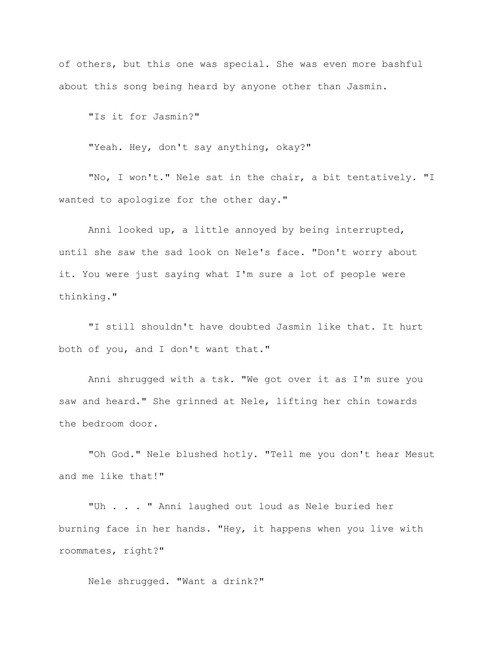of others, but this one was special. She was even more bashful about this song being heard by anyone other than Jasmin.

"Is it for Jasmin?"

"Yeah. Hey, don't say anything, okay?"

"No, I won't." Nele sat in the chair, a bit tentatively. "I wanted to apologize for the other day."

Anni looked up, a little annoyed by being interrupted, until she saw the sad look on Nele's face. "Don't worry about it. You were just saying what I'm sure a lot of people were thinking."

"I still shouldn't have doubted Jasmin like that. It hurt both of you, and I don't want that."

Anni shrugged with a tsk. "We got over it as I'm sure you saw and heard." She grinned at Nele, lifting her chin towards the bedroom door.

"Oh God." Nele blushed hotly. "Tell me you don't hear Mesut and me like that!"

"Uh . . . " Anni laughed out loud as Nele buried her burning face in her hands. "Hey, it happens when you live with roommates, right?"

Nele shrugged. "Want a drink?"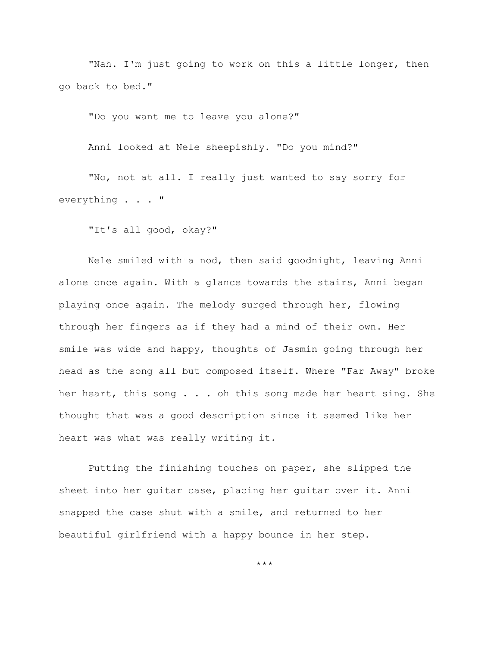"Nah. I'm just going to work on this a little longer, then go back to bed."

"Do you want me to leave you alone?"

Anni looked at Nele sheepishly. "Do you mind?"

"No, not at all. I really just wanted to say sorry for everything . . . "

"It's all good, okay?"

Nele smiled with a nod, then said goodnight, leaving Anni alone once again. With a glance towards the stairs, Anni began playing once again. The melody surged through her, flowing through her fingers as if they had a mind of their own. Her smile was wide and happy, thoughts of Jasmin going through her head as the song all but composed itself. Where "Far Away" broke her heart, this song . . . oh this song made her heart sing. She thought that was a good description since it seemed like her heart was what was really writing it.

Putting the finishing touches on paper, she slipped the sheet into her guitar case, placing her guitar over it. Anni snapped the case shut with a smile, and returned to her beautiful girlfriend with a happy bounce in her step.

\*\*\*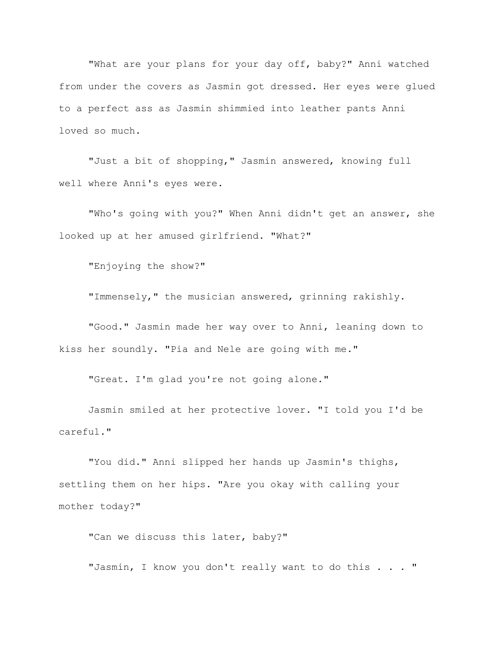"What are your plans for your day off, baby?" Anni watched from under the covers as Jasmin got dressed. Her eyes were glued to a perfect ass as Jasmin shimmied into leather pants Anni loved so much.

"Just a bit of shopping," Jasmin answered, knowing full well where Anni's eyes were.

"Who's going with you?" When Anni didn't get an answer, she looked up at her amused girlfriend. "What?"

"Enjoying the show?"

"Immensely," the musician answered, grinning rakishly.

"Good." Jasmin made her way over to Anni, leaning down to kiss her soundly. "Pia and Nele are going with me."

"Great. I'm glad you're not going alone."

Jasmin smiled at her protective lover. "I told you I'd be careful."

"You did." Anni slipped her hands up Jasmin's thighs, settling them on her hips. "Are you okay with calling your mother today?"

"Can we discuss this later, baby?"

"Jasmin, I know you don't really want to do this . . . "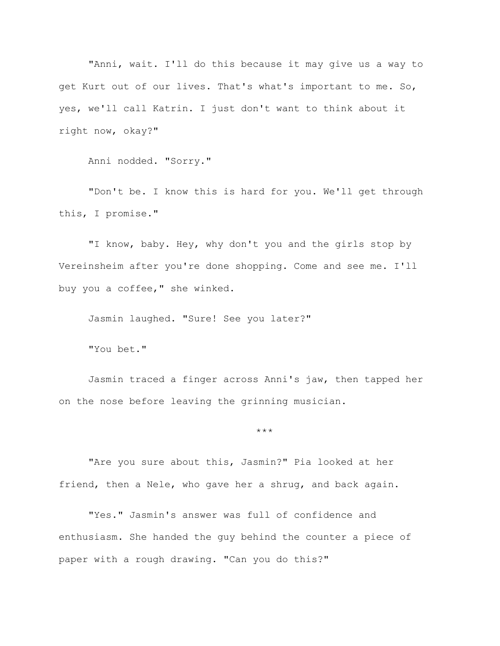"Anni, wait. I'll do this because it may give us a way to get Kurt out of our lives. That's what's important to me. So, yes, we'll call Katrin. I just don't want to think about it right now, okay?"

Anni nodded. "Sorry."

"Don't be. I know this is hard for you. We'll get through this, I promise."

"I know, baby. Hey, why don't you and the girls stop by Vereinsheim after you're done shopping. Come and see me. I'll buy you a coffee," she winked.

Jasmin laughed. "Sure! See you later?"

"You bet."

Jasmin traced a finger across Anni's jaw, then tapped her on the nose before leaving the grinning musician.

\*\*\*

"Are you sure about this, Jasmin?" Pia looked at her friend, then a Nele, who gave her a shrug, and back again.

"Yes." Jasmin's answer was full of confidence and enthusiasm. She handed the guy behind the counter a piece of paper with a rough drawing. "Can you do this?"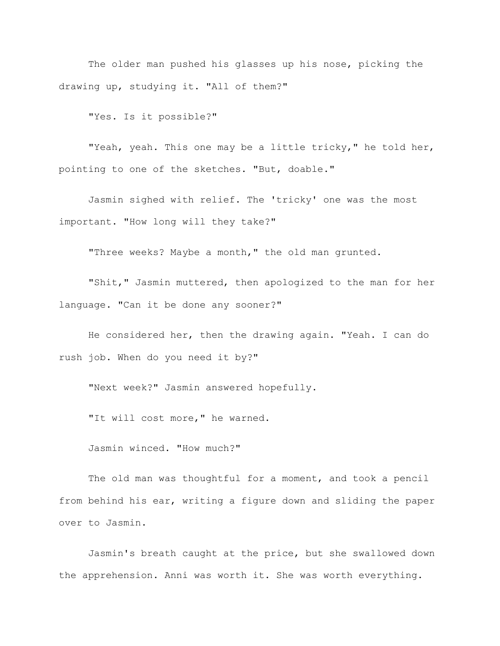The older man pushed his glasses up his nose, picking the drawing up, studying it. "All of them?"

"Yes. Is it possible?"

"Yeah, yeah. This one may be a little tricky," he told her, pointing to one of the sketches. "But, doable."

Jasmin sighed with relief. The 'tricky' one was the most important. "How long will they take?"

"Three weeks? Maybe a month," the old man grunted.

"Shit," Jasmin muttered, then apologized to the man for her language. "Can it be done any sooner?"

He considered her, then the drawing again. "Yeah. I can do rush job. When do you need it by?"

"Next week?" Jasmin answered hopefully.

"It will cost more," he warned.

Jasmin winced. "How much?"

The old man was thoughtful for a moment, and took a pencil from behind his ear, writing a figure down and sliding the paper over to Jasmin.

Jasmin's breath caught at the price, but she swallowed down the apprehension. Anni was worth it. She was worth everything.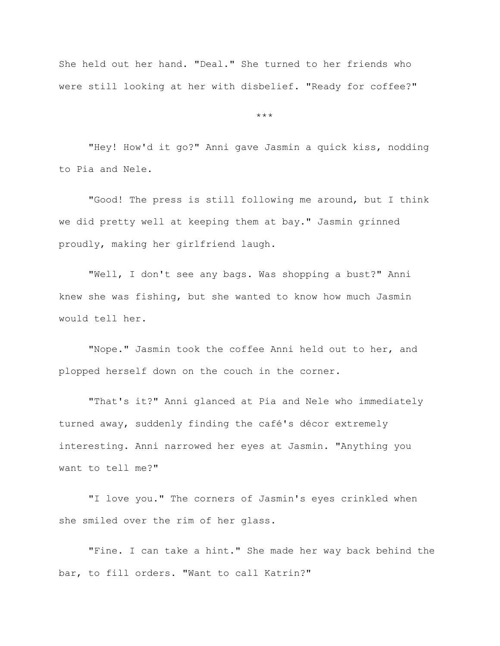She held out her hand. "Deal." She turned to her friends who were still looking at her with disbelief. "Ready for coffee?"

\*\*\*

"Hey! How'd it go?" Anni gave Jasmin a quick kiss, nodding to Pia and Nele.

"Good! The press is still following me around, but I think we did pretty well at keeping them at bay." Jasmin grinned proudly, making her girlfriend laugh.

"Well, I don't see any bags. Was shopping a bust?" Anni knew she was fishing, but she wanted to know how much Jasmin would tell her.

"Nope." Jasmin took the coffee Anni held out to her, and plopped herself down on the couch in the corner.

"That's it?" Anni glanced at Pia and Nele who immediately turned away, suddenly finding the café's décor extremely interesting. Anni narrowed her eyes at Jasmin. "Anything you want to tell me?"

"I love you." The corners of Jasmin's eyes crinkled when she smiled over the rim of her glass.

"Fine. I can take a hint." She made her way back behind the bar, to fill orders. "Want to call Katrin?"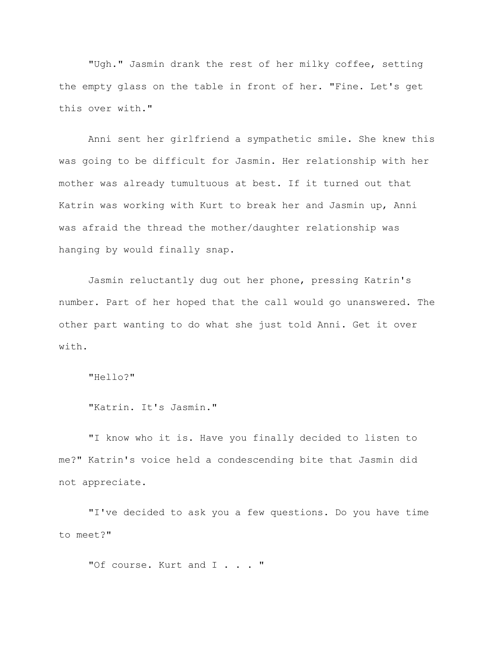"Ugh." Jasmin drank the rest of her milky coffee, setting the empty glass on the table in front of her. "Fine. Let's get this over with."

Anni sent her girlfriend a sympathetic smile. She knew this was going to be difficult for Jasmin. Her relationship with her mother was already tumultuous at best. If it turned out that Katrin was working with Kurt to break her and Jasmin up, Anni was afraid the thread the mother/daughter relationship was hanging by would finally snap.

Jasmin reluctantly dug out her phone, pressing Katrin's number. Part of her hoped that the call would go unanswered. The other part wanting to do what she just told Anni. Get it over with.

"Hello?"

```
"Katrin. It's Jasmin."
```
"I know who it is. Have you finally decided to listen to me?" Katrin's voice held a condescending bite that Jasmin did not appreciate.

"I've decided to ask you a few questions. Do you have time to meet?"

"Of course. Kurt and I . . . "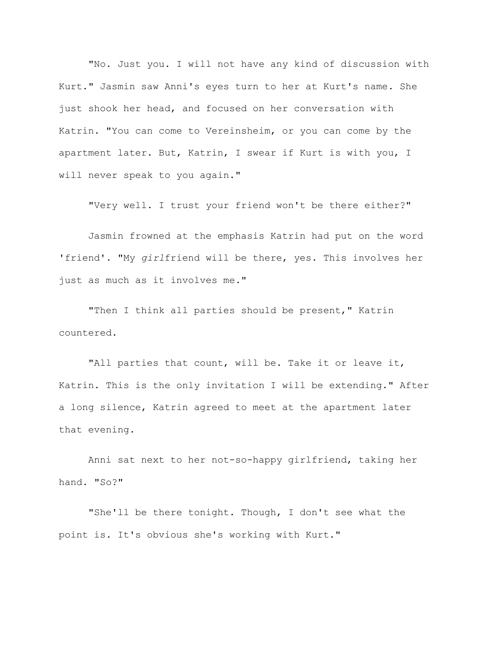"No. Just you. I will not have any kind of discussion with Kurt." Jasmin saw Anni's eyes turn to her at Kurt's name. She just shook her head, and focused on her conversation with Katrin. "You can come to Vereinsheim, or you can come by the apartment later. But, Katrin, I swear if Kurt is with you, I will never speak to you again."

"Very well. I trust your friend won't be there either?"

Jasmin frowned at the emphasis Katrin had put on the word 'friend'. "My *girl*friend will be there, yes. This involves her just as much as it involves me."

"Then I think all parties should be present," Katrin countered.

"All parties that count, will be. Take it or leave it, Katrin. This is the only invitation I will be extending." After a long silence, Katrin agreed to meet at the apartment later that evening.

Anni sat next to her not-so-happy girlfriend, taking her hand. "So?"

"She'll be there tonight. Though, I don't see what the point is. It's obvious she's working with Kurt."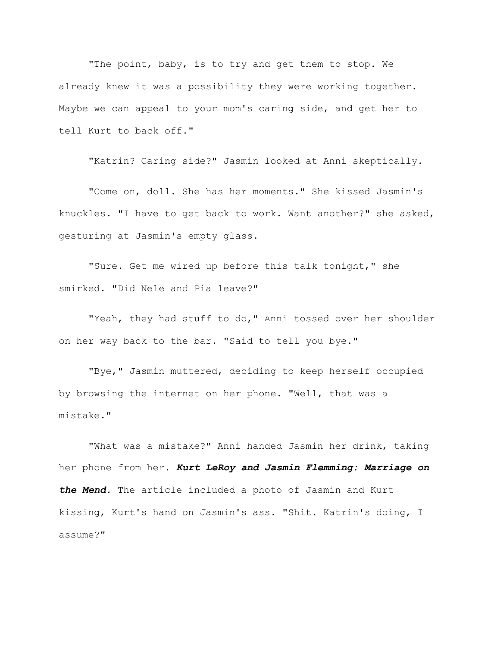"The point, baby, is to try and get them to stop. We already knew it was a possibility they were working together. Maybe we can appeal to your mom's caring side, and get her to tell Kurt to back off."

"Katrin? Caring side?" Jasmin looked at Anni skeptically.

"Come on, doll. She has her moments." She kissed Jasmin's knuckles. "I have to get back to work. Want another?" she asked, gesturing at Jasmin's empty glass.

"Sure. Get me wired up before this talk tonight," she smirked. "Did Nele and Pia leave?"

"Yeah, they had stuff to do," Anni tossed over her shoulder on her way back to the bar. "Said to tell you bye."

"Bye," Jasmin muttered, deciding to keep herself occupied by browsing the internet on her phone. "Well, that was a mistake."

"What was a mistake?" Anni handed Jasmin her drink, taking her phone from her. *Kurt LeRoy and Jasmin Flemming: Marriage on the Mend.* The article included a photo of Jasmin and Kurt kissing, Kurt's hand on Jasmin's ass. "Shit. Katrin's doing, I assume?"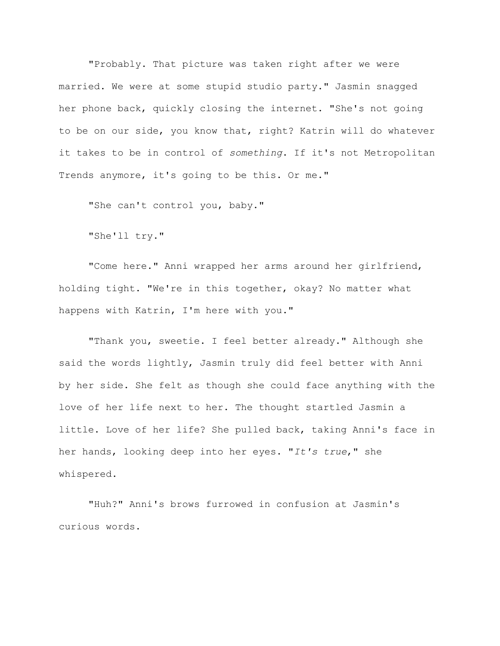"Probably. That picture was taken right after we were married. We were at some stupid studio party." Jasmin snagged her phone back, quickly closing the internet. "She's not going to be on our side, you know that, right? Katrin will do whatever it takes to be in control of *something*. If it's not Metropolitan Trends anymore, it's going to be this. Or me."

"She can't control you, baby."

"She'll try."

"Come here." Anni wrapped her arms around her girlfriend, holding tight. "We're in this together, okay? No matter what happens with Katrin, I'm here with you."

"Thank you, sweetie. I feel better already." Although she said the words lightly, Jasmin truly did feel better with Anni by her side. She felt as though she could face anything with the love of her life next to her. The thought startled Jasmin a little. Love of her life? She pulled back, taking Anni's face in her hands, looking deep into her eyes. "*It's true*," she whispered.

"Huh?" Anni's brows furrowed in confusion at Jasmin's curious words.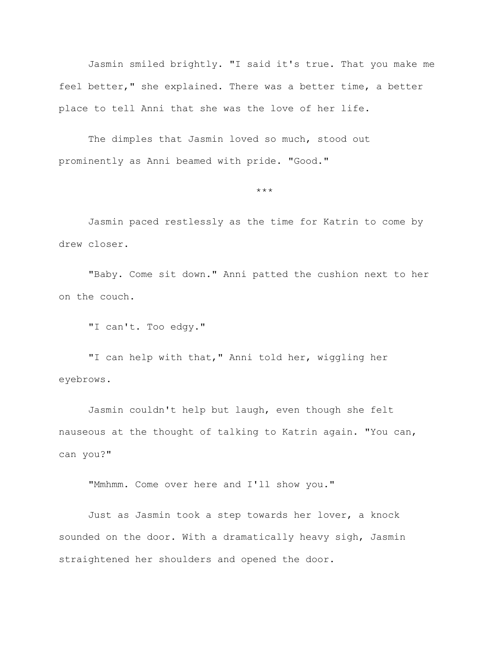Jasmin smiled brightly. "I said it's true. That you make me feel better," she explained. There was a better time, a better place to tell Anni that she was the love of her life.

The dimples that Jasmin loved so much, stood out prominently as Anni beamed with pride. "Good."

\*\*\*

Jasmin paced restlessly as the time for Katrin to come by drew closer.

"Baby. Come sit down." Anni patted the cushion next to her on the couch.

"I can't. Too edgy."

"I can help with that," Anni told her, wiggling her eyebrows.

Jasmin couldn't help but laugh, even though she felt nauseous at the thought of talking to Katrin again. "You can, can you?"

"Mmhmm. Come over here and I'll show you."

Just as Jasmin took a step towards her lover, a knock sounded on the door. With a dramatically heavy sigh, Jasmin straightened her shoulders and opened the door.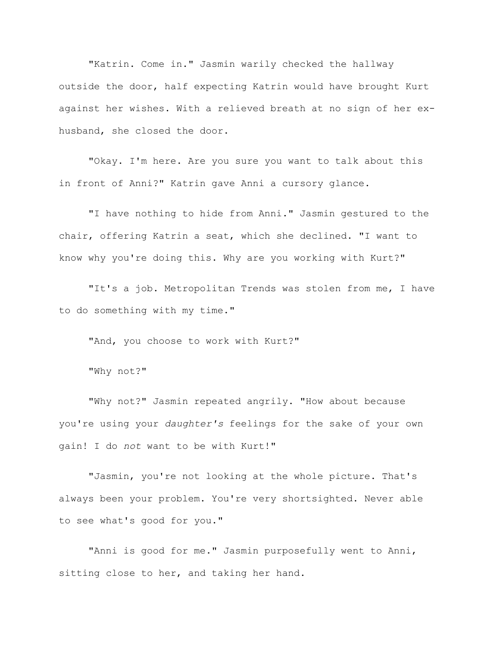"Katrin. Come in." Jasmin warily checked the hallway outside the door, half expecting Katrin would have brought Kurt against her wishes. With a relieved breath at no sign of her exhusband, she closed the door.

"Okay. I'm here. Are you sure you want to talk about this in front of Anni?" Katrin gave Anni a cursory glance.

"I have nothing to hide from Anni." Jasmin gestured to the chair, offering Katrin a seat, which she declined. "I want to know why you're doing this. Why are you working with Kurt?"

"It's a job. Metropolitan Trends was stolen from me, I have to do something with my time."

"And, you choose to work with Kurt?"

"Why not?"

"Why not?" Jasmin repeated angrily. "How about because you're using your *daughter's* feelings for the sake of your own gain! I do *not* want to be with Kurt!"

"Jasmin, you're not looking at the whole picture. That's always been your problem. You're very shortsighted. Never able to see what's good for you."

"Anni is good for me." Jasmin purposefully went to Anni, sitting close to her, and taking her hand.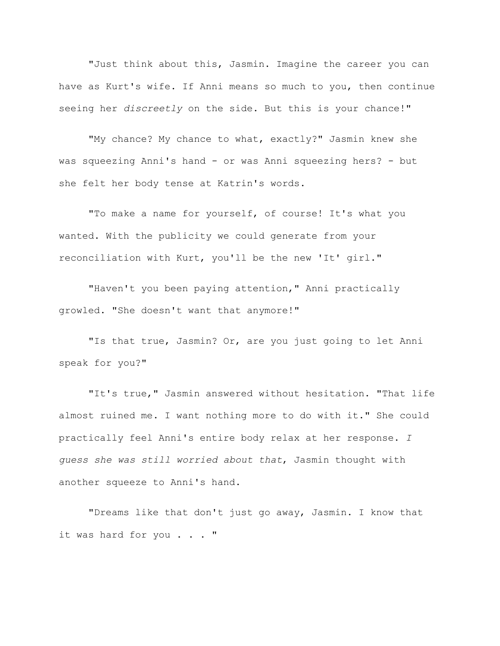"Just think about this, Jasmin. Imagine the career you can have as Kurt's wife. If Anni means so much to you, then continue seeing her *discreetly* on the side. But this is your chance!"

"My chance? My chance to what, exactly?" Jasmin knew she was squeezing Anni's hand - or was Anni squeezing hers? - but she felt her body tense at Katrin's words.

"To make a name for yourself, of course! It's what you wanted. With the publicity we could generate from your reconciliation with Kurt, you'll be the new 'It' girl."

"Haven't you been paying attention," Anni practically growled. "She doesn't want that anymore!"

"Is that true, Jasmin? Or, are you just going to let Anni speak for you?"

"It's true," Jasmin answered without hesitation. "That life almost ruined me. I want nothing more to do with it." She could practically feel Anni's entire body relax at her response. *I guess she was still worried about that*, Jasmin thought with another squeeze to Anni's hand.

"Dreams like that don't just go away, Jasmin. I know that it was hard for you . . . "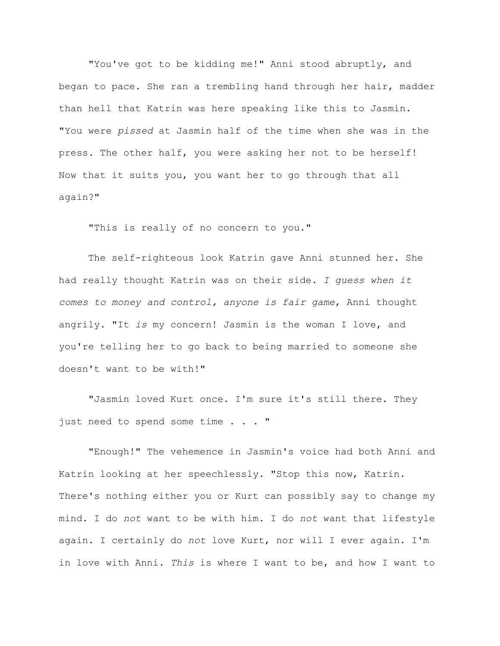"You've got to be kidding me!" Anni stood abruptly, and began to pace. She ran a trembling hand through her hair, madder than hell that Katrin was here speaking like this to Jasmin. "You were *pissed* at Jasmin half of the time when she was in the press. The other half, you were asking her not to be herself! Now that it suits you, you want her to go through that all again?"

"This is really of no concern to you."

The self-righteous look Katrin gave Anni stunned her. She had really thought Katrin was on their side. *I guess when it comes to money and control, anyone is fair game*, Anni thought angrily. "It *is* my concern! Jasmin is the woman I love, and you're telling her to go back to being married to someone she doesn't want to be with!"

"Jasmin loved Kurt once. I'm sure it's still there. They just need to spend some time . . . "

"Enough!" The vehemence in Jasmin's voice had both Anni and Katrin looking at her speechlessly. "Stop this now, Katrin. There's nothing either you or Kurt can possibly say to change my mind. I do *not* want to be with him. I do *not* want that lifestyle again. I certainly do *not* love Kurt, nor will I ever again. I'm in love with Anni. *This* is where I want to be, and how I want to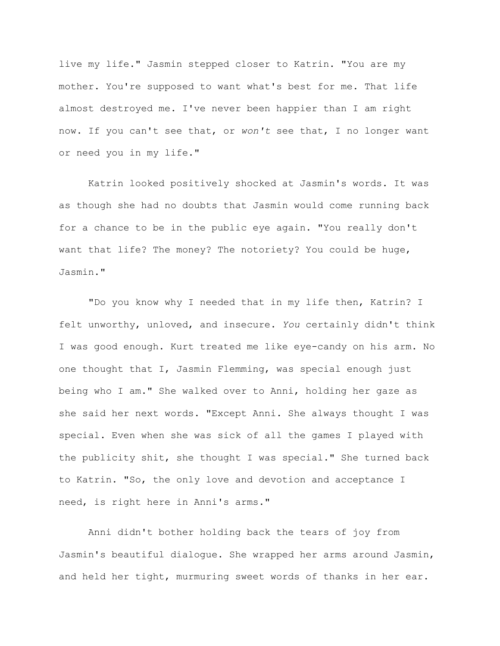live my life." Jasmin stepped closer to Katrin. "You are my mother. You're supposed to want what's best for me. That life almost destroyed me. I've never been happier than I am right now. If you can't see that, or *won't* see that, I no longer want or need you in my life."

Katrin looked positively shocked at Jasmin's words. It was as though she had no doubts that Jasmin would come running back for a chance to be in the public eye again. "You really don't want that life? The money? The notoriety? You could be huge, Jasmin."

"Do you know why I needed that in my life then, Katrin? I felt unworthy, unloved, and insecure. *You* certainly didn't think I was good enough. Kurt treated me like eye-candy on his arm. No one thought that I, Jasmin Flemming, was special enough just being who I am." She walked over to Anni, holding her gaze as she said her next words. "Except Anni. She always thought I was special. Even when she was sick of all the games I played with the publicity shit, she thought I was special." She turned back to Katrin. "So, the only love and devotion and acceptance I need, is right here in Anni's arms."

Anni didn't bother holding back the tears of joy from Jasmin's beautiful dialogue. She wrapped her arms around Jasmin, and held her tight, murmuring sweet words of thanks in her ear.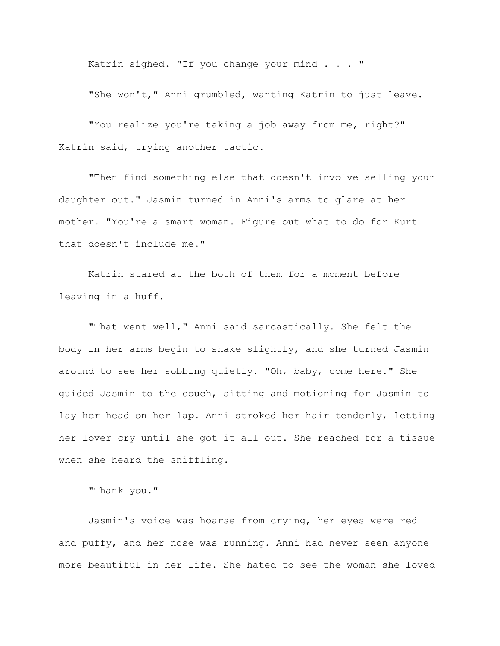Katrin sighed. "If you change your mind . . . "

"She won't," Anni grumbled, wanting Katrin to just leave.

"You realize you're taking a job away from me, right?" Katrin said, trying another tactic.

"Then find something else that doesn't involve selling your daughter out." Jasmin turned in Anni's arms to glare at her mother. "You're a smart woman. Figure out what to do for Kurt that doesn't include me."

Katrin stared at the both of them for a moment before leaving in a huff.

"That went well," Anni said sarcastically. She felt the body in her arms begin to shake slightly, and she turned Jasmin around to see her sobbing quietly. "Oh, baby, come here." She guided Jasmin to the couch, sitting and motioning for Jasmin to lay her head on her lap. Anni stroked her hair tenderly, letting her lover cry until she got it all out. She reached for a tissue when she heard the sniffling.

"Thank you."

Jasmin's voice was hoarse from crying, her eyes were red and puffy, and her nose was running. Anni had never seen anyone more beautiful in her life. She hated to see the woman she loved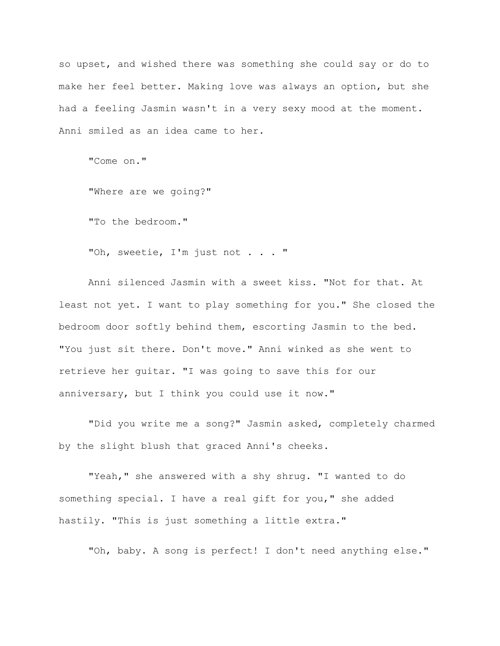so upset, and wished there was something she could say or do to make her feel better. Making love was always an option, but she had a feeling Jasmin wasn't in a very sexy mood at the moment. Anni smiled as an idea came to her.

"Come on."

"Where are we going?"

"To the bedroom."

"Oh, sweetie, I'm just not . . . "

Anni silenced Jasmin with a sweet kiss. "Not for that. At least not yet. I want to play something for you." She closed the bedroom door softly behind them, escorting Jasmin to the bed. "You just sit there. Don't move." Anni winked as she went to retrieve her guitar. "I was going to save this for our anniversary, but I think you could use it now."

"Did you write me a song?" Jasmin asked, completely charmed by the slight blush that graced Anni's cheeks.

"Yeah," she answered with a shy shrug. "I wanted to do something special. I have a real gift for you," she added hastily. "This is just something a little extra."

"Oh, baby. A song is perfect! I don't need anything else."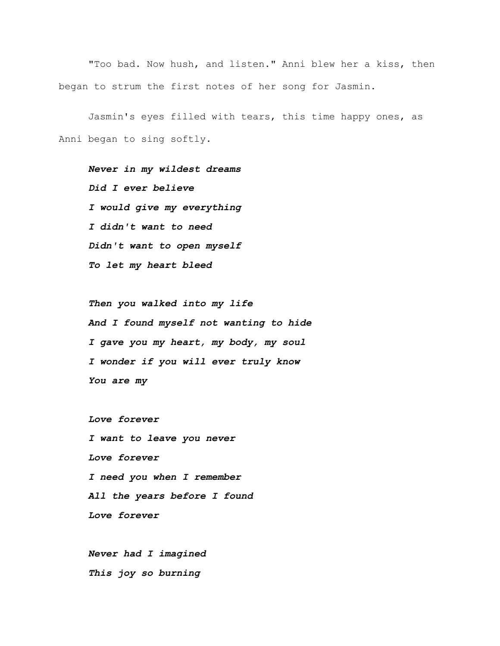"Too bad. Now hush, and listen." Anni blew her a kiss, then began to strum the first notes of her song for Jasmin.

Jasmin's eyes filled with tears, this time happy ones, as Anni began to sing softly.

*Never in my wildest dreams Did I ever believe I would give my everything I didn't want to need Didn't want to open myself To let my heart bleed*

*Then you walked into my life And I found myself not wanting to hide I gave you my heart, my body, my soul I wonder if you will ever truly know You are my*

*Love forever I want to leave you never Love forever I need you when I remember All the years before I found Love forever*

*Never had I imagined This joy so burning*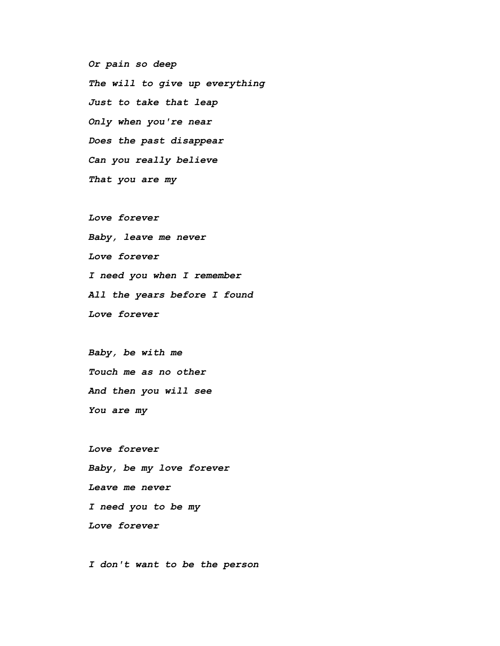*Or pain so deep The will to give up everything Just to take that leap Only when you're near Does the past disappear Can you really believe That you are my*

*Love forever Baby, leave me never Love forever I need you when I remember All the years before I found Love forever*

*Baby, be with me Touch me as no other And then you will see You are my*

*Love forever Baby, be my love forever Leave me never I need you to be my Love forever*

*I don't want to be the person*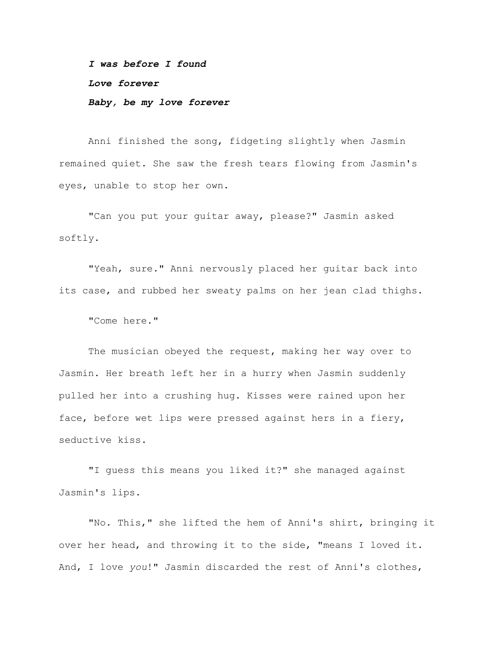*I was before I found Love forever Baby, be my love forever*

Anni finished the song, fidgeting slightly when Jasmin remained quiet. She saw the fresh tears flowing from Jasmin's eyes, unable to stop her own.

"Can you put your guitar away, please?" Jasmin asked softly.

"Yeah, sure." Anni nervously placed her guitar back into its case, and rubbed her sweaty palms on her jean clad thighs.

"Come here."

The musician obeyed the request, making her way over to Jasmin. Her breath left her in a hurry when Jasmin suddenly pulled her into a crushing hug. Kisses were rained upon her face, before wet lips were pressed against hers in a fiery, seductive kiss.

"I guess this means you liked it?" she managed against Jasmin's lips.

"No. This," she lifted the hem of Anni's shirt, bringing it over her head, and throwing it to the side, "means I loved it. And, I love *you*!" Jasmin discarded the rest of Anni's clothes,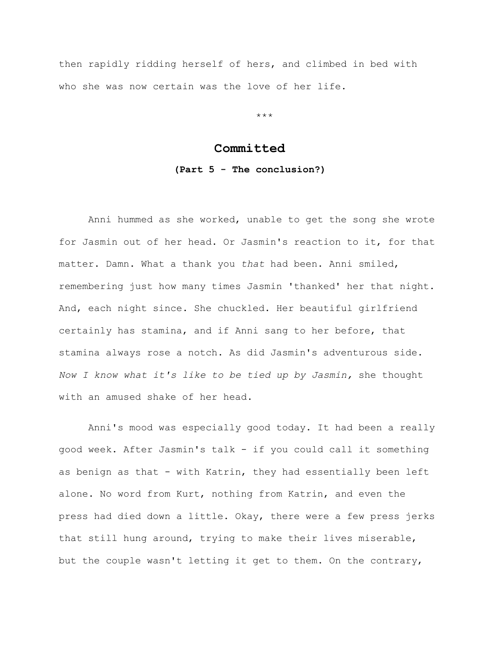then rapidly ridding herself of hers, and climbed in bed with who she was now certain was the love of her life.

\*\*\*

## **Committed**

## **(Part 5 - The conclusion?)**

Anni hummed as she worked, unable to get the song she wrote for Jasmin out of her head. Or Jasmin's reaction to it, for that matter. Damn. What a thank you *that* had been. Anni smiled, remembering just how many times Jasmin 'thanked' her that night. And, each night since. She chuckled. Her beautiful girlfriend certainly has stamina, and if Anni sang to her before, that stamina always rose a notch. As did Jasmin's adventurous side. *Now I know what it's like to be tied up by Jasmin,* she thought with an amused shake of her head.

Anni's mood was especially good today. It had been a really good week. After Jasmin's talk - if you could call it something as benign as that - with Katrin, they had essentially been left alone. No word from Kurt, nothing from Katrin, and even the press had died down a little. Okay, there were a few press jerks that still hung around, trying to make their lives miserable, but the couple wasn't letting it get to them. On the contrary,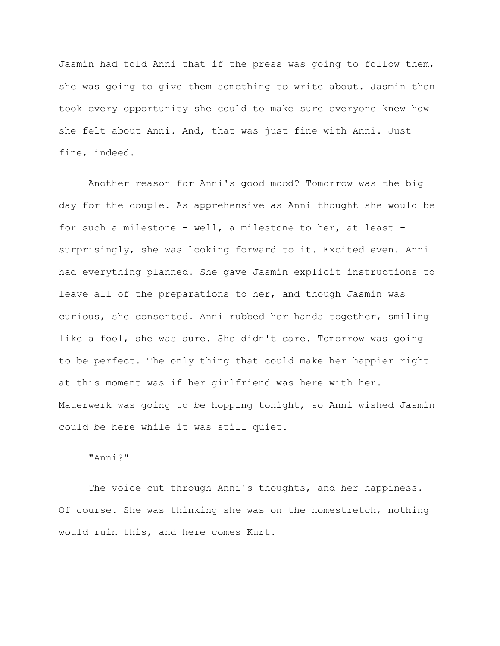Jasmin had told Anni that if the press was going to follow them, she was going to give them something to write about. Jasmin then took every opportunity she could to make sure everyone knew how she felt about Anni. And, that was just fine with Anni. Just fine, indeed.

Another reason for Anni's good mood? Tomorrow was the big day for the couple. As apprehensive as Anni thought she would be for such a milestone - well, a milestone to her, at least surprisingly, she was looking forward to it. Excited even. Anni had everything planned. She gave Jasmin explicit instructions to leave all of the preparations to her, and though Jasmin was curious, she consented. Anni rubbed her hands together, smiling like a fool, she was sure. She didn't care. Tomorrow was going to be perfect. The only thing that could make her happier right at this moment was if her girlfriend was here with her. Mauerwerk was going to be hopping tonight, so Anni wished Jasmin could be here while it was still quiet.

## "Anni?"

The voice cut through Anni's thoughts, and her happiness. Of course. She was thinking she was on the homestretch, nothing would ruin this, and here comes Kurt.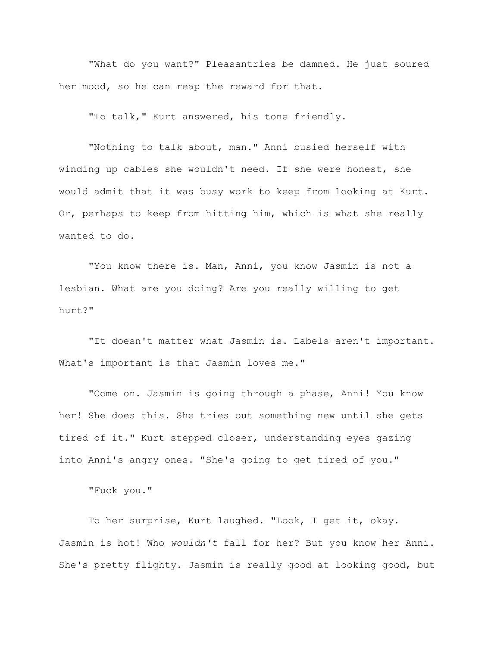"What do you want?" Pleasantries be damned. He just soured her mood, so he can reap the reward for that.

"To talk," Kurt answered, his tone friendly.

"Nothing to talk about, man." Anni busied herself with winding up cables she wouldn't need. If she were honest, she would admit that it was busy work to keep from looking at Kurt. Or, perhaps to keep from hitting him, which is what she really wanted to do.

"You know there is. Man, Anni, you know Jasmin is not a lesbian. What are you doing? Are you really willing to get hurt?"

"It doesn't matter what Jasmin is. Labels aren't important. What's important is that Jasmin loves me."

"Come on. Jasmin is going through a phase, Anni! You know her! She does this. She tries out something new until she gets tired of it." Kurt stepped closer, understanding eyes gazing into Anni's angry ones. "She's going to get tired of you."

"Fuck you."

To her surprise, Kurt laughed. "Look, I get it, okay. Jasmin is hot! Who *wouldn't* fall for her? But you know her Anni. She's pretty flighty. Jasmin is really good at looking good, but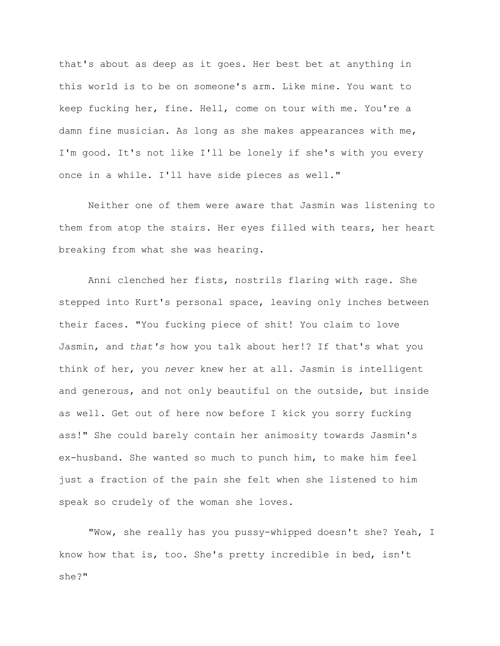that's about as deep as it goes. Her best bet at anything in this world is to be on someone's arm. Like mine. You want to keep fucking her, fine. Hell, come on tour with me. You're a damn fine musician. As long as she makes appearances with me, I'm good. It's not like I'll be lonely if she's with you every once in a while. I'll have side pieces as well."

Neither one of them were aware that Jasmin was listening to them from atop the stairs. Her eyes filled with tears, her heart breaking from what she was hearing.

Anni clenched her fists, nostrils flaring with rage. She stepped into Kurt's personal space, leaving only inches between their faces. "You fucking piece of shit! You claim to love Jasmin, and *that's* how you talk about her!? If that's what you think of her, you *never* knew her at all. Jasmin is intelligent and generous, and not only beautiful on the outside, but inside as well. Get out of here now before I kick you sorry fucking ass!" She could barely contain her animosity towards Jasmin's ex-husband. She wanted so much to punch him, to make him feel just a fraction of the pain she felt when she listened to him speak so crudely of the woman she loves.

"Wow, she really has you pussy-whipped doesn't she? Yeah, I know how that is, too. She's pretty incredible in bed, isn't she?"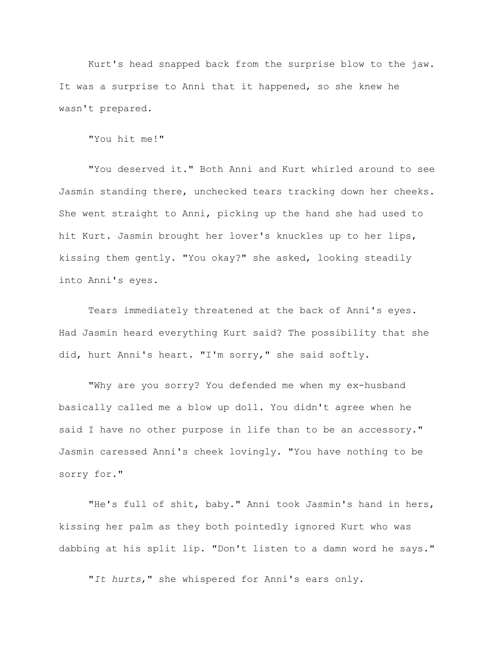Kurt's head snapped back from the surprise blow to the jaw. It was a surprise to Anni that it happened, so she knew he wasn't prepared.

"You hit me!"

"You deserved it." Both Anni and Kurt whirled around to see Jasmin standing there, unchecked tears tracking down her cheeks. She went straight to Anni, picking up the hand she had used to hit Kurt. Jasmin brought her lover's knuckles up to her lips, kissing them gently. "You okay?" she asked, looking steadily into Anni's eyes.

Tears immediately threatened at the back of Anni's eyes. Had Jasmin heard everything Kurt said? The possibility that she did, hurt Anni's heart. "I'm sorry," she said softly.

"Why are you sorry? You defended me when my ex-husband basically called me a blow up doll. You didn't agree when he said I have no other purpose in life than to be an accessory." Jasmin caressed Anni's cheek lovingly. "You have nothing to be sorry for."

"He's full of shit, baby." Anni took Jasmin's hand in hers, kissing her palm as they both pointedly ignored Kurt who was dabbing at his split lip. "Don't listen to a damn word he says."

"*It hurts*," she whispered for Anni's ears only.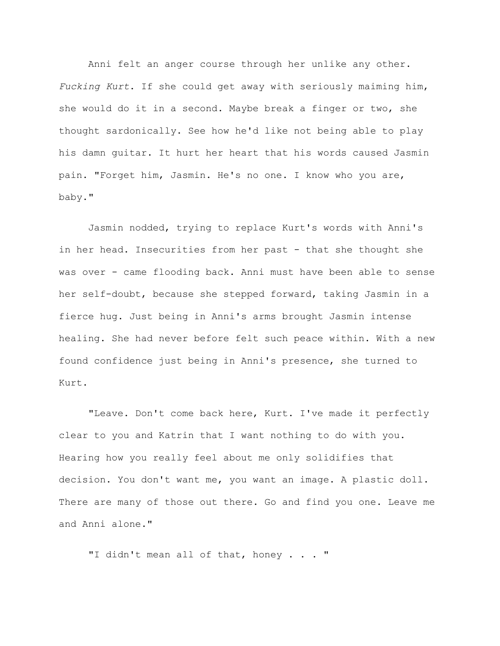Anni felt an anger course through her unlike any other. *Fucking Kurt*. If she could get away with seriously maiming him, she would do it in a second. Maybe break a finger or two, she thought sardonically. See how he'd like not being able to play his damn guitar. It hurt her heart that his words caused Jasmin pain. "Forget him, Jasmin. He's no one. I know who you are, baby."

Jasmin nodded, trying to replace Kurt's words with Anni's in her head. Insecurities from her past - that she thought she was over - came flooding back. Anni must have been able to sense her self-doubt, because she stepped forward, taking Jasmin in a fierce hug. Just being in Anni's arms brought Jasmin intense healing. She had never before felt such peace within. With a new found confidence just being in Anni's presence, she turned to Kurt.

"Leave. Don't come back here, Kurt. I've made it perfectly clear to you and Katrin that I want nothing to do with you. Hearing how you really feel about me only solidifies that decision. You don't want me, you want an image. A plastic doll. There are many of those out there. Go and find you one. Leave me and Anni alone."

"I didn't mean all of that, honey . . . "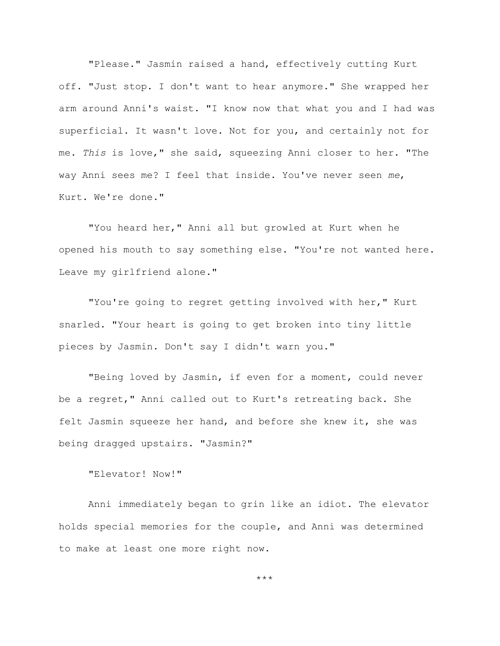"Please." Jasmin raised a hand, effectively cutting Kurt off. "Just stop. I don't want to hear anymore." She wrapped her arm around Anni's waist. "I know now that what you and I had was superficial. It wasn't love. Not for you, and certainly not for me. *This* is love," she said, squeezing Anni closer to her. "The way Anni sees me? I feel that inside. You've never seen *me*, Kurt. We're done."

"You heard her," Anni all but growled at Kurt when he opened his mouth to say something else. "You're not wanted here. Leave my girlfriend alone."

"You're going to regret getting involved with her," Kurt snarled. "Your heart is going to get broken into tiny little pieces by Jasmin. Don't say I didn't warn you."

"Being loved by Jasmin, if even for a moment, could never be a regret," Anni called out to Kurt's retreating back. She felt Jasmin squeeze her hand, and before she knew it, she was being dragged upstairs. "Jasmin?"

"Elevator! Now!"

Anni immediately began to grin like an idiot. The elevator holds special memories for the couple, and Anni was determined to make at least one more right now.

\*\*\*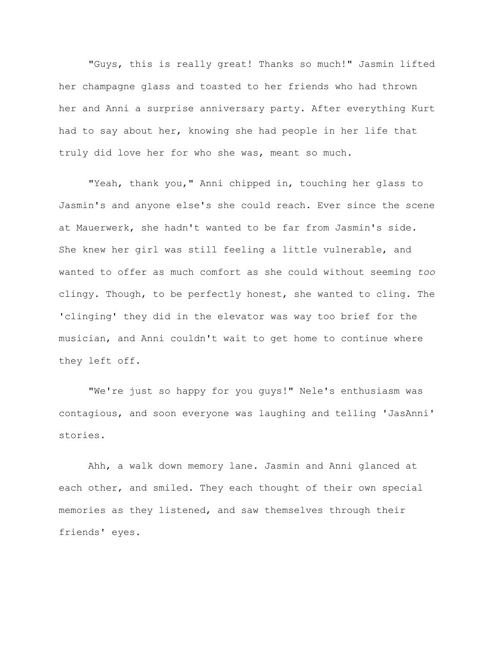"Guys, this is really great! Thanks so much!" Jasmin lifted her champagne glass and toasted to her friends who had thrown her and Anni a surprise anniversary party. After everything Kurt had to say about her, knowing she had people in her life that truly did love her for who she was, meant so much.

"Yeah, thank you," Anni chipped in, touching her glass to Jasmin's and anyone else's she could reach. Ever since the scene at Mauerwerk, she hadn't wanted to be far from Jasmin's side. She knew her girl was still feeling a little vulnerable, and wanted to offer as much comfort as she could without seeming *too* clingy. Though, to be perfectly honest, she wanted to cling. The 'clinging' they did in the elevator was way too brief for the musician, and Anni couldn't wait to get home to continue where they left off.

"We're just so happy for you guys!" Nele's enthusiasm was contagious, and soon everyone was laughing and telling 'JasAnni' stories.

Ahh, a walk down memory lane. Jasmin and Anni glanced at each other, and smiled. They each thought of their own special memories as they listened, and saw themselves through their friends' eyes.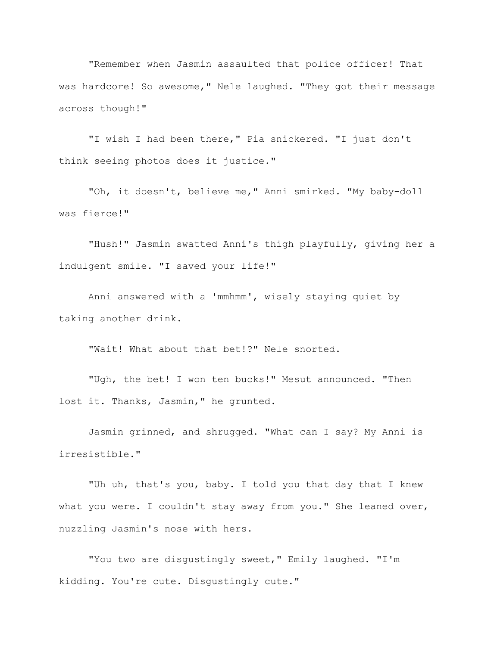"Remember when Jasmin assaulted that police officer! That was hardcore! So awesome," Nele laughed. "They got their message across though!"

"I wish I had been there," Pia snickered. "I just don't think seeing photos does it justice."

"Oh, it doesn't, believe me," Anni smirked. "My baby-doll was fierce!"

"Hush!" Jasmin swatted Anni's thigh playfully, giving her a indulgent smile. "I saved your life!"

Anni answered with a 'mmhmm', wisely staying quiet by taking another drink.

"Wait! What about that bet!?" Nele snorted.

"Ugh, the bet! I won ten bucks!" Mesut announced. "Then lost it. Thanks, Jasmin," he grunted.

Jasmin grinned, and shrugged. "What can I say? My Anni is irresistible."

"Uh uh, that's you, baby. I told you that day that I knew what you were. I couldn't stay away from you." She leaned over, nuzzling Jasmin's nose with hers.

"You two are disgustingly sweet," Emily laughed. "I'm kidding. You're cute. Disgustingly cute."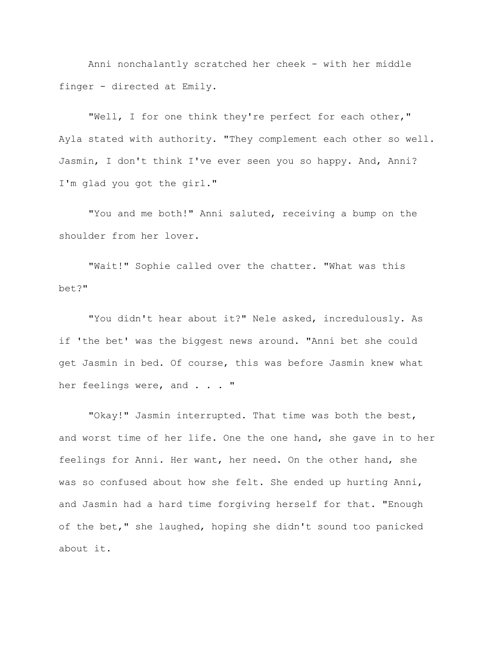Anni nonchalantly scratched her cheek - with her middle finger - directed at Emily.

"Well, I for one think they're perfect for each other," Ayla stated with authority. "They complement each other so well. Jasmin, I don't think I've ever seen you so happy. And, Anni? I'm glad you got the girl."

"You and me both!" Anni saluted, receiving a bump on the shoulder from her lover.

"Wait!" Sophie called over the chatter. "What was this bet?"

"You didn't hear about it?" Nele asked, incredulously. As if 'the bet' was the biggest news around. "Anni bet she could get Jasmin in bed. Of course, this was before Jasmin knew what her feelings were, and . . . "

"Okay!" Jasmin interrupted. That time was both the best, and worst time of her life. One the one hand, she gave in to her feelings for Anni. Her want, her need. On the other hand, she was so confused about how she felt. She ended up hurting Anni, and Jasmin had a hard time forgiving herself for that. "Enough of the bet," she laughed, hoping she didn't sound too panicked about it.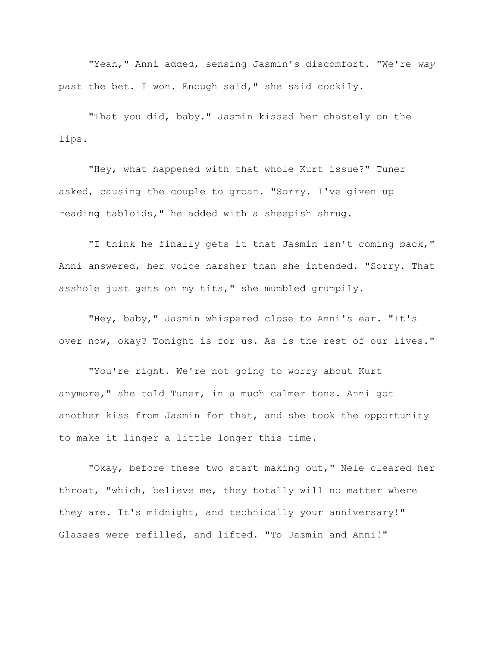"Yeah," Anni added, sensing Jasmin's discomfort. "We're *way* past the bet. I won. Enough said," she said cockily.

"That you did, baby." Jasmin kissed her chastely on the lips.

"Hey, what happened with that whole Kurt issue?" Tuner asked, causing the couple to groan. "Sorry. I've given up reading tabloids," he added with a sheepish shrug.

"I think he finally gets it that Jasmin isn't coming back," Anni answered, her voice harsher than she intended. "Sorry. That asshole just gets on my tits," she mumbled grumpily.

"Hey, baby," Jasmin whispered close to Anni's ear. "It's over now, okay? Tonight is for us. As is the rest of our lives."

"You're right. We're not going to worry about Kurt anymore," she told Tuner, in a much calmer tone. Anni got another kiss from Jasmin for that, and she took the opportunity to make it linger a little longer this time.

"Okay, before these two start making out," Nele cleared her throat, "which, believe me, they totally will no matter where they are. It's midnight, and technically your anniversary!" Glasses were refilled, and lifted. "To Jasmin and Anni!"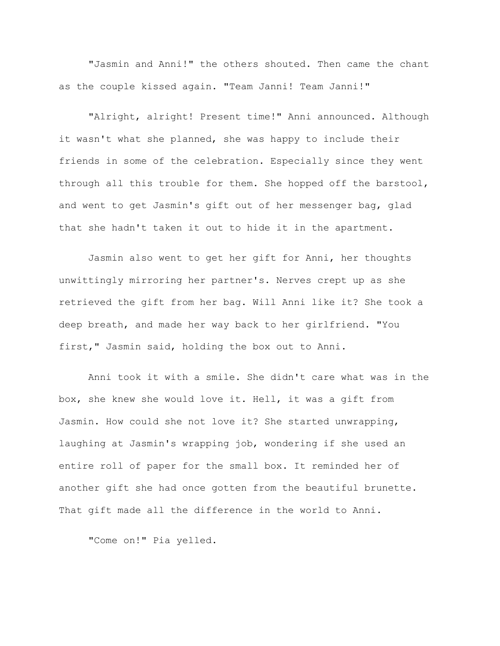"Jasmin and Anni!" the others shouted. Then came the chant as the couple kissed again. "Team Janni! Team Janni!"

"Alright, alright! Present time!" Anni announced. Although it wasn't what she planned, she was happy to include their friends in some of the celebration. Especially since they went through all this trouble for them. She hopped off the barstool, and went to get Jasmin's gift out of her messenger bag, glad that she hadn't taken it out to hide it in the apartment.

Jasmin also went to get her gift for Anni, her thoughts unwittingly mirroring her partner's. Nerves crept up as she retrieved the gift from her bag. Will Anni like it? She took a deep breath, and made her way back to her girlfriend. "You first," Jasmin said, holding the box out to Anni.

Anni took it with a smile. She didn't care what was in the box, she knew she would love it. Hell, it was a gift from Jasmin. How could she not love it? She started unwrapping, laughing at Jasmin's wrapping job, wondering if she used an entire roll of paper for the small box. It reminded her of another gift she had once gotten from the beautiful brunette. That gift made all the difference in the world to Anni.

"Come on!" Pia yelled.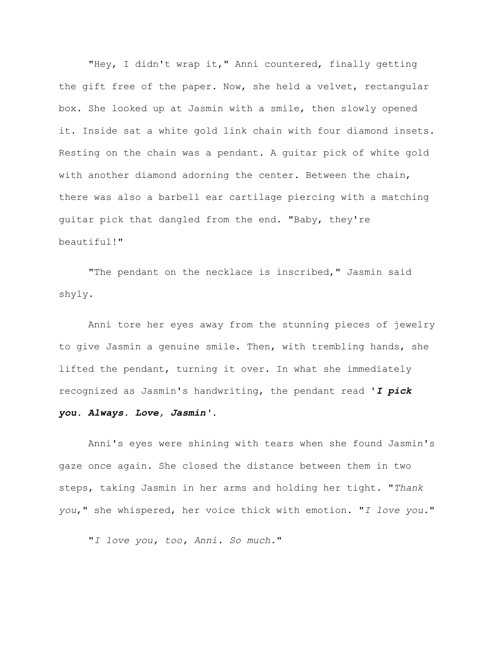"Hey, I didn't wrap it," Anni countered, finally getting the gift free of the paper. Now, she held a velvet, rectangular box. She looked up at Jasmin with a smile, then slowly opened it. Inside sat a white gold link chain with four diamond insets. Resting on the chain was a pendant. A guitar pick of white gold with another diamond adorning the center. Between the chain, there was also a barbell ear cartilage piercing with a matching guitar pick that dangled from the end. "Baby, they're beautiful!"

"The pendant on the necklace is inscribed," Jasmin said shyly.

Anni tore her eyes away from the stunning pieces of jewelry to give Jasmin a genuine smile. Then, with trembling hands, she lifted the pendant, turning it over. In what she immediately recognized as Jasmin's handwriting, the pendant read '*I pick you. Always. Love, Jasmin'*.

Anni's eyes were shining with tears when she found Jasmin's gaze once again. She closed the distance between them in two steps, taking Jasmin in her arms and holding her tight. "*Thank you*," she whispered, her voice thick with emotion. "*I love you*."

"*I love you, too, Anni. So much.*"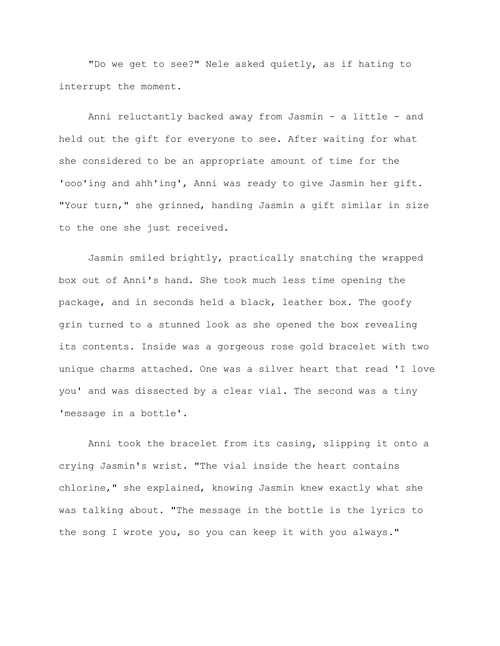"Do we get to see?" Nele asked quietly, as if hating to interrupt the moment.

Anni reluctantly backed away from Jasmin - a little - and held out the gift for everyone to see. After waiting for what she considered to be an appropriate amount of time for the 'ooo'ing and ahh'ing', Anni was ready to give Jasmin her gift. "Your turn," she grinned, handing Jasmin a gift similar in size to the one she just received.

Jasmin smiled brightly, practically snatching the wrapped box out of Anni's hand. She took much less time opening the package, and in seconds held a black, leather box. The goofy grin turned to a stunned look as she opened the box revealing its contents. Inside was a gorgeous rose gold bracelet with two unique charms attached. One was a silver heart that read 'I love you' and was dissected by a clear vial. The second was a tiny 'message in a bottle'.

Anni took the bracelet from its casing, slipping it onto a crying Jasmin's wrist. "The vial inside the heart contains chlorine," she explained, knowing Jasmin knew exactly what she was talking about. "The message in the bottle is the lyrics to the song I wrote you, so you can keep it with you always."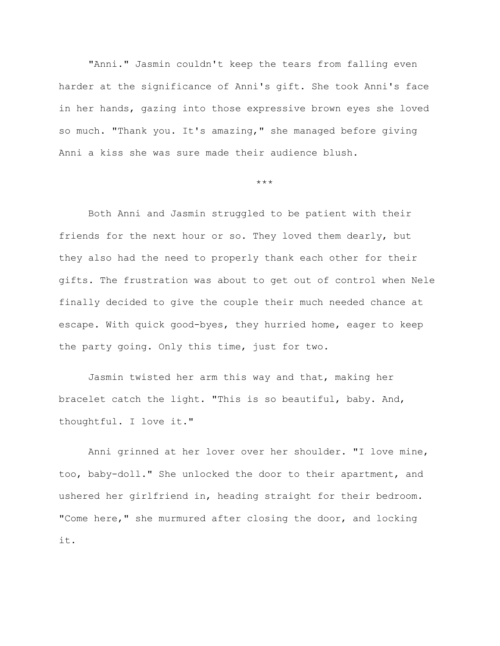"Anni." Jasmin couldn't keep the tears from falling even harder at the significance of Anni's gift. She took Anni's face in her hands, gazing into those expressive brown eyes she loved so much. "Thank you. It's amazing," she managed before giving Anni a kiss she was sure made their audience blush.

\*\*\*

Both Anni and Jasmin struggled to be patient with their friends for the next hour or so. They loved them dearly, but they also had the need to properly thank each other for their gifts. The frustration was about to get out of control when Nele finally decided to give the couple their much needed chance at escape. With quick good-byes, they hurried home, eager to keep the party going. Only this time, just for two.

Jasmin twisted her arm this way and that, making her bracelet catch the light. "This is so beautiful, baby. And, thoughtful. I love it."

Anni grinned at her lover over her shoulder. "I love mine, too, baby-doll." She unlocked the door to their apartment, and ushered her girlfriend in, heading straight for their bedroom. "Come here," she murmured after closing the door, and locking it.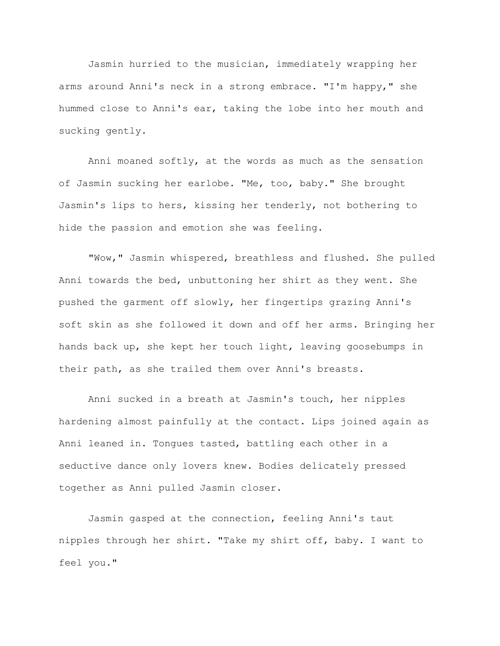Jasmin hurried to the musician, immediately wrapping her arms around Anni's neck in a strong embrace. "I'm happy," she hummed close to Anni's ear, taking the lobe into her mouth and sucking gently.

Anni moaned softly, at the words as much as the sensation of Jasmin sucking her earlobe. "Me, too, baby." She brought Jasmin's lips to hers, kissing her tenderly, not bothering to hide the passion and emotion she was feeling.

"Wow," Jasmin whispered, breathless and flushed. She pulled Anni towards the bed, unbuttoning her shirt as they went. She pushed the garment off slowly, her fingertips grazing Anni's soft skin as she followed it down and off her arms. Bringing her hands back up, she kept her touch light, leaving goosebumps in their path, as she trailed them over Anni's breasts.

Anni sucked in a breath at Jasmin's touch, her nipples hardening almost painfully at the contact. Lips joined again as Anni leaned in. Tongues tasted, battling each other in a seductive dance only lovers knew. Bodies delicately pressed together as Anni pulled Jasmin closer.

Jasmin gasped at the connection, feeling Anni's taut nipples through her shirt. "Take my shirt off, baby. I want to feel you."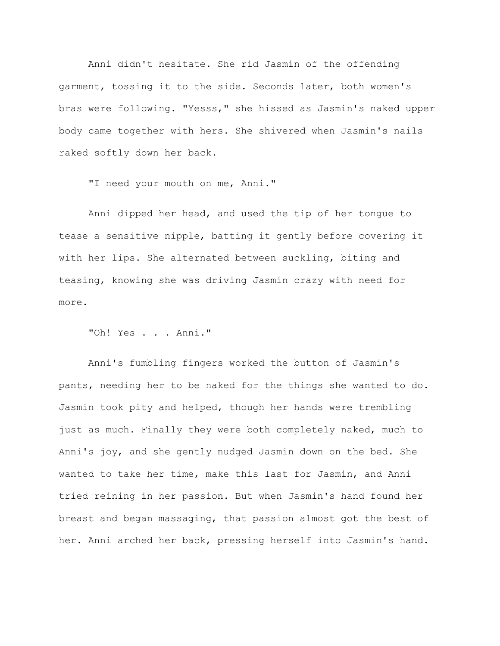Anni didn't hesitate. She rid Jasmin of the offending garment, tossing it to the side. Seconds later, both women's bras were following. "Yesss," she hissed as Jasmin's naked upper body came together with hers. She shivered when Jasmin's nails raked softly down her back.

"I need your mouth on me, Anni."

Anni dipped her head, and used the tip of her tongue to tease a sensitive nipple, batting it gently before covering it with her lips. She alternated between suckling, biting and teasing, knowing she was driving Jasmin crazy with need for more.

"Oh! Yes . . . Anni."

Anni's fumbling fingers worked the button of Jasmin's pants, needing her to be naked for the things she wanted to do. Jasmin took pity and helped, though her hands were trembling just as much. Finally they were both completely naked, much to Anni's joy, and she gently nudged Jasmin down on the bed. She wanted to take her time, make this last for Jasmin, and Anni tried reining in her passion. But when Jasmin's hand found her breast and began massaging, that passion almost got the best of her. Anni arched her back, pressing herself into Jasmin's hand.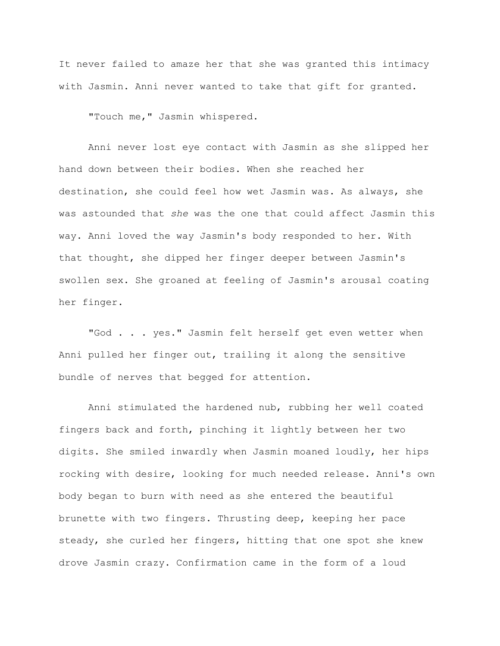It never failed to amaze her that she was granted this intimacy with Jasmin. Anni never wanted to take that gift for granted.

"Touch me," Jasmin whispered.

Anni never lost eye contact with Jasmin as she slipped her hand down between their bodies. When she reached her destination, she could feel how wet Jasmin was. As always, she was astounded that *she* was the one that could affect Jasmin this way. Anni loved the way Jasmin's body responded to her. With that thought, she dipped her finger deeper between Jasmin's swollen sex. She groaned at feeling of Jasmin's arousal coating her finger.

"God . . . yes." Jasmin felt herself get even wetter when Anni pulled her finger out, trailing it along the sensitive bundle of nerves that begged for attention.

Anni stimulated the hardened nub, rubbing her well coated fingers back and forth, pinching it lightly between her two digits. She smiled inwardly when Jasmin moaned loudly, her hips rocking with desire, looking for much needed release. Anni's own body began to burn with need as she entered the beautiful brunette with two fingers. Thrusting deep, keeping her pace steady, she curled her fingers, hitting that one spot she knew drove Jasmin crazy. Confirmation came in the form of a loud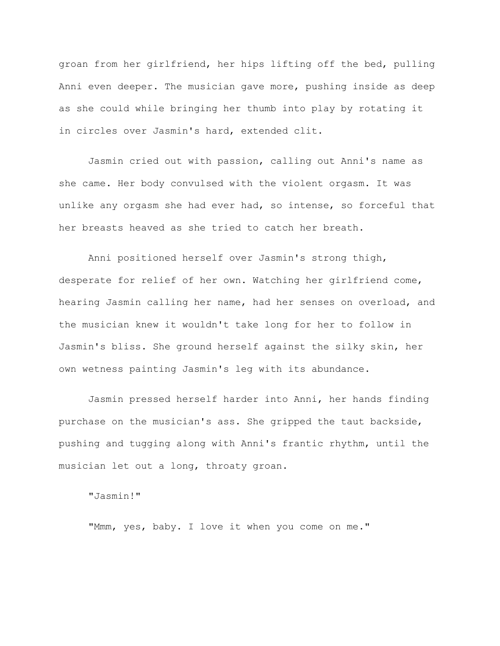groan from her girlfriend, her hips lifting off the bed, pulling Anni even deeper. The musician gave more, pushing inside as deep as she could while bringing her thumb into play by rotating it in circles over Jasmin's hard, extended clit.

Jasmin cried out with passion, calling out Anni's name as she came. Her body convulsed with the violent orgasm. It was unlike any orgasm she had ever had, so intense, so forceful that her breasts heaved as she tried to catch her breath.

Anni positioned herself over Jasmin's strong thigh, desperate for relief of her own. Watching her girlfriend come, hearing Jasmin calling her name, had her senses on overload, and the musician knew it wouldn't take long for her to follow in Jasmin's bliss. She ground herself against the silky skin, her own wetness painting Jasmin's leg with its abundance.

Jasmin pressed herself harder into Anni, her hands finding purchase on the musician's ass. She gripped the taut backside, pushing and tugging along with Anni's frantic rhythm, until the musician let out a long, throaty groan.

"Jasmin!"

"Mmm, yes, baby. I love it when you come on me."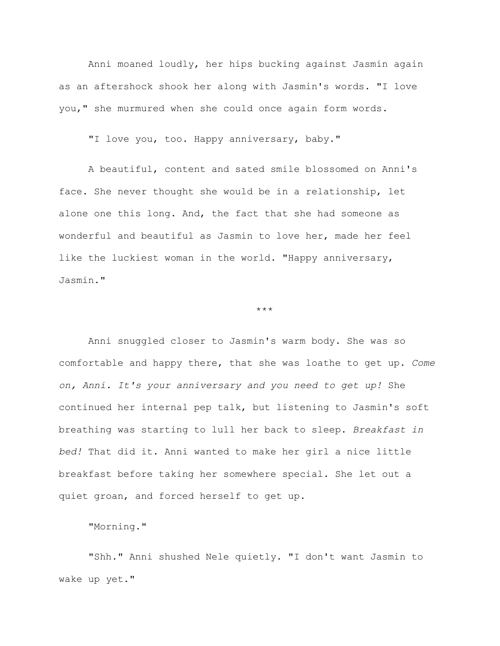Anni moaned loudly, her hips bucking against Jasmin again as an aftershock shook her along with Jasmin's words. "I love you," she murmured when she could once again form words.

"I love you, too. Happy anniversary, baby."

A beautiful, content and sated smile blossomed on Anni's face. She never thought she would be in a relationship, let alone one this long. And, the fact that she had someone as wonderful and beautiful as Jasmin to love her, made her feel like the luckiest woman in the world. "Happy anniversary, Jasmin."

\*\*\*

Anni snuggled closer to Jasmin's warm body. She was so comfortable and happy there, that she was loathe to get up. *Come on, Anni. It's your anniversary and you need to get up!* She continued her internal pep talk, but listening to Jasmin's soft breathing was starting to lull her back to sleep. *Breakfast in bed!* That did it. Anni wanted to make her girl a nice little breakfast before taking her somewhere special. She let out a quiet groan, and forced herself to get up.

"Morning."

"Shh." Anni shushed Nele quietly. "I don't want Jasmin to wake up yet."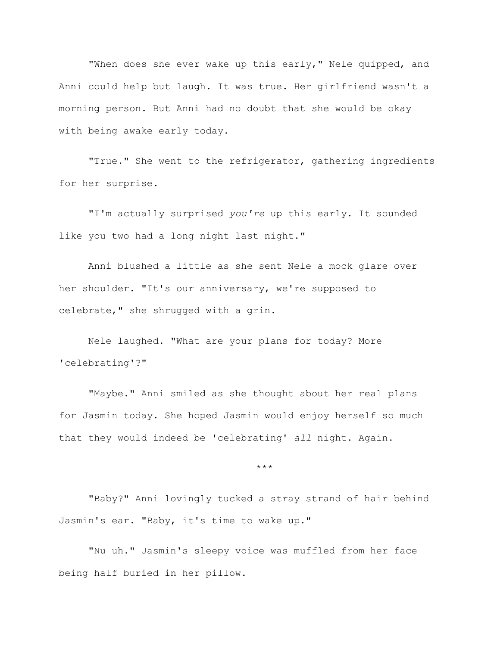"When does she ever wake up this early," Nele quipped, and Anni could help but laugh. It was true. Her girlfriend wasn't a morning person. But Anni had no doubt that she would be okay with being awake early today.

"True." She went to the refrigerator, gathering ingredients for her surprise.

"I'm actually surprised *you're* up this early. It sounded like you two had a long night last night."

Anni blushed a little as she sent Nele a mock glare over her shoulder. "It's our anniversary, we're supposed to celebrate," she shrugged with a grin.

Nele laughed. "What are your plans for today? More 'celebrating'?"

"Maybe." Anni smiled as she thought about her real plans for Jasmin today. She hoped Jasmin would enjoy herself so much that they would indeed be 'celebrating' *all* night. Again.

\*\*\*

"Baby?" Anni lovingly tucked a stray strand of hair behind Jasmin's ear. "Baby, it's time to wake up."

"Nu uh." Jasmin's sleepy voice was muffled from her face being half buried in her pillow.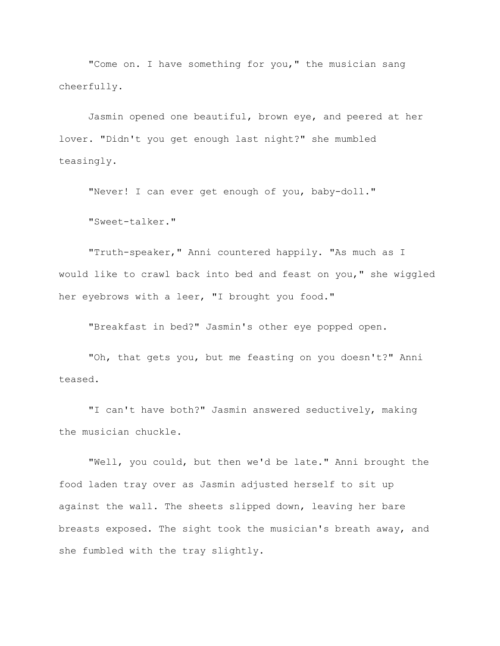"Come on. I have something for you," the musician sang cheerfully.

Jasmin opened one beautiful, brown eye, and peered at her lover. "Didn't you get enough last night?" she mumbled teasingly.

"Never! I can ever get enough of you, baby-doll."

"Sweet-talker."

"Truth-speaker," Anni countered happily. "As much as I would like to crawl back into bed and feast on you," she wiggled her eyebrows with a leer, "I brought you food."

"Breakfast in bed?" Jasmin's other eye popped open.

"Oh, that gets you, but me feasting on you doesn't?" Anni teased.

"I can't have both?" Jasmin answered seductively, making the musician chuckle.

"Well, you could, but then we'd be late." Anni brought the food laden tray over as Jasmin adjusted herself to sit up against the wall. The sheets slipped down, leaving her bare breasts exposed. The sight took the musician's breath away, and she fumbled with the tray slightly.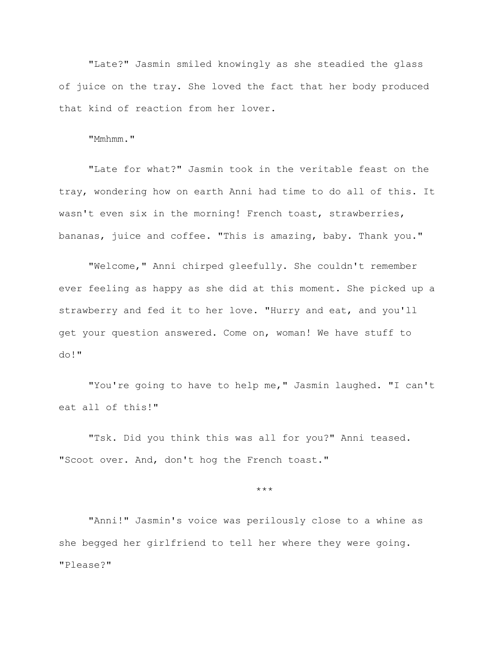"Late?" Jasmin smiled knowingly as she steadied the glass of juice on the tray. She loved the fact that her body produced that kind of reaction from her lover.

"Mmhmm."

"Late for what?" Jasmin took in the veritable feast on the tray, wondering how on earth Anni had time to do all of this. It wasn't even six in the morning! French toast, strawberries, bananas, juice and coffee. "This is amazing, baby. Thank you."

"Welcome," Anni chirped gleefully. She couldn't remember ever feeling as happy as she did at this moment. She picked up a strawberry and fed it to her love. "Hurry and eat, and you'll get your question answered. Come on, woman! We have stuff to do!"

"You're going to have to help me," Jasmin laughed. "I can't eat all of this!"

"Tsk. Did you think this was all for you?" Anni teased. "Scoot over. And, don't hog the French toast."

\*\*\*

"Anni!" Jasmin's voice was perilously close to a whine as she begged her girlfriend to tell her where they were going. "Please?"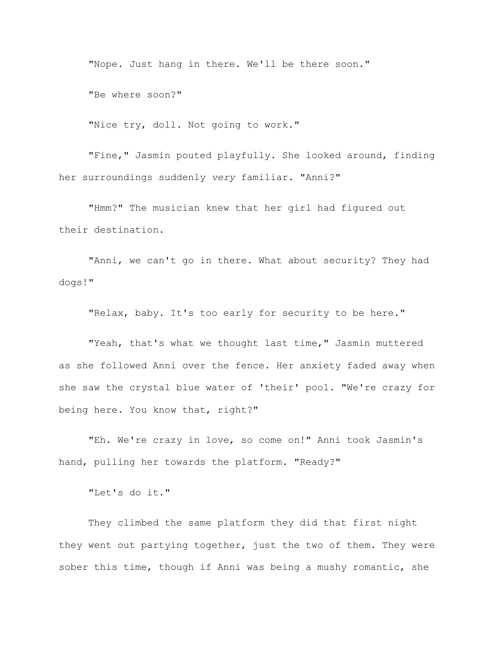"Nope. Just hang in there. We'll be there soon."

"Be where soon?"

"Nice try, doll. Not going to work."

"Fine," Jasmin pouted playfully. She looked around, finding her surroundings suddenly *very* familiar. "Anni?"

"Hmm?" The musician knew that her girl had figured out their destination.

"Anni, we can't go in there. What about security? They had dogs!"

"Relax, baby. It's too early for security to be here."

"Yeah, that's what we thought last time," Jasmin muttered as she followed Anni over the fence. Her anxiety faded away when she saw the crystal blue water of 'their' pool. "We're crazy for being here. You know that, right?"

"Eh. We're crazy in love, so come on!" Anni took Jasmin's hand, pulling her towards the platform. "Ready?"

"Let's do it."

They climbed the same platform they did that first night they went out partying together, just the two of them. They were sober this time, though if Anni was being a mushy romantic, she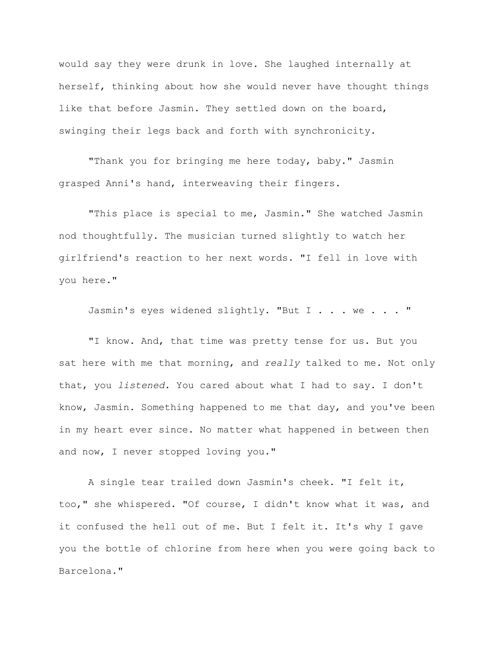would say they were drunk in love. She laughed internally at herself, thinking about how she would never have thought things like that before Jasmin. They settled down on the board, swinging their legs back and forth with synchronicity.

"Thank you for bringing me here today, baby." Jasmin grasped Anni's hand, interweaving their fingers.

"This place is special to me, Jasmin." She watched Jasmin nod thoughtfully. The musician turned slightly to watch her girlfriend's reaction to her next words. "I fell in love with you here."

Jasmin's eyes widened slightly. "But I . . . we . . . "

"I know. And, that time was pretty tense for us. But you sat here with me that morning, and *really* talked to me. Not only that, you *listened*. You cared about what I had to say. I don't know, Jasmin. Something happened to me that day, and you've been in my heart ever since. No matter what happened in between then and now, I never stopped loving you."

A single tear trailed down Jasmin's cheek. "I felt it, too," she whispered. "Of course, I didn't know what it was, and it confused the hell out of me. But I felt it. It's why I gave you the bottle of chlorine from here when you were going back to Barcelona."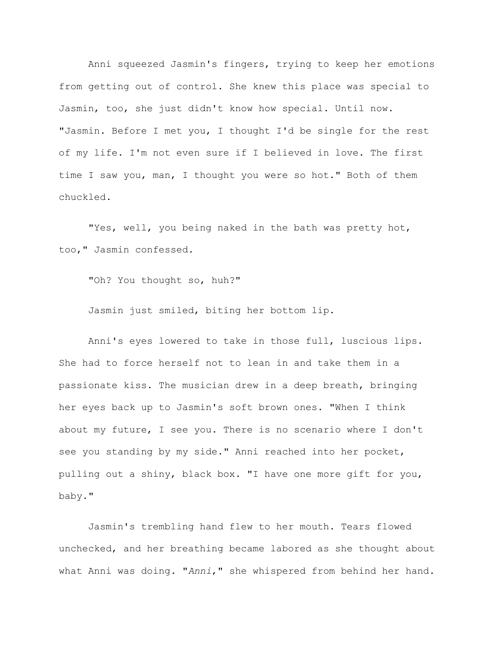Anni squeezed Jasmin's fingers, trying to keep her emotions from getting out of control. She knew this place was special to Jasmin, too, she just didn't know how special. Until now. "Jasmin. Before I met you, I thought I'd be single for the rest of my life. I'm not even sure if I believed in love. The first time I saw you, man, I thought you were so hot." Both of them chuckled.

"Yes, well, you being naked in the bath was pretty hot, too," Jasmin confessed.

"Oh? You thought so, huh?"

Jasmin just smiled, biting her bottom lip.

Anni's eyes lowered to take in those full, luscious lips. She had to force herself not to lean in and take them in a passionate kiss. The musician drew in a deep breath, bringing her eyes back up to Jasmin's soft brown ones. "When I think about my future, I see you. There is no scenario where I don't see you standing by my side." Anni reached into her pocket, pulling out a shiny, black box. "I have one more gift for you, baby."

Jasmin's trembling hand flew to her mouth. Tears flowed unchecked, and her breathing became labored as she thought about what Anni was doing. "*Anni*," she whispered from behind her hand.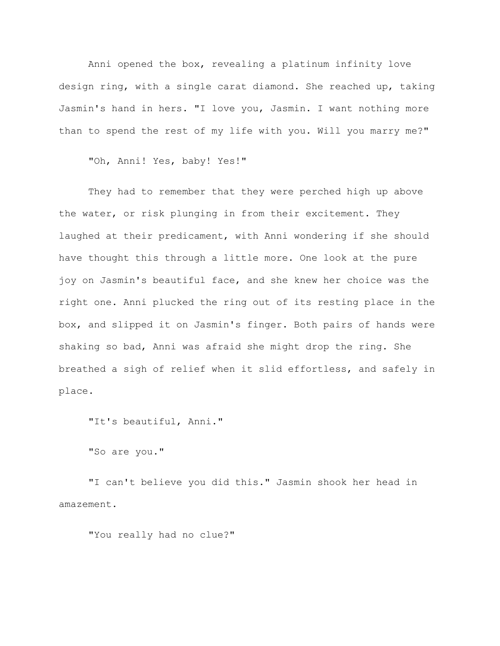Anni opened the box, revealing a platinum infinity love design ring, with a single carat diamond. She reached up, taking Jasmin's hand in hers. "I love you, Jasmin. I want nothing more than to spend the rest of my life with you. Will you marry me?"

"Oh, Anni! Yes, baby! Yes!"

They had to remember that they were perched high up above the water, or risk plunging in from their excitement. They laughed at their predicament, with Anni wondering if she should have thought this through a little more. One look at the pure joy on Jasmin's beautiful face, and she knew her choice was the right one. Anni plucked the ring out of its resting place in the box, and slipped it on Jasmin's finger. Both pairs of hands were shaking so bad, Anni was afraid she might drop the ring. She breathed a sigh of relief when it slid effortless, and safely in place.

"It's beautiful, Anni."

"So are you."

"I can't believe you did this." Jasmin shook her head in amazement.

"You really had no clue?"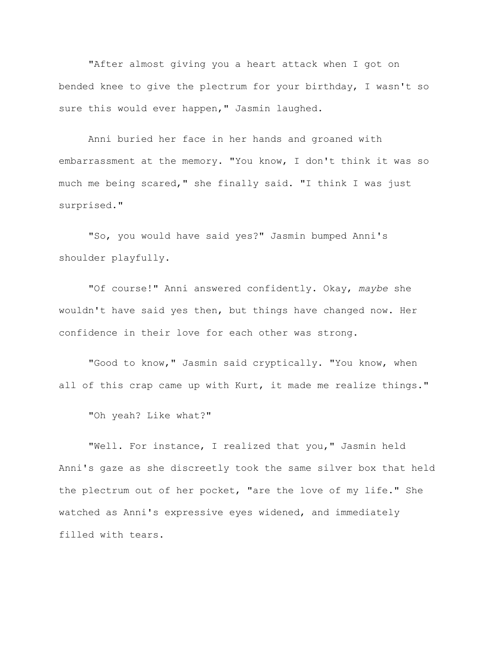"After almost giving you a heart attack when I got on bended knee to give the plectrum for your birthday, I wasn't so sure this would ever happen," Jasmin laughed.

Anni buried her face in her hands and groaned with embarrassment at the memory. "You know, I don't think it was so much me being scared," she finally said. "I think I was just surprised."

"So, you would have said yes?" Jasmin bumped Anni's shoulder playfully.

"Of course!" Anni answered confidently. Okay, *maybe* she wouldn't have said yes then, but things have changed now. Her confidence in their love for each other was strong.

"Good to know," Jasmin said cryptically. "You know, when all of this crap came up with Kurt, it made me realize things."

"Oh yeah? Like what?"

"Well. For instance, I realized that you," Jasmin held Anni's gaze as she discreetly took the same silver box that held the plectrum out of her pocket, "are the love of my life." She watched as Anni's expressive eyes widened, and immediately filled with tears.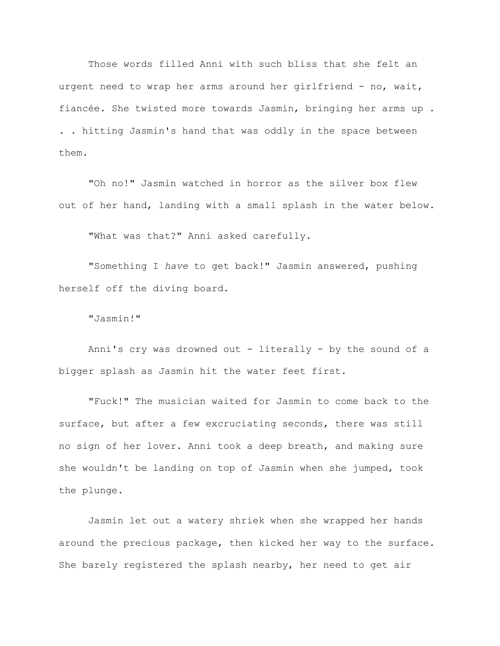Those words filled Anni with such bliss that she felt an urgent need to wrap her arms around her girlfriend - no, wait, fiancée. She twisted more towards Jasmin, bringing her arms up . . . hitting Jasmin's hand that was oddly in the space between them.

"Oh no!" Jasmin watched in horror as the silver box flew out of her hand, landing with a small splash in the water below.

"What was that?" Anni asked carefully.

"Something I *have* to get back!" Jasmin answered, pushing herself off the diving board.

"Jasmin!"

Anni's cry was drowned out - literally - by the sound of a bigger splash as Jasmin hit the water feet first.

"Fuck!" The musician waited for Jasmin to come back to the surface, but after a few excruciating seconds, there was still no sign of her lover. Anni took a deep breath, and making sure she wouldn't be landing on top of Jasmin when she jumped, took the plunge.

Jasmin let out a watery shriek when she wrapped her hands around the precious package, then kicked her way to the surface. She barely registered the splash nearby, her need to get air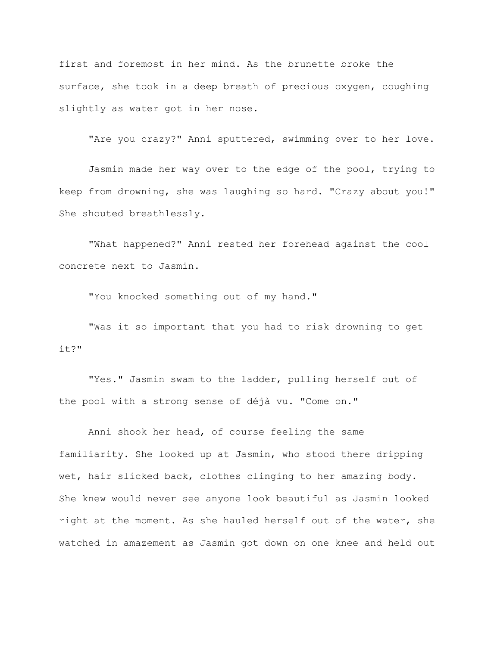first and foremost in her mind. As the brunette broke the surface, she took in a deep breath of precious oxygen, coughing slightly as water got in her nose.

"Are you crazy?" Anni sputtered, swimming over to her love.

Jasmin made her way over to the edge of the pool, trying to keep from drowning, she was laughing so hard. "Crazy about you!" She shouted breathlessly.

"What happened?" Anni rested her forehead against the cool concrete next to Jasmin.

"You knocked something out of my hand."

"Was it so important that you had to risk drowning to get it?"

"Yes." Jasmin swam to the ladder, pulling herself out of the pool with a strong sense of déjà vu. "Come on."

Anni shook her head, of course feeling the same familiarity. She looked up at Jasmin, who stood there dripping wet, hair slicked back, clothes clinging to her amazing body. She knew would never see anyone look beautiful as Jasmin looked right at the moment. As she hauled herself out of the water, she watched in amazement as Jasmin got down on one knee and held out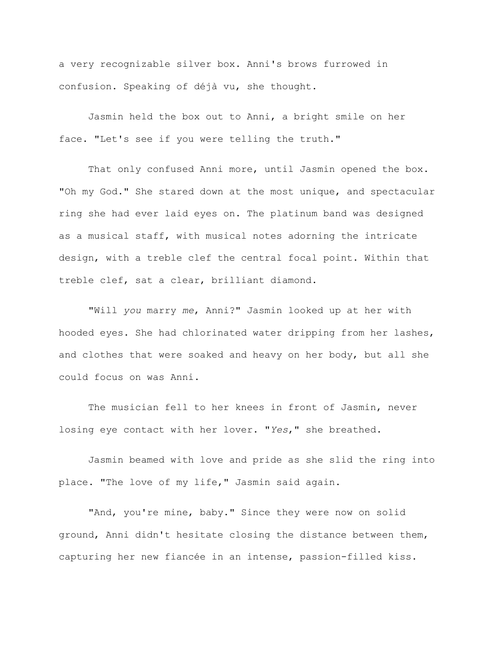a very recognizable silver box. Anni's brows furrowed in confusion. Speaking of déjà vu, she thought.

Jasmin held the box out to Anni, a bright smile on her face. "Let's see if you were telling the truth."

That only confused Anni more, until Jasmin opened the box. "Oh my God." She stared down at the most unique, and spectacular ring she had ever laid eyes on. The platinum band was designed as a musical staff, with musical notes adorning the intricate design, with a treble clef the central focal point. Within that treble clef, sat a clear, brilliant diamond.

"Will *you* marry *me*, Anni?" Jasmin looked up at her with hooded eyes. She had chlorinated water dripping from her lashes, and clothes that were soaked and heavy on her body, but all she could focus on was Anni.

The musician fell to her knees in front of Jasmin, never losing eye contact with her lover. "*Yes*," she breathed.

Jasmin beamed with love and pride as she slid the ring into place. "The love of my life," Jasmin said again.

"And, you're mine, baby." Since they were now on solid ground, Anni didn't hesitate closing the distance between them, capturing her new fiancée in an intense, passion-filled kiss.